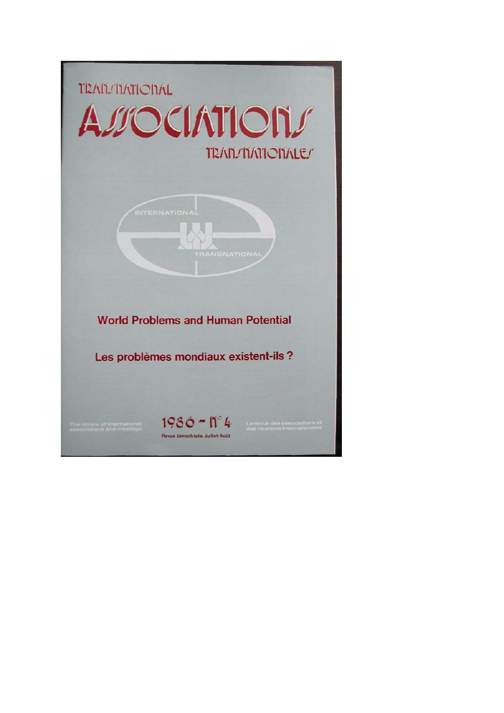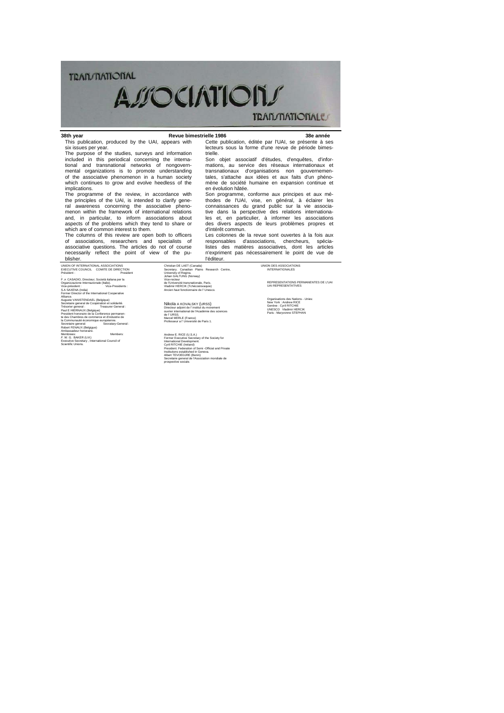# **TRAILMATIONAL AUOCIATIONS TRAN/MATIONALE**

#### 38th year This publication, produced by the UAI, appears with

en évolution hâtée.

d'intérêt commun.

l'éditeur.

**38th year Revue bimestrielle 1986 38e année** Cette publication, éditée par l'UAI, se présente à ses lecteurs sous la forme d'une revue de période bimestrielle. Son objet associatif d'études, d'enquêtes, d'infor-

> mations, au service des réseaux internationaux et transnationaux d'organisations non gouvernementales, s'attache aux idées et aux faits d'un phéno-mène de société humaine en expansion continue et

> Son programme, conforme aux principes et aux mé-thodes de l'UAI, vise, en général, à éclairer les

connaissances du grand public sur la vie associa-tive dans la perspective des relations internationa-les et, en particulier, à informer les associations des divers aspects de leurs problèmes propres et

Les colonnes de la revue sont ouvertes à la fois aux responsables d'associations, chercheurs, spécia-listes des matières associatives, dont les articles n'expriment pas nécessairement le point de vue de

six issues per year. The purpose of the studies, surveys and information included in this periodical concerning the interna-tional and transnational networks of nongovernmental organizations is to promote understanding of the associative phenomenon in a human society which continues to grow and evolve heedless of the implications.

The programme of the review, in accordance with the principles of the UAI, is intended to clarify general awareness concerning the associative pheno-menon within the framework of international relations and, in particular, to inform associations about aspects of the problems which they tend to share or which are of common interest to them.

The columns of this review are open both to officers of associations, researchers and specialists of associative questions. The articles do not of course necessarily reflect the point of view of the publisher.

UNION OF INTERNATIONAL ASSOCIATIONS EXECUTIVE COUNCIL COMITE DE DIRECTION Président : President :<br>F. A CASADIO, Directeur, Società italiana per la<br>Organizzazione Internazionale (Italie).<br>Vice-President :<br>S.A SAXENA (India)<br>Former Director of the International Cooperative

Aliance.<br>Alugate VANISTENDAEL (Belgique)<br>Tréscriaire general de Coopération et solidarité.<br>Tréscrier general :<br>Tréscrier general :<br>Pauls HIERNAUX (Belgique)<br>President honoraire de la Comtenence mermanen-<br>Paulsent III (Sant

Membrees: Members:<br>*F.* W. G. BAKER (U.K)<br>Executive Secretary , International Council of<br>Scientific Unions.

Christian DE LAET (Canada) Secretary. Canadian Plains Research Centre, University of Regina. Johan GALTUNG (Norway) Vice-recteur de l'Université transnationale, Paris. Vladimir HERCIK (Tchécoslovaquie) Ancien haut fonctionnaire de l' Unesco.

Nikola A KOVALSKY (URSS)<br>Directeur adjoint de l' institut du movement<br>ouvrier international de l'Académie des sciences<br>de l' URSS.<br>Marcel MERLE (France)<br>Professeur a l' Université de Paris 1.

Andrew E. RICE (U.S.A.)<br>Fromer Executive Secretary of the Society for<br>International Development.<br>Cyril RITCHE (Ireland)<br>President. Federation of Semi-Official and Private<br>Institutions established in Geneva.<br>Secretarie gene

UNION DES ASSOCIATIONS INTERNATIONALES

REPRESENTATIONS PERMANENTES DE L'UAI UAI REPRESENTATIVES

Organisations des Nations - Unies:<br>New York : Andrew RICE<br>Genève : Cyril RITCHIE<br>UNESCO - Vladimir HERCIK<br>Paris : Maryvonne STEPHAN

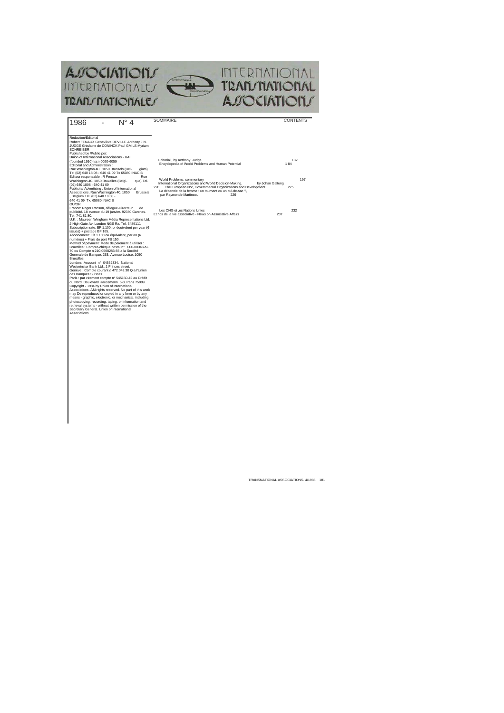

| $N^{\circ}$ 4<br>1986                                                                                                                                                                                                                                                                                                                                                                                                                                                                                                                                                                                                                                                                                                                                                                                                                                                                                                                                                                                                                                                                                                                                                                                                                                                                                                                                                                                                                                                                                                                                                                                                                                                                                                                                                                                                                                                                                                                                                                                                       | SOMMAIRE                                                                                                                                                                                                                                                                                                                                                                                                                                                             | <b>CONTENTS</b>                 |
|-----------------------------------------------------------------------------------------------------------------------------------------------------------------------------------------------------------------------------------------------------------------------------------------------------------------------------------------------------------------------------------------------------------------------------------------------------------------------------------------------------------------------------------------------------------------------------------------------------------------------------------------------------------------------------------------------------------------------------------------------------------------------------------------------------------------------------------------------------------------------------------------------------------------------------------------------------------------------------------------------------------------------------------------------------------------------------------------------------------------------------------------------------------------------------------------------------------------------------------------------------------------------------------------------------------------------------------------------------------------------------------------------------------------------------------------------------------------------------------------------------------------------------------------------------------------------------------------------------------------------------------------------------------------------------------------------------------------------------------------------------------------------------------------------------------------------------------------------------------------------------------------------------------------------------------------------------------------------------------------------------------------------------|----------------------------------------------------------------------------------------------------------------------------------------------------------------------------------------------------------------------------------------------------------------------------------------------------------------------------------------------------------------------------------------------------------------------------------------------------------------------|---------------------------------|
| Rédaction/Editorial<br>Robert FENAUX Geneviève DEVILLE Anthony J.N.<br>JUDGE Ghislaine de CONINCK Paul GMILS Myriam<br><b>SCHREIBER</b><br>Published by /Publie per:<br>Union of International Associations - UAI<br>(founded 1910) Issn-0020-6059<br>Editorial and Administration:<br>Rue Washington 40, 1050 Brussels (Bel-<br>gium)<br>Tel (02) 640 18 08 - 640 41 09 Tx 65080 INAC B<br>Editeur responsable : R Fenaux<br>Rue<br>Washington 40, 1050 Bruxelles (Belgi-<br>que) Tel.<br>(02) 640 1808 - 640 41 09<br>Publicite/ Advertising : Union of International<br>Associations, Rue Washington 40. 1050<br><b>Brussels</b><br>Belgium Tel (02) 640 18 08 -<br>640 41 09 Tx, 65080 INAC B<br>OU/OR<br>France: Roger Ranson, délègue-Directeur<br>de<br>publicité, 18 avenue du 19 ianvier, 92380 Garches.<br>Tel. 741 81 80.<br>U.K. : Maureen Wingham Média Representations Ltd.<br>2 High Gate Av. London NGS Rx. Tel. 3489111<br>Subscription rate: BF 1.100, or équivalent per year (6)<br>issues) + postage BF 165.<br>Abonnement: FB 1.100 ou équivalent, par an (6<br>numéros) + Frais de port FB 150.<br>Method of payment: Mode de paiement à utiliser :<br>Bruxelles : Compte-chèque postal n° 000-0034699-<br>70 ou Compte n 210-0508283-55 a la Société<br>Generale de Banque. 253. Avenue Louise. 1050<br><b>Bruxelles</b><br>London: Account nº 04552334. National<br>Westminster Bank Ltd., 1 Princes street.<br>Genève : Compte courant n 472.043.30 Q a l'Union<br>des Banques Suisses.<br>Paris : par virement compte nº 545150-42 au Crédit<br>du Nord, Boulevard Haussmann, 6-8, Pans 75009.<br>Copyright - 1984 by Union of International<br>Associations. AM rights reserved. No part of this work<br>may De reproduced or copied in any form or by any<br>means - graphic, electronic, or mechanical, including<br>photocopying, recording, taping, or information and<br>retrieval systems - without written permission of the<br>Secretary General, Union of International<br>Associations | Editorial, by Anthony Judge<br>Encyclopedia of World Problems and Human Potential<br>World Problems: commentary<br>International Organizations and World Decision-Making,<br>by Johan Galtung<br>The European NorGovernmental Organizations and Development<br>220<br>La décennie de la femme : un tournant ou un cul-de-sac ?.<br>par Raymonde Martineau<br>229<br>Les ONG et .es Nations Unies<br>Echos de la vie associative - News on Associative Affairs<br>237 | 182<br>184<br>197<br>225<br>232 |
|                                                                                                                                                                                                                                                                                                                                                                                                                                                                                                                                                                                                                                                                                                                                                                                                                                                                                                                                                                                                                                                                                                                                                                                                                                                                                                                                                                                                                                                                                                                                                                                                                                                                                                                                                                                                                                                                                                                                                                                                                             |                                                                                                                                                                                                                                                                                                                                                                                                                                                                      |                                 |

TRANSNATIONAL ASSOCIATIONS. 4/1986 181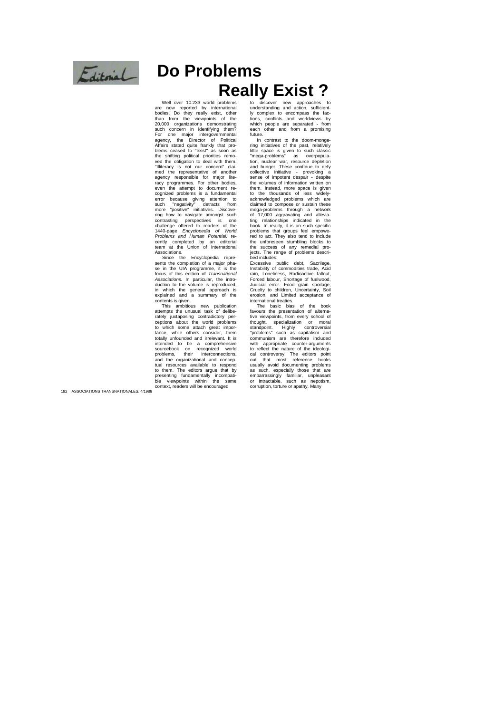

# **Do Problems** Really Exist?<br> **Really Exist?**

Well over 10.233 world problems are now reported by international<br>bodies. Do they really exist, other<br>than from the viewpoints of the<br>20,000 organizations demonstrating<br>such concern in identifying them?<br>For one major intergovernmental<br>agency, the Directo the shifting political priorities remo-<br>ved the obligation to deal with them.<br>"Illiteracy is not our concern" clai-<br>med the representative of another<br>agency responsible for major lite-<br>racy programmes. For other bodies,<br>ev cognized problems is a fundamental<br>
error because giving attention to<br>
such "negativity" detracts from<br>
more "positive" initiatives. Discove-<br>
ring how to navigate amongst such contrasting perspectives is one challenge offered to readers of the 1440-page *Encyclopedia of World Problems and Human Potential,* recently completed by an editorial team at the Union of International Associations.

Since the Encyclopedia repre-sents the completion of a major pha-se in the UIA programme, it is the focus of this edition of *Transnational*  Associations. In particular, the intro-<br>duction to the volume is reproduced,<br>in which the general approach is<br>explained and a summary of the contents is given.

This ambitious new publication attempts the unusual task of deliberately juxtaposing contradictory per-<br>ceptions about the world problems<br>to which some attach great impor-<br>tance, while others consider, them<br>totally unfounded and irrelevant. It is intended to be a comprehensive sourcebook on recognized world problems, their interconnections, and the organizational and conceptual resources available to respond to them. The editors argue that by presenting fundamentally incompati-ble viewpoints within the same ble viewpoints within the sa<br>context, readers will be encouraged

understanding and action, sufficient-ly complex to encompass the fac-tions, conflicts and worldviews by which people are separated - from each other and from a promising future<br>In

.<br>contrast to the doom-monge ring initiatives of the past, relatively little space is given to such classic "mega-problems" as overpopula-tion, nuclear war, resource depletion and hunger. These contìnue to defy collective initiative - provoking a sense of impotent despair - despite the volumes of information written on them. Instead, more space is given to the thousands of less widelyacknowledged problems which are claimed to compose or sustain these mega-problems through a network of 17,000 aggravating and allevia-ting relationships indicated in the book. In reality, it is on such specific problems that groups feel empowe-<br>red to act. They also tend to include<br>the unforeseen stumbling blocks to<br>the success of any remedial pro-<br>jects. The range of problems described includes:

Excessive public debt, Sacrilege, Instability of commodities trade, Acid rain, Loneliness, Radioactive fallout, Forced labour, Shortage of fuelwood, Judicial error. Food grain spoilage, Cruelty to children, Uncertainty, Soil erosion, and Limited acceptance of international treaties.

The basic bias of the book favours the presentation of alternative viewpoints, from every school of<br>thought... specialization or moral thought, specialization or moral standpoint. Highly controversial "problems" such as capitalism and communism are therefore included with appropriate counter-arguments to reflect the nature of the ideologi-cal controversy. The editors point out that most reference books usually avoid documenting problems as such, especially those that are embarrassingly familiar, unpleasant or intractable, such as nepotism, corruption, torture or apathy. Many

182 ASSOCIATIONS TRANSNATIONALES. 4/1986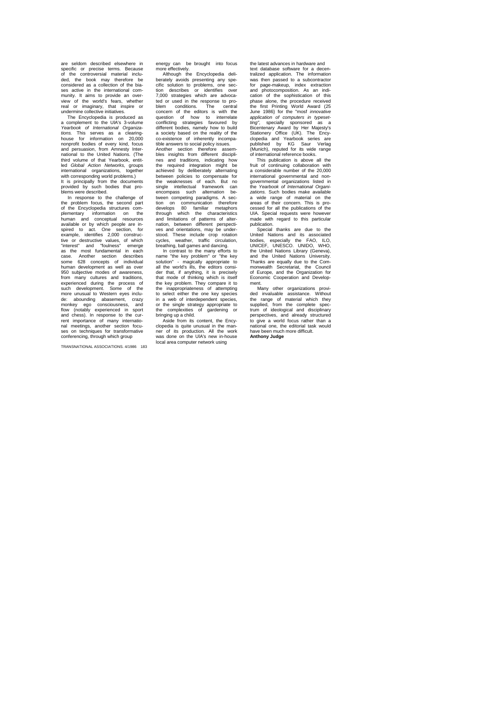are seldom described elsewhere in specific or precise terms. Because of the controversial material included, the book may therefore be considered as a collection of the bia-ses active in the international com-munity. It aims to provide an overview of the world's fears, whether real or imaginary, that inspire or undermine collective initiatives. The Encyclopedia is produced as

a complement to the UIA's 3-volume<br>Yearbook of International Organiza-*Yearbook of International Organiza-tions.* This serves as a clearing-house for information on 20,000 nonprofit bodies of every kind, focus and persuasion, from Amnesty Inter-national to the United Nations. (The third volume of that Yearbook, entitled *Global Action Networks,* groups international organizations, together with corresponding world problems.) It is principally from the documents provided by such bodies that pro-blems were described.

In response to the challenge of<br>the problem focus, the second part the problem focus, the second part of the Encyclopedia structures com-plementary information on the plementary information on the<br>human and conceptual resources available or by which people are in-spired to act. One section, for example, identifies 2,000 construc-tive or destructive values, of which "interest" and "foulness" emerge as the most fundamental in each case. Another section describes some 628 concepts of individual human development as well as over 950 subjective modes of awareness, from many cultures and traditions, experienced during the process of such development. Some of the more unusual to Western eyes include: abounding abasement, crazy monkey ego consciousness, and chess). In response to the cur-<br>and chess). In response to the cur-<br>rent importance of many internatio-<br>nal meetings, another section focuses on techniques for transformative conferencing, through which group

TRANSNATIONAL ASSOCIATIONS. 4/1986 183

energy can be brought into focus more effectively. Although the Encyclopedia deli-

berately avoids presenting any spe-cific solution to problems, one sec-tion describes or identifies over 7,000 strategies which are advocated or used in the response to problem conditions. The central concern of the editors is with the question of how to interrelate conflicting strategies favoured by different bodies, namely how to build a society based on the reality of the co-existence of inherently incompatible answers to social policy issues.

Another section therefore assem-bles insights from different disciplines and traditions, indicating how<br>
the required integration might be<br>
achieved by deliberately alternating<br>
between policies to compensate for<br>
the weaknesses of each. But no single intellectual framework can encompass such alternation between competing paradigms. A sec-tion on communication therefore develops 80 familiar metaphors through which the characteristics and limitations of patterns of alternation, between different perspecti-ves and orientations, may be understood. These include crop rotation cycles, weather, traffic circulation,

breathing, ball games and dancing. In contrast to the many efforts to name "the key problem" or "the key solution" - magically appropriate to all the world's ills, the editors consider that, if anything, it is precisely that mode of thinking which is itself the key problem. They compare it to the inappropriateness of attempting to select either the one key species in a web of interdependent species, or the single strategy appropriate to the complexities of gardening or

bringing up a child. Aside from its content, the Encyclopedia is quite unusual in the manner of its production. All the work was done on the UlA's new in-house local area computer network using the latest advances in hardware and text database software for a decen-tralized application. The information was then passed to a subcontractor for page-makeup, index extraction and photocomposition. As an indi-cation of the sophistication of this phase alone, the procedure received the first Printing World Award (25 June 1986} for the "mosf *innovative application of computers in typesetting",* specially sponsored as a Bicentenary Award by Her Majesty's Stationery Office (UK). The Ency-Expression of the Majesty's<br>Bicentenary Award by Her Majesty's<br>Stationery Office (UK). The Ency-<br>clopedia and Yearbook series are<br>published by KG Saur Verlag published by KG Saur Verlag (Munich), reputed for its wide range of international reference books.

This publication is above all the fruit of continuing collaboration with a considerable number of the 20,000 international governmental and non-governmental organizations listed in the *Yearbook of International Organi-zations.* Such bodies make available a wide range of material on the areas of their concern. This is processed for all the publications of the UIA. Special requests were however made with regard to this particular

publication. Special thanks are due to the United Nations and its associated bodies, especially the FAO, ILO, UNICEF, UNESCO. UNIDO, WHO, the United Nations Library (Geneva), and the United Nations University. Thanks are equally due to the Com-monwealth Secretariat, the Council of Europe, and the Organization for Economic Cooperation and Develop-

ment. Many other organizations provi-ded invaluable assistance. Without the range of material which they supplied, from the complete spectrum of ideological and disciplinary perspectives, and already structured to give a world focus rather than a national one, the editorial task would have been much more difficult. **Anthony Judge**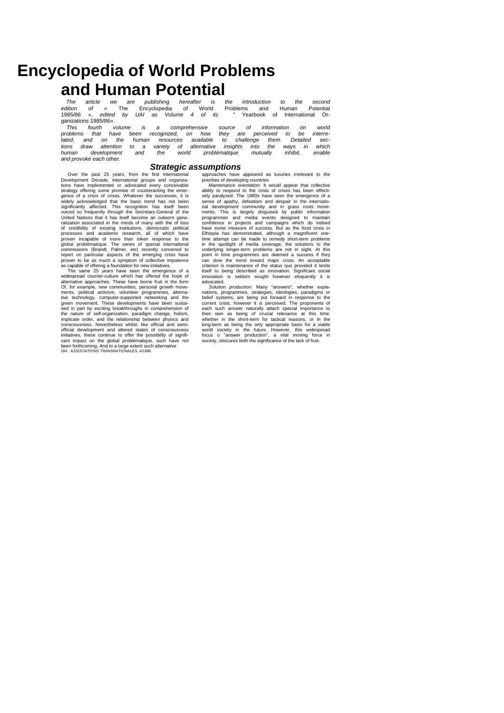# **Encyclopedia of World Problems**

**and Human Potential**<br>The article we are publishing hereafter is the introduction<br>edition of « The Encyclopedia of World Problems and<br>Net its "Yearbook The article we are publishing hereafter is the introduction to the second<br>edition of « The Encyclopedia of World Problems and Human Potential<br>1985/86 », edited by UAI as Volume 4 of its " Yearbook of International Organizations 1985/86».

This fourth volume is a comprehensive source of information on world<br>problems that have been recognized, on how they are perceived to be interre-<br>lated, and on the human resources available to challenge them. Detailed sec*and provoke each other.*

### *Strategic assumptions*

Over the past 25 years, from the first International Development Decade, international groups and organiza-tions have implemented or advocated every conceivable strategy offering some promise of counteracting the emergence of a crisis of crises. Whatever the successes, it is widely acknowledged that the basic trend has not been significantly affected. This recognition has itself been voiced so frequently through the Secretary-General of the United Nations that it has itself become an outworn generalization associated in the minds of many with the of loss of credibility of existing institutions, democratic political processes and academic research, all of which have proven incapable of more than token response to the global problématique. The series of special international commissions (Brandt, Palmer, etc) recently convened to report on particular aspects of the emerging crisis have

proven to be as much a symptom of collective impotence<br>as capable of offering a foundation for new initiatives.<br>The same 25 years have seen the emergence of a<br>widespread counter-culture which has offered the hope of alternative approaches. These have borne fruit in the form Of, for example, new communities, personal growth move-ments, political activism, volunteer programmes, alternative technology, computer-supported networking and the green movement. These developments have been sustained in part by exciting breakthroughs in comprehension of the nature of self-organization, paradigm change, holism, implicate order, and the relationship between physics and consciousness. Nevertheless whilst, like official and semi-official development and altered states of consciousness initiatives, these continue to offer the possibility of signifi-cant impact on the global problématique, such have not been forthcoming, And to a large extent such alternative 184 ASSOCIATIONS TRANSNATIONALES. 4/1986

approaches have appeared as luxuries irrelevant to the priorities of developing countries. *Maintenance orientation:* It would appear that collective

ability to respond to the crisis of crises has been effectively paralyzed. The 1980s have seen the emergence of a sense of apathy, defeatism and despair in the internatio-nal development community and in grass roots move-ments. This is largely disguised by public information programmes and media events designed to maintain confidence in projects and campaigns which do indeed have some measure of success. But as the food crisis in Ethiopia has demonstrated, although a magnificent onetime attempt can be made to remedy short-term problems<br>in the spotlight of media coverage, the solutions to the<br>underlying longer-term problems are not in sight. At this<br>point in time programmes are deemed a success if the can slow the trend toward major crisis. An acceptable<br>criterion is maintenance of the status quo provided it lends<br>itself to being described as innovation. Significant social<br>innovation is seldom sought however eloquently advocated.

*Solution production:* Many "answers", whether expla-nations, programmes, strategies, ideologies, paradigms or belief systems, are being put forward in response to the current crisis, however it is perceived. The proponents of each such answer naturally attach special importance to their own as being of crucial relevance at this time. whether in the short-term for tactical reasons, or in the long-term as being the only appropriate basis for a viable<br>world society in the future. However, this widespread<br>focus o "answer production", a vital moving force in<br>society, obscures both the significance of the lack of f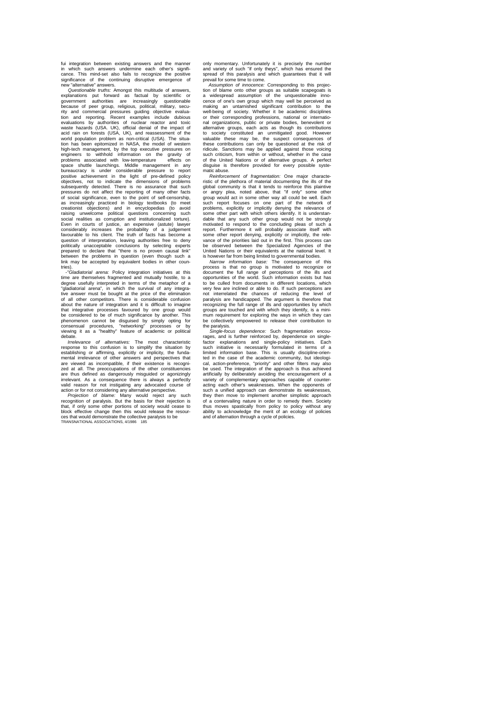fui integration between existing answers and the manner in which such answers undermine each other's significance. This mind-set also fails to recognize the positive significance of the continuing disruptive emergence of new "alternative" answers. *Questionable truths:* Amongst this multitude of answers,

explanations put forward as factual by scientific or<br>government authorities are increasingly questionable<br>because of peer group, religious, political, military, secu-<br>rity and commercial pressures guiding objective evaluaevaluations by authorities of nuclear reactor and toxic waste hazards (USA. UK), official denial of the impact of acid rain on forests (USA, UK), and reassessment of the world population problem as non-critical (USA). The situa-tion has been epitomized in NASA, the model of western high-tech management, by the top executive pressures on engineers to withhold information on the gravity of problems associated with low-temperature effects on<br>space shuttle launchings. Middle management in any<br>bureaucracy is under considerable pressure to report<br>positive achievement in the light of pre-defined policy<br>objectives subsequently detected. There is no assurance that such pressures do not affect the reporting of many other facts of social significance, even to the point of self-censorship, as increasingly practiced in biology textbooks (to meet creationist objections) and in encyclopedias (to avoid raising unwelcome political questions concerning such social realities as corruption and institutionalized torture). Even in courts of justice, an expensive (astute) lawyer<br>considerably increases the probability of a judgement<br>favourable to his client. The truth of facts has become a<br>question of interpretation, leaving authorities free t politically unacceptable conclusions by selecting experts prepared to declare that "there is no proven causal link" between the problems in question (even though such a link may be accepted by equivalent bodies in other countries).

"Gladiatorial arena: Policy integration initiatives at this<br>time are themselves fragmented and mutually hostile, to a<br>degree usefully interpreted in terms of the metaphor of a<br>"gladiatorial arena", in which the survival of tive answer must be bought at the price of the elimination of all other competitors. There is considerable confusion about the nature of integration and it is difficult to imagine that integrative processes favoured by one group would<br>be considered to be of much significance by another. This<br>phenomenon cannot be disguised by simply opting for<br>consensual procedures, "networking" processes or by<br>viewi

*Irrelevance of alternatives:* The most characteristic response to this confusion is to simplify the situation by establishing or affirming explicitly or implicity, the fundamental irrelevance of other answers and perspectives that are viewed as incompatible, if their existence is recognized at all. The preoccupations of the other constituencies are thus defined as dangerously misguided or agonizingly irrelevant. As a consequence there is always a perfectly valid reason for not instigating any advocated course of action or for not considering any alternative perspective.

*Projection of blame:* Many would reject any such recognition of paralysis. But the basis for their rejection is<br>that, if only some other portions of society would cease to<br>block effective change then this would release th ces that would demonstrate the collective paralysis to be TRANSNATIONAL ASSOCIATIONS, 4/1986 185

only momentary. Unfortunately it is precisely the number and variety of such "if only theys", which has ensured the spread of this paralysis and which guarantees that it will prevail for some time to come.

*Assumption of innocence:* Corresponding to this projec-tion of blame onto other groups as suitable scapegoats is a widespread assumption of the unquestionable innocence of one's own group which may well be perceived as<br>making an untarnished significant contribution to the<br>well-being of society. Whether it be academic disciplines<br>or their corresponding professions, national or intern nal organizations, public or private bodies, benevolent or<br>alternative groups, each acts as though its contributions<br>to society constituted an unmitigated good. However<br>valuable these may be, the suspect consequences of<br>th ridicule. Sanctions may be applied against those voicing such criticism, from within or without, whether in the case of the United Nations or of alternative groups. A perfect disguise is therefore provided for every possible systedisguise is therefore provided for every matic abuse.

*Reinforcement of fragmentation:* One major characte-ristic of the plethora of material documenting the ills of the global community is that it tends to reinforce this plaintive<br>or angry plea, noted above, that "if only" some other<br>group would act in some other way all could be well. Each<br>such report focuses on one part of the network o problems, explicitly or implicitly denying the relevance of some other part with which others identify. It is understan-dable that any such other group would not be strongly motivated to respond to the concluding pleas of such a report. Furthermore it will probably associate itself with some other report denying, explicitly or implicitly, the rele-vance of the priorities laid out in the first. This process can be observed between the Specialized Agencies of the

United Nations or their equivalents at the national level. It<br>is however far from being limited to governmental bodies.<br>Narrow information base: The consequence of this<br>process is that no group is motivated to recognize or document the full range of perceptions of the ills and opportunities of the world. Such information exists but has to be culled from documents in different locations, which very few are inclined or able to do. If such perceptions are not interrelated the chances of reducing the level of paralysis are handicapped. The argument is therefore that recognizing the full range of ills and opportunities by which groups are touched and with which they identify, is a mini-mum requirement for exploring the ways in which they can be collectively empowered to release their contribution to the paralysis.

*Single-focus dependence:* Such fragmentation encourages, and is further reinforced by, dependence on single-<br>factor explanations and single-policy initiatives. Each<br>such initiative is necessarily formulated in terms of a<br>limited information base. This is usually disciplin ted in the case of the academic community, but ideologi-cal, action-preference, "priority" and other filters may also be used. The integration of the approach is thus achieved artificially by deliberately avoiding the encouragement of a<br>variety of complementary approaches capable of counter-<br>acting each other's weaknesses. When the opponents of<br>such a unified approach can demonstrate its weaknes they then move to implement another simplistic approach<br>of a contervailing nature in order to remedy them. Society<br>thus moves spastically from policy to policy without any<br>ability to acknowledge the merit of an ecology of and of alternation through a cycle of policies.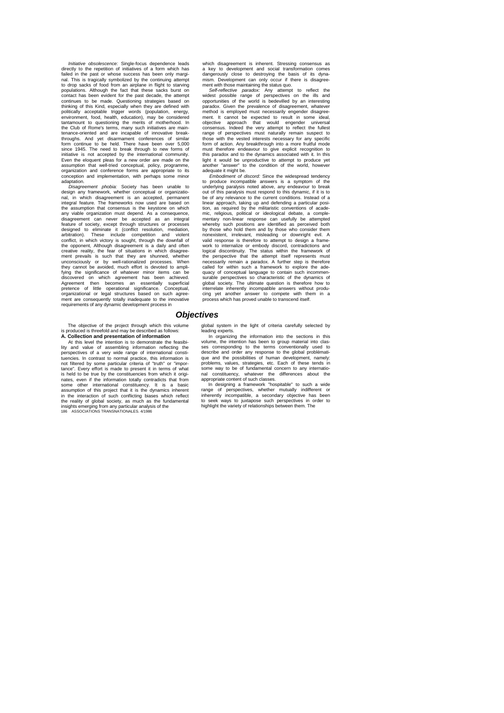*Initiative obsolescence:* Single-focus dependence leads directly to the repetition of initiatives of a form which has failed in the past or whose success has been only marginal. This is tragically symbolized by the continuing attempt to drop sacks of food from an airplane in flight to starving to drop sacks of food from an airplane in flight to starving populations. Although the fact that these sacks burst on contact has been evident for the past decade, the attempt continues to be made. Questioning strategies based on thinking of this Kind, especially when they are defined with politically acceptable trigger words (population, energy, environment, food, health, education), may be considered tantamount to questioning the merits of motherhood. In the Club of Rome's terms, many such initiatives are main-tenance-oriented and are incapable of innovative breakthroughs. And yet disarmament conferences of similar form continue to be held. There have been over 5,000 since 1945. The need to break through to new forms of initiative is not accepted by the international community. Even the eloquent pleas for a new order are made on the assumption that well-tried conceptual, policy, programme, organization and conference forms are appropriate to its conception and implementation, with perhaps some minor adaptation.

*Disagreement phobia:* Society has been unable to design any framework, whether conceptual or organizational, in which disagreement is an accepted, permanent integral feature. The frameworks now used are based on the assumption that consensus is the keystone on which any viable organization must depend. As a consequence, disagreement can never be accepted as an integral feature of society, except through structures or processes designed to eliminate it (conflict resolution, mediation, arbitration). These include competition and violent conflict, in which victory is sought, through the downfall of the opponent, Although disagreement is a daily and often<br>creative reality, the fear of situations in which disagree-<br>ment prevails is such that they are shunned, whether<br>unconsciously or by well-rationalized processes. Whe fying the significance of whatever minor items can be discovered on which agreement has been achieved. Agreement then becomes an essentially superficial pretence of little operational significance. Conceptual, organizational or legal structures based on such agree-ment are consequently totally inadequate to the innovative requirements of any dynamic development process in

The objective of the project through which this volume is produced is threefold and may be described as follows: **A. Collection and presentation of information**

At this level the intention is to demonstrate the feasibi-lity and value of assembling information reflecting the perspectives of a very wide range of international constituencies. In contrast to normal practice, this information is not filtered by some particular criteria of "truth" or "importance". Every effort is made to present it in terms of what is held to be true by the constituencies from which it originates, even if the information totally contradicts that from<br>some other international constituency. It is a basic<br>assumption of this project that it is the dynamics inherent<br>in the interaction of such conflicting biases wh which disagreement is inherent. Stressing consensus as a key to development and social transformation comes dangerously close to destroying the basis of its dyna-mism. Development can only occur if there is disagree-

ment with those maintaining the status quo.<br>*Self-reflective paradox:* Any attempt to reflect the<br>widest possible range of perspectives on the ills and opportunities of the world is bedevilled by an interesting paradox. Given the prevalence of disagreement, whatever method is employed must necessarily engender disagree-ment. It cannot be expected to result in some ideal, objective approach that would engender universal consensus. Indeed the very attempt to reflect the fullest range of perspectives must naturally remain suspect to those with the vested interests necessary for any specific form of action. Any breakthrough into a more fruitful mode must therefore endeavour to give explicit recognition to this paradox and to the dynamics associated with it. In this light it would be unproductive to attempt to produce yet another "answer" to the condition of the world, however

adequate it might be. *Embodiment of discord:* Since the widespread tendency to produce incompatible answers is a symptom of the underlying paralysis noted above, any endeavour to break out of this paralysis must respond to this dynamic, if it is to be of any relevance to the current conditions. Instead of a linear approach, taking up and defending a particular posi-<br>tion, as required by the militaristic conventions of acade-<br>mic, religious, political or ideological debate, a comple-<br>mentary non-linear response can usefully be whereby such positions are identified as perceived both<br>by those who hold them and by those who consider them<br>nonexistent, irrelevant, misleading or downright evil. A<br>valid response is therefore to attempt to design a fram work to internalize or embody discord, contradictions and logical discontinuity. The status within the framework of logical discontinuity. The status within the framework of the perspective that the attempt itself represents must necessarily remain a paradox. A further step is therefore called for within such a framework to explore the adequacy of conceptual language to contain such incommen-<br>surable perspectives so characteristic of the dynamics of<br>global society. The ultimate question is therefore how to<br>interrelate inherently incompatible answers without cing yet another answer to compete with them in a process which has proved unable to transcend itself.

### *Objectives*

global system in the light of criteria carefully selected by eading experts.

In organizing the information into the sections in this<br>
volume the intention has been to group material into clasvolume, the intention has been to group material into clas-ses corresponding to the terms conventionally used to describe and order any response to the global problématique and the possibilities of human development, namely: problems, values, strategies, etc. Each of these tends in some way to be of fundamental concern to any international constituency, whatever the differences about the appropriate content of such classes.<br>In designing a framework "box

In designing a framework "hospitable" to such a wide range of perspectives, whether mutually indifferent or inherently incompatible, a secondary objective has been to seek ways to juxtapose such perspectives in order to highlight the variety of relationships between them. The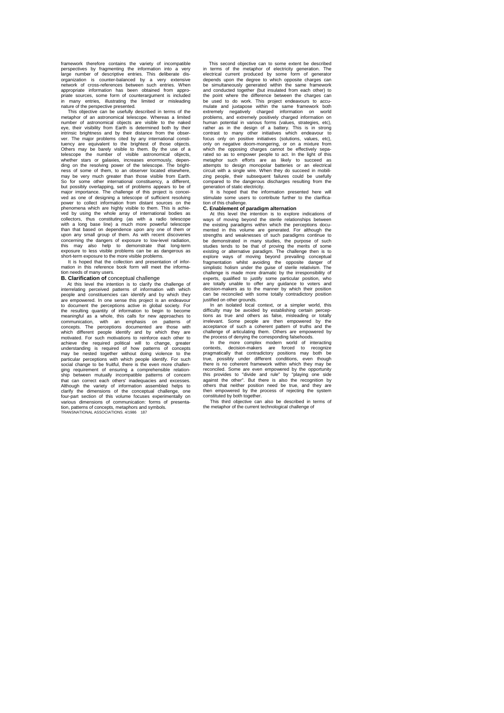framework therefore contains the variety of incompatible perspectives by fragmenting the information into a very large number of descriptive entries. This deliberate disorganization is counter-balanced by a very extensive network of cross-references between such entries. When appropriate information has been obtained from appro-priate sources, some form of counterargument is included in many entries, illustrating the limited or misleading nature of the perspective presented.

This objective can be usefully described in terms of the metaphor of an astronomical telescope. Whereas a limited number of astronomical objects are visible to the naked eye, their visibility from Earth is determined both by their intrinsic brightness and by their distance from the observer. The major problems cited by any international constituency are equivalent to the brightest of those objects. Others may be barely visible to them. By the use of a telescope the number of visible astronomical objects, whether stars or galaxies, increases enormously, depending on the resolving power of the telescope. The brightness of some of them, to an observer located elsewhere, may be very much greater than those visible from Earth.<br> but possibly overlapping, set of problems appears to be of major importance. The challenge of this project is conceived as one of designing a telescope of sufficient resolving power to collect information from distant sources on the phenomena which are highly visible to them. This is achie-ved by using the whole array of international bodies as collectors, thus constituting (as with a radio telescope with a long base line) a much more powerful telescope<br>than that based on dependence upon any one of them or<br>upon any small group of them. As with recent discoveries<br>concerning the dangers of exposure to low-level radiation this may also help to demonstrate that long-term exposure to less visible problems can be as dangerous as

short-term exposure to the more visible problems. It is hoped that the collection and presentation of infor-mation in this reference book form will meet the informa-

### tion needs of many users. **B. Clarification of** conceptual challenge

At this level the intention is to clarify the challenge of interrelating perceived patterns of information with which people and constituencies can identify and by which they are empowered. In one sense this project is an endeavour to document the perceptions active in global society. For the resulting quantity of information to begin to become meaningful as a whole, this calls for new approaches to communication, with an emphasis on patterns of concepts. The perceptions documented are those with which different people identify and by which they are motivated. For such motivations to reinforce each other to achieve the required political will to change, greater understanding is required of how patterns of concepts may be nested together without doing violence to the particular perceptions with which people identify. For such social change to be fruitful, there is the even more challen-<br>ging requirement of ensuring a comprehensible relation-<br>ship between mutually incompatible patterns of concern<br>that can correct each others' inadequacies and ex Although the variety of information assembled helps to<br>clarify the dimensions of the conceptual challenge, one<br>four-part section of this volume focuses experimentally on<br>various dimensions of communication: forms of presen tion, patterns of concepts, metaphors and symbols. TRANSNATIONAL ASSOCIATIONS. 4/1986 187

This second objective can to some extent be described in terms of the metaphor of electricity generation. The electrical current produced by some form of generator depends upon the degree to which opposite charges can be simultaneously generated within the same framework and conducted together (but insulated from each other) to the point where the difference between the charges can be used to do work. This project endeavours to accu-mulate and juxtapose within the same framework both extremely negatively charged information on world problems, and extremely positively charged information on human potential in various forms (values, strategies, etc), rather as in the design of a battery. This is in strong contrast to many other initiatives which endeavour to focus only on positive initiatives (solutions, values, etc),<br>only on negative doom-mongering, or on a mixture from<br>which the opposing charges cannot be effectively sepa-<br>rated so as to empower people to act. In the light o metaphor such efforts are as likely to succeed as attempts to design monopolar batteries or an electrical circuit with a single wire. When they do succeed in mobili-zing people, their subsequent failures could be usefully compared to the dangerous discharges resulting from the

generation of static electricity. It is hoped that the information presented here will stimulate some users to contribute further to the clarification of this challenge.

#### **C. Enablement of paradigm alternation**

At this level the intention is to explore indications of ways of moving beyond the sterile relationships between the existing paradigms within which the perceptions docu-mented in this volume are generated. For although the strengths and weaknesses of such paradigms continue to be demonstrated in many studies, the purpose of such studies tends to be that of proving the merits of some existing or alternative paradigm. The challenge then is to explore ways of moving beyond prevailing conceptual fragmentation whilst avoiding the opposite danger of simplistic holism under the guise of sterile relativism. The challenge is made more dramatic by the irresponsibility of experts, qualified to justify some particular position, who are totally unable to offer any guidance to voters and decision-makers as to the manner by which their position can be reconciled with some totally contradictory position justified on other grounds.

In an isolated local context, or a simpler world, this difficulty may be avoided by establishing certain percep-tions as true and others as false, misleading or totally irrelevant. Some people are then empowered by the acceptance of such a coherent pattern of truths and the challenge of articulating them. Others are empowered by the process of denying the corresponding falsehoods. In the more complex modern world of interacting

contexts, decision-makers are forced to recognize<br>pragmatically that contradictory positions may both be<br>true, possibly under different conditions, even though<br>there is no coherent framework within which they may be<br>reconc this provides to "divide and rule" by "playing one side against the other". But there is also the recognition by others that neither position need be true, and they are then empowered by the process of rejecting the system

constituted by both together. This third objective can also be described in terms of the metaphor of the current technological challenge of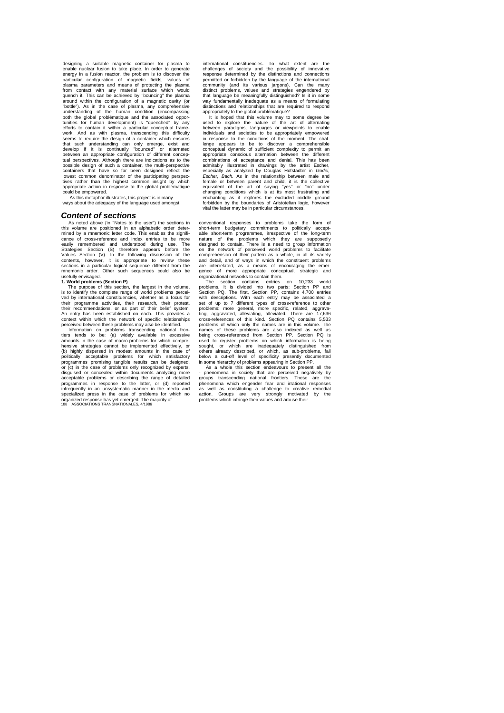designing a suitable magnetic container for plasma to enable nuclear fusion to take place. In order to generate energy in a fusion reactor, the problem is to discover the particular configuration of magnetic fields, values of plasma parameters and means of protecting the plasma from contact with any material surface which would quench it. This can be achieved by "bouncing" the plasma around within the configuration of a magnetic cavity (or "bottle"). As in the case of plasma, any comprehensive understanding of the human condition (encompassing both the global problématique and the associated opportunities for human development) is "quenched" by any<br>efforts to contain it within a particular conceptual frame-<br>work. And as with plasma, transcending this difficulty<br>seems to require the design of a container which ensur that such understanding can only emerge, exist and develop if it is continually "bounced" or alternated between an appropriate configuration of different conceptual perspectives. Although there are indications as to the possible design of such a container, the multi-perspective containers that have so far been designed reflect the lowest common denominator of the participating perspec-tives rather than the highest common insight by which appropriate action in response to the global problématique could be empowered.

As this metaphor illustrates, this project is in many ways about the adequacy of the language used amongst

#### *Content of sections*

As noted above {in "Notes to the user") the sections in this volume are positioned in an alphabetic order deter-mined by a mnemonic letter code. This enables the significance of cross-reference and index entries to be more easily remembered and understood during use. The Strategies Section (S) therefore appears before the Values Section (V). In the following discussion of the contents, however, it is appropriate to review these sections in a particular logical sequence different from the mnemonic order. Other such sequences could also be

### usefully envisaged. **1. World problems (Section P)**

The purpose of this section, the largest in the volume, is to identify the complete range of world problems perceived by international constituencies, whether as a focus for their programme activities, their research, their protest, their recommendations, or as part of their belief system. An entry has been established on each. This provides a context within which the network of specific relationships

perceived between these problems may also be identified. Information on problems transcending national frontiers tends to be: (a) widely available in excessive amounts in the case of macro-problems for which comprehensive strategies cannot be implemented effectively, or (b) highly dispersed in modest amounts in the case of politically acceptable problems for which satisfactory programmes promising tangible results can be designed, or (c) in the case of problems only recognized by experts, disguised or concealed within documents analyzing more acceptable problems or describing the range of detailed programmes in response to the latter, or (d) reported infrequently in an unsystematic manner in the media and specialized press in the case of problems for which no organized response has yet emerged. The majority of 188 ASSOCIATIONS TRANSNATIONALES, 4/1986

international constituencies. To what extent are the challenges of society and the possibility of innovative response determined by the distinctions and connections permitted or forbidden by the language of the international community (and its various jargons). Can the many distinct problems, values and strategies engendered by that language be meaningfully distinguished? Is it in some way fundamentally inadequate as a means of formulating distinctions and relationships that are required to respond appropriately to the global problématique?

is hoped that this volume may to some degree be used to explore the nature of the art of alternating between paradigms, languages or viewpoints to enable individuals and societies to be appropriately empowered in response to the conditions of the moment. The challenge appears to be to discover a comprehensible conceptual dynamic of sufficient complexity to permit an appropriate conscious alternation between the different combinations of acceptance and denial. This has been admirably illustrated in drawings by the artist Escher,<br>especially as analyzed by Douglas Hofstadter in G*odei,*<br>Esc*her, Bach.* As in the relationship between male and<br>female or between parent and child, it is the collect equivalent of the art of saying "yes" or "no" under changing conditions which is at its most frustrating and enchanting as it explores the excluded middle ground forbidden by the boundaries of Aristotelian logic, however vital the latter may be in particular circumstances.

conventional responses to problems take the form of short-term budgetary commitments to politically accept-able short-term programmes, irrespective of the long-term nature of the problems which they are supposedly<br>designed to contain. There is a need to group information<br>on the network of perceived world problems to facilitate<br>comprehension of their pattern as a whole, in all its vari and detail, and of ways in which the constituent problems are interrelated, as a means of encouraging the emer-gence of more appropriate conceptual, strategic and

organizational networks to contain them.<br>The section contains entries<br>problems. It is divided into two particles. The section contains entries on 10,233 world problems. It is divided into two parts: Section PP and Section PQ. The first, Section PP, contains 4,700 entries with descriptions. With each entry may be associated a<br>set of up to 7 different types of cross-reference to other<br>problems: more general, more specific, related, aggrava-<br>ting, aggravated, alleviating, alleviated. There ar problems of which only the names are in this volume. The names of these problems are also indexed as well as being cross-referenced from Section PP. Section PQ is used to register problems on which information is being sought, or which are inadequately distinguished from others already described, or which, as sub-problems, fall below a cut-off level of specificity presently documented

in some hierarchy of problems appearing in Section PP. As a whole this section endeavours to present all the - phenomena in society that are perceived negatively by groups transcending national frontiers. These are the phenomena which engender fear and irrational responses as well as constituting a challenge to creative remedial action. Groups are very strongly motivated by the problems which infringe their values and arouse their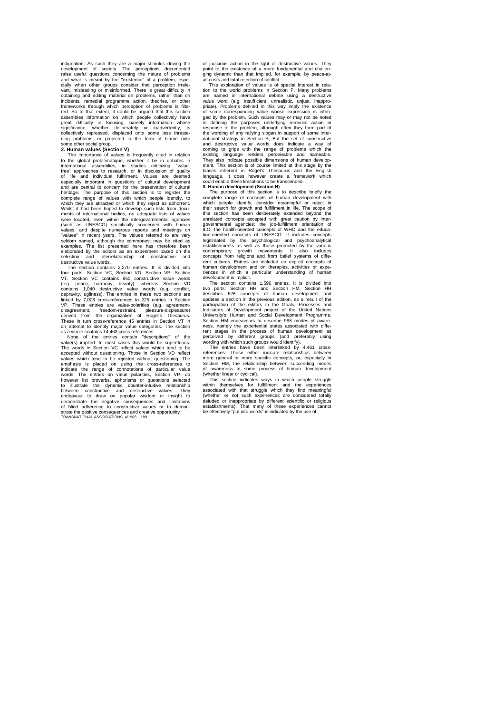indignation. As such they are a major stimulus driving the development of society. The perceptions documented raise useful questions concerning the nature of problems and what is meant by the "existence" of a problem, especially when other groups consider that perception irrele-vant, misleading or misinformed. There is great difficulty in obtaining and editing material on problems, rather than on incidents, remedial programme action, theories, or other frameworks through which perception of problems is filtered. So to that extent, it could be argued that this section assembles information on which people collectively have great difficulty in focusing, namely information whose significance, whether deliberately or inadvertently, is collectively repressed, displaced onto some less threatening problems, or projected in the form of blame onto some other social group.

#### **2. Human values (Section V)**

The importance of values is frequently cited in relation to the global problématique, whether it be in debates in international assemblies, in studies criticizing "value-free" approaches to research, or in discussion of quality of life and individual fulfillment. Values are deemed especially important in questions of cultural development and are central to concern for the preservation of cultural heritage. The purpose of this section is to register the complete range of values with which people identify, to which they are attracted or which they reject as abhorrent.<br>Whilst it had been hoped to develop such lists from docu-<br>ments of international bodies, no adequate lists of values<br>were located, even within the intergovernment (such as UNESCO) specifically concerned with human values, and despite numerous reports and meetings on values, and despite numerous reports and meetings on<br>"values" in recent years. The values referred to are very seldom named, although the commonest may be cited as examples. The list presented here has therefore been elaborated by the editors as an experiment based on the selection and interrelationship of constructive and destructive value words.

The section contains 2,270 entries. It is divided into four parts: Section VC, Section VD, Section VP, Section VT. Section VC contains 960 constructive value words (e.g. peace, harmony, beauty), whereas Section VD contains 1,040 destructive value words (e.g. conflict, depravity, ugliness). The entries in these two sections are linked by 7,008 cross-references to 225 entries in Section 2.<br>linked by 7,008 cross-references to 225 entries in Section These entries are value-polarities (e.g. agreementdisagreement, freedom-restraint, pleasure-displeasure) derived from the organization of Roget's Thesaurus. These in turn cross-reference 45 entries in Section VT in an attempt to identify major value categories. The section as a whole contains 14,463 cross-references.

None of the entries contain "descriptions" of the value(s) implied. In most cases this would be superfluous. The words in Section VC reflect values which tend to be accepted without questioning. Those in Section VD reflect<br>values which tend to be rejected without questioning. The<br>emphasis is placed on using the cross-references to<br>indicate the range of connotations of particular value words. The entries on value polarities, Section VP. do<br>however list proverbs, aphorisms or quotations selected<br>to illustrate the dynamic counter-intuitive relationship<br>between constructive and destructive values. They<br>ende demonstrate the negative consequences and limitations of blind adherence to constructive values or to demonstrate the positive consequences and creative opportunity TRANSNATIONAL ASSOCIATIONS, 4/1986 189

of judicious action in the light of destructive values. They point to the existence of a more fundamental and challenging dynamic than that implied, for example, by peace-atall-costs and total rejection of conflict.

This exploration of values is of special interest in rela-tion to the world problems in Section P. Many problems are named in international debate using a destructive value word (e.g. insufficient, unrealistic, unjust, inappro-priate). Problems defined in this way imply the existence of some corresponding value whose expression is infrin-ged by the problem. Such values may or may not be noted in defining the purposes underlying remedial action in response to the problem, although often they form part of the wording of any rallying slogan in support of some international strategy in Section S, But the set of constructive and destructive value words does indicate a way of coming to grips with the range of problems which the existing language renders perceivable and nameable. They also indicate possible dimensions of human develop-ment. This section is of course limited at this stage by the biases inherent in Roget's Thesaurus and the English language. It does however create a framework which could enable these limitations to be transcended.

**3. Human development (Section H)**<br>
The purpose of this section is to describe briefly the<br>
complete range of concepts of human development with<br>
which people identify, consider meaningful or reject in their search for growth and fulfillment in life. The scope of this section has been deliberately extended beyond the unrelated concepts accepted with great caution by intergovernmental agencies: the job-fulfillment orientation of<br>ILO the health-oriented concepts of WHO and the educa-ILO. the health-oriented concepts of WHO and the educa-<br>tion-oriented concepts of UNESCO. It includes concepts<br>legitimated by the psychological and psychoanalytical<br>setablishments as well as those promoted by the various<br>c concepts from religions and from belief systems of diffe-rent cultures. Entries are included on explicit concepts of human development and on therapies, activities or experiences in which a particular understanding of human development is implicit.

The section contains 1,596 entries. It is divided into<br>two parts: Section HH and Section HM, Section HH<br>describes 628 concepts of human development and<br>updates a section in the previous edition, as a result of the<br>particip Indicators of Development project of the United Nations University's Human and Social Development Programme. Section HM endeavours to describe 968 modes of ness, namely the experiential states associated with different stages in the process of human development as<br>perceived by different groups (and preferably using perceived by different groups (and preferably using wording with which such groups would identify). The entries have been interlinked by 4.461 cross-

references. These either indicate relationships between more general or more specific concepts, or, especially in Section HM, the relationship between succeeding modes of awareness in some process of human development (whether linear or cyclical).

This section indicates ways in which people struggle within themselves for fulfillment and the experiences associated with that struggle which they find meaningful (whether or not such experiences are considered totally<br>deluded or inappropriate by different scientific or religious<br>establishments). That many of these experiences cannot<br>be effectively "put into words" is indicated by t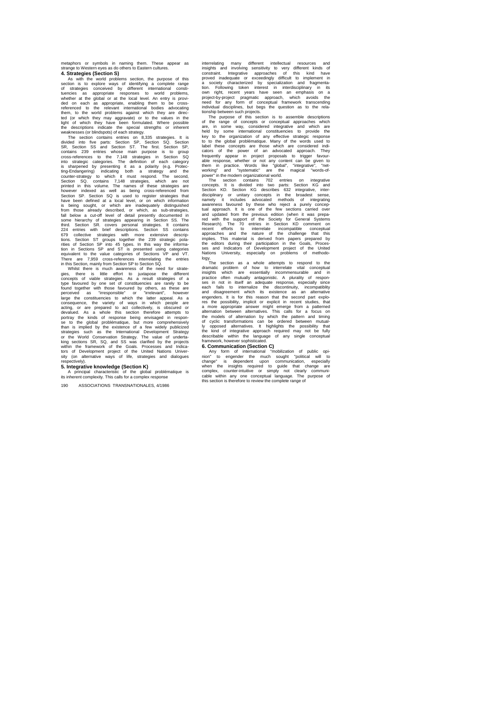metaphors or symbols in naming them. These appear as strange to Western eyes as do others to Eastern cultures. **4. Strategies (Section S)**

As with the world problems section, the purpose of this section is to explore ways of identifying a complete range of strategies conceived by different international constituencies as appropriate responses to world problems, whether at the global or at the local level. An entry is provided on each as appropriate, enabling them to be cross-referenced to the relevant international bodies advocating them, to the world problems against which they are direc-ted (or which they may aggravate) or to the values in the light of which they have been formulated. Where possible

the descriptions indicate the special strengths or inherent<br>weaknesses (or blindspots) of each strategy.<br>The section contains entries on 8,335 strategies. It is<br>divided into five parts: Section SP, Section SO, Section SP,<br> rave been defined at a local level, or on which information<br>is being sought, or which are inadequately distinguished<br>from those already described, or which, as sub-strategies,<br>fall below a cut-off level of detail presently fall below a cut-off level of detail presently documented in<br>some hierarchy of strategies appearing in Section SS. The<br>some hierarchy of strategies appearing in Section SS. Contains<br>1224 entrines with brief descriptions. S

large the constituencies to which the latter appeal. As a consequence, the variety of ways in which people are range the consumernees to which was in which people are<br>acting, or are prepared to act collectively, is obscured o<br>devalued. As a whole this section therefore attempts to acting, or are prepared to act collectively, is obscured or<br>devalued. As a whole this section therefore attempts to<br>portray the kinds of response being envisaged in respon-<br>than is implied by the existence of a few widely

**5. Integrative knowledge (Section K)**

A principal characteristic of the global problématique is its inherent complexity. This calls for a complex response

190 ASSOCIATIONS TRANSNATIONALES, 4/1986

interrelating many different intellectual resources and insofising many different kinds of constraint. Integrative approaches of this kind have proved inadequate or exceedingly difficult to implement in a society character

tionship between such projects.<br>The purpose of this section is to assemble descriptions<br>of the range of concepts or conceptual approaches which<br>are, in some way, considered integrative and which are<br>held by some internatio

label these concepts are those windows calcular cansidered in<br>discussions of the power of an advocated approach. They<br>frequently appear in project proposals to trigger favour-<br>able response, whether or not any content can ses and Indicators of Development projects of the editors during their participation in the Goals, Processes and Indicators of Development project of the United Nations University, especially on problems of methodo-

Nations University, especially on problems of methodo-<br>Nations University, especially on problems of the drampt<br>The section as a whole attempts to respond to the<br>dramatic problem of how to intertalle with according<br>Instiga of cyclic transformations can be ordered between mutual-<br>ty opposed alternatives. It highlights the possibility that<br>the kind of integrative approach required may not be fully<br>describable within the language of any single

#### **6. Communication (Section C)**

Any form of international "mobilization of public opinal<br>inon" to engender the much sought "political will to<br>change" is dependent upon communication, especially<br>when the insights required to guide that change are<br>complex,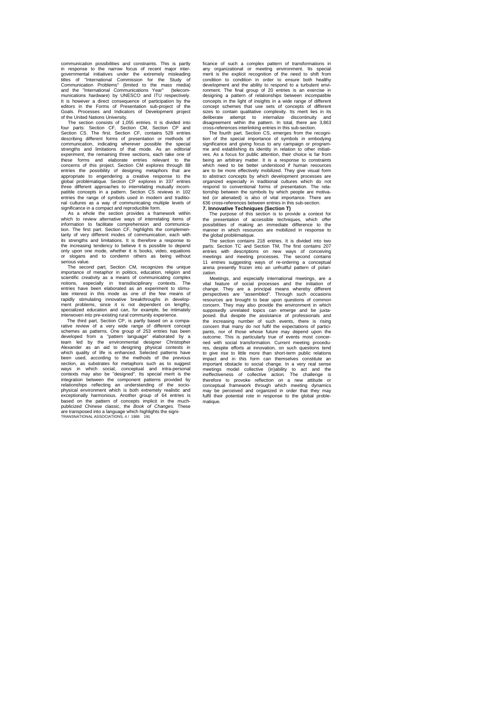communication possibilities and constraints. This is partly in response to the narrow focus of recent major intergovernmental initiatives under the extremely misleading titles of "International Commission for the Study of Communication Problems" (limited to the mass media) and the "International Communications Year" (telecom-munications hardware) by UNESCO and ITU respectively. It is however a direct consequence of participation by the editors in the Forms of Presentation sub-project of the Goals. Processes and Indicators of Development project of the United Nations University.

The section consists of 1,055 entries. It is divided into<br>four parts: Section CF, Section CM, Section CP and<br>Section CS. The first. Section CF, contains 528 entries<br>describing different forms of presentation or methods of<br> these forms and elaborate entries relevant to the concerns of this project. Section CM explores through 88 entries the possibility of designing metaphors that are appropriate to engendering a creative response to the global problématique. Section CP explores in 337 entries three different approaches to interrelating mutually incom-patible concepts in a pattern. Section CS reviews in 102 entries the range of symbols used in modern and traditio-<br>entries the range of symbols used in modern and traditional cultures as a way of communicating multiple levels of

significance in a compact and reproducible form. As a whole the section provides a framework within which to review alternative ways of interrelating items of information to facilitate comprehension and communica-tion. The first part. Section CF, highlights the complementarity of very different modes of communication, each with its strengths and limitations. It is therefore a response to the increasing tendency to believe it is possible to depend only upon one mode, whether it is books, video, equations or slogans and to condemn others as being without or slogans<br>serious value.

The second part, Section CM, recognizes the unique importance of metaphor in politics, education, religion and<br>scientific creativity as a means of communicating complex<br>notions, especially in transdisciplinary contexts. The<br>entries have been elaborated as an experiment to late interest in this mode as one of the few means of rapidly stimulating innovative breakthroughs in develop-<br>ment problems, since it is not dependent on lengthy,<br>specialized education and can, for example, be intimately

interwoven into pre-existing rural community experience.<br>The third part, Section CP, is partly based on a comparative review of a very wide range of different concept<br>chemes as patterns. One group of 253 entries has been<br>d been used, according to the methods of the previous section, as substrates for metaphors such as to suggest ways in which social, conceptual and intra-personal<br>contexts may also be "designed". Its special merit is the<br>integration between the component patterns provided by<br>relationships reflecting an understanding of the socio-<br>p exceptionally harmonious. Another group of 64 entries is based on the pattern of concepts implicit in the much-publicized Chinese classic, the *Book of Changes.* These are transposed into a language which highlights the signi-TRANSNATIONAL ASSOCIATIONS, 4 / 1986 191

ficance of such a complex pattern of transformations in any organizational or meeting environment. Its special merit is the explicit recognition of the need to shift from condition to condition in order to ensure both healthy development and the ability to respond to a turbulent envi-ronment. The final group of 20 entries is an exercise in designing a pattern of relationships between incompatible concepts in the light of insights in a wide range of different concept schemes that use sets of concepts of different sizes to contain qualitative complexity. Its merit lies in its deliberate attempt to internalize discontinuity and disagreement within the pattern. In total, there are 3,863

cross-references interlinking entries in this sub-section. The fourth part. Section CS, emerges from the recognition of the special importance of symbols in embodying significance and giving focus to any campaign or program-me and establishing its identity in relation to other initiati-ves. As a focus for public attention, their choice is far from being an arbitrary matter. It is a response to constraints which need to be better understood if human resources are to be more effectively mobilized. They give visual form to abstract concepts by which development processes are organized especially in traditional cultures which do not respond to conventional forms of presentation. The rela-tionship between the symbols by which people are motiva-ted (or alienated} is also of vital importance. There are 636 cross-references between entries in this sub-section. **7. Innovative Techniques (Section T)**

The purpose of this section is to provide a context for the presentation of accessible techniques, which offer possibilities of making an immediate difference to the manner in which resources are mobilized in response to the global problématique.

The section contains 218 entries. It is divided into two parts: Section TC and Section TM, The first contains 207 entries with descriptions on new ways of conceiving meetings and meeting processes. The second contains 11 entries suggesting ways of re-ordering a conceptual arena presently frozen into an unfruitful pattern of polarization.

Meetings, and especially international meetings, are a vital feature of social processes and the initiation of change. They are a principal means whereby different perspectives are "assembled". Through such occasions resources are brought to bear upon questions of common concern. They may also provide the environment in which supposedly unrelated topics can emerge and be juxta-posed. But despite the assistance of professionals and the increasing number of such events, there is rising concern that many do not fulfil the expectations of partici-pants, nor of those whose future may depend upon the outcome. This is particularly true of events most concer-ned with social transformation. Current meeting procedures, despite efforts at innovation, on such questions tend<br>to give rise to little more than short-term public relations to give rise to little more than short-term public relations<br>impact and in this form can themselves constitute an<br>important obstacle to social change. In a very real sense<br>meetings model collective (in)ability to act and t ineffectiveness of collective action. The challenge is therefore to provoke reflection on a new attitude or conceptual framework through which meeting dynamics may be perceived and organized in order that they may fulfil their potential rote in response to the global problematique.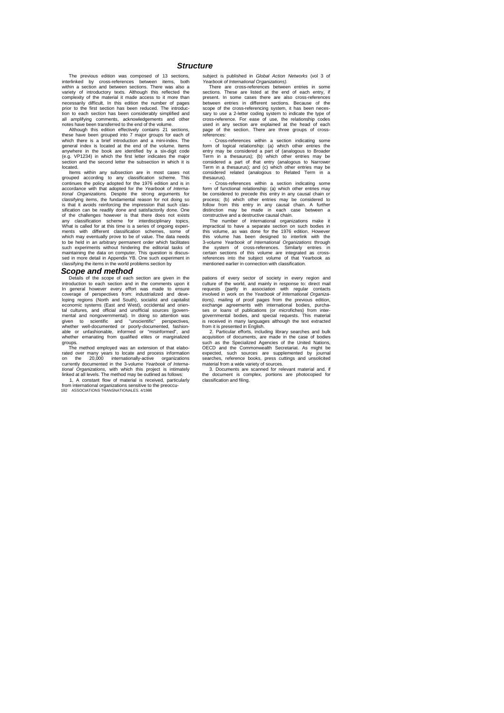#### *Structure*

The previous edition was composed of 13 sections, interlinked by cross-references between items, both within a section and between sections. There was also a variety of introductory texts. Although this reflected the complexity of the material it made access to it more than necessarily difficult. In this edition the number of pages prior to the first section has been reduced. The introduction to each section has been considerably simplified and all amplifying comments, acknowledgements and other notes have been transferred to the end of the volume.

Although this edition effectively contains 21 sections, these have been grouped into 7 major groups for each of which there is a brief introduction and a mini-index. The general index is located at the end of the volume. I anywhere in the book are identified by a six-digit code (e.g. VP1234) in which the first letter indicates the major section and the second letter the subsection in which it is located.

Items within any subsection are in most cases not grouped according to any classification scheme. This continues the policy adopted for the 1976 edition and is in accordance with that adopted for the Yearbook of Interna-<br>tional Organizations. Despite the strong arguments for<br>classifying items, the fundamental reason for not doing so<br>is that it avoids reinforcing the impression that sification can be readily done and satisfactorily done. One of the challenges however is that there does not exists any classification scheme for interdisciplinary topics. What is called for at this time is a series of ongoing experiments with different classification schemes, some of<br>which may eventually prove to be of value. The data needs<br>to be held in an arbitrary permanent order which facilitates<br>such experiments without hindering the editorial t

#### *Scope and method*

Details of the scope of each section are given in the introduction to each section and in the comments upon it In general however every effort was made to ensure coverage of perspectives from: industrialized and deve-loping regions (North and South), socialist and capitalist economic systems (East and West), occidental and oriental cultures, and official and unofficial sources (govern-<br>mental and nongovernmental). In doing so attention was<br>given to scientific and "unscientific" perspectives,<br>whether well-documented or poorly-documented, fashion-<br> whether emanating from qualified elites or marginalized groups.

The method employed was an extension of that elaborated over many years to locate and process information on the 20,000 internationally-active organizations currently documented in the 3-volume *Yearbook of Interna-tional Organizations,* with which this project is intimately

linked at all levels. The method may be outlined as follows: 1, A constant flow of material is received, particularly from international organizations sensitive to the preoccu-192 ASSOCIATIONS TRANSNATIONALES. 4/1986

subject is published in *Global Action Networks* (vol 3 of *Yearbook of International Organizations).*

There are cross-references between entries in some sections. These are listed at the end of each entry, if present. In some cases there are also cross-references between entries in different sections. Because of the scope of the cross-referencing system, it has been necessary to use a 2-letter coding system to indicate the type of cross-reference. For ease of use, the relationship codes used in any section are explained at the head of each page of the section. There are three groups of cross-references:

- Cross-references within a section indicating some form of logical relationship: (a) which other entries the entry may be considered a part of (analogous to Broader Term in a thesaurus); (b) which other entries may be considered a part of that entry (analogous to Narrower Term in a thesaurus); and (c) which other entries may be considered related (analogous to Related Term in a

thesaurus). - Cross-references within a section indicating some form of functional relationship: (a) which other entries may<br>be considered to precede this entry in any causal chain or<br>process; (b) which other entries may be considered to<br>follow from this entry in any causal chain. A fu

impractical to have a separate section on such bodies in this volume, as was done for the 1976 edition. However<br>this volume has been designed to interlink with the<br>3-volume Yearbook of International Organizations through<br>the system of cross-references. Similarly entries in<br>certa references into the subject volume of that Yearbook as mentioned earlier in connection with classification.

pations of every sector of society in every region and culture of the world, and mainly in response to: direct mail requests (partly in association with regular contacts involved in work on the *Yearbook of International Organizations),* mailing of proof pages from the previous edition, exchange agreements with international bodies, purchases or loans of publications (or microfiches) from inter-governmental bodies, and special requests. This material is received in many languages although the text extracted

from it is presented in English. 2. Particular efforts, including library searches and bulk acquisition of documents, are made in the case of bodies such as the Specialized Agencies of the United Nations, OECD and the Commonwealth Secretariat. As might be expected, such sources are supplemented by journal searches, reference books, press cuttings and unsolicited material from a wide variety of sources.

3. Documents are scanned for relevant material and. if the document is complex, portions are photocopied for classification and filing.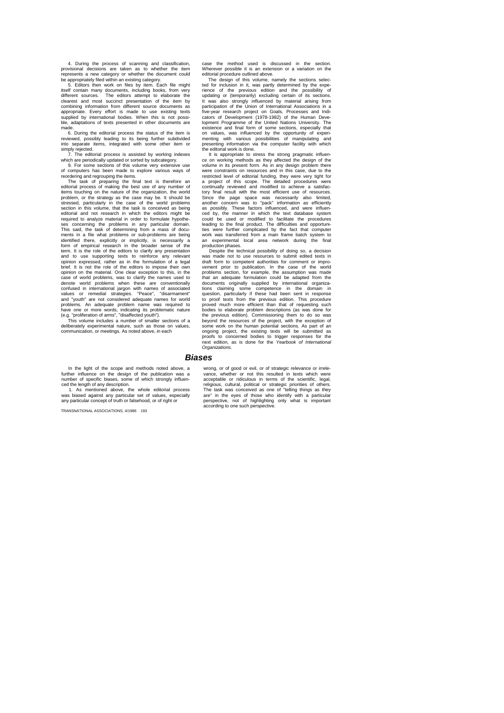4. During the process of scanning and classification, provisional decisions are taken as to whether the item represents a new category or whether the document could be appropriately filed within an existing category.

5. Editors then work on files by item. Each file might itself contain many documents, including books, from very different sources. The editors attempt to elaborate the clearest and most succinct presentation of the item by<br>combining information from different source documents as<br>appropriate. Every effort is made to use existing texts<br>supplied by international bodies. When this is not pos ble, adaptations of texts presented in other documents are made.

6. During the editorial process the status of the item is reviewed, possibly leading to its being further subdivided into separate items, integrated with some other item or simply rejected. 7. The editorial process is assisted by working indexes

which are periodically updated or sorted by subcategory. 9. For some sections of this volume very extensive use

of computers has been made to explore various ways of reordering and regrouping the items. The task of preparing the final text is therefore an

editorial process of making the best use of any number of items touching on the nature of the organization, the world problem, or the strategy as the case may be. It should be stressed, particularly in the case of the world problems section in this volume, that the task is conceived as being editorial and not research in which the editors might be required to analyze material in order to formulate hypotheses concerning the problems in any particular domain.<br>This said, the task of determining from a mass of docu-<br>ments in a file what problems or sub-problems are being<br>identified there, explicitly or implicitly, is necessari form of empirical research in the broader sense of the term. It is the role of the editors to clarify any presentation and to use supporting texts to reinforce any relevant opinion expressed, rather as in the formulation of a legal brief. It is not the role of the editors to impose their own opinion on the material. One clear exception to this, in the case of world problems, was to clarify the names used to world problems when these are conventionally confused in international jargon with names of associated values or remedial strategies. "Peace", "disarmament" and "youth" are not considered adequate names for world problems. An adequate problem name was required to

have one or more words, indicating its problematic nature<br>(e.g. "proliferation of arms", "disaffected youth").<br>This volume includes a number of smaller sections of a<br>deliberately experimental nature, such as those on value communication, or meetings. As noted above, in each

case the method used is discussed in the section. Wherever possible it is an extension or a variation on the editorial procedure outlined above.

The design of this volume, namely the sections selected for inclusion in it, was partly determined by the expe-rience of the previous edition and the possibility of updating or (temporarily) excluding certain of its sections. It was also strongly influenced by material arising from<br>participation of the Union of International Associations in a<br>five-year research project on Goals. Processes and Indi-<br>cators of Development (1978-1982) of the Human lopment Programme of the United Nations University. The existence and final form of some sections, especially that<br>on values, was influenced by the opportunity of experimenting with various possibilities of manipulating an

the editorial work is done. It is appropriate to stress the strong pragmatic influence on working methods as they affected the design of the<br>volume in its present form. As in any design problem there<br>were constraints on resources and in this case, due to the<br>restricted level of editorial funding, they wer continually reviewed and modified to achieve a satisfac-tory final result with the most efficient use of resources. Since the page space was necessarily also limited, another concern was to "pack" information as efficiently as possibly. These factors influenced, and were influen-ced by, the manner in which the text database system could be used or modified to facilitate the procedures leading to the final product. The difficulties and opportuni-<br>ties were further complicated by the fact that computer<br>work was transferred from a main frame batch system to<br>an experimental local area network during the fin production phases.<br>Despite the tea

the technical possibility of doing so, a decision was made not to use resources to submit edited texts in draft form to competent authorities for comment or improvement prior to publication. In the case of the world problems section, for example, the assumption was made<br>that an adequate formulation could be adapted from the<br>documents originally supplied by international organiza-<br>tions claiming some competence in the domain in question, particularly if these had been sent in response to proof texts from the previous edition. This procedure proved much more efficient than that of requesting such bodies to elaborate problem descriptions (as was done for the previous edition). Commissioning them to do so was beyond the resources of the project, with the exception of some work on the human potential sections. As part of an ongoing project, the existing texts will be submitted as proofs to concerned bodies to trigger responses for the next edition, as is done for the *Yearbook of International*  proots to cornext edition,<br>Organizations.

#### *Biases*

In the light of the scope and methods noted above, a further influence on the design of the publication was a number of specific biases, some of which strongly influenced the length of any description.

1. As mentioned above, the whole editorial process was biased against any particular set of values, especially any particular concept of truth or falsehood, or of right or

TRANSNATIONAL ASSOCIATIONS, 4/1986 193

wrong, or of good or evil, or of strategic relevance or irrelevance, whether or not this resulted in texts which were acceptable or ridiculous in terms of the scientific, legal, religious, cultural, political or strategic priorities of others. The task was conceived as one of "telling things as they are" in the eyes of those who identify with a particular perspective, not of highlighting only what is important according to one such perspective.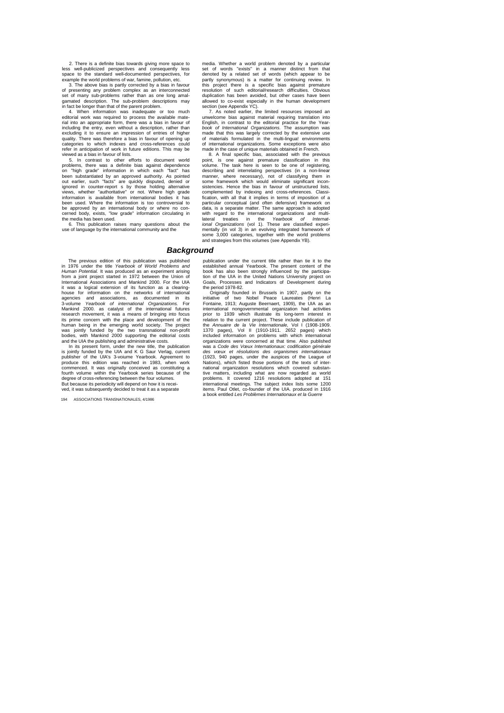2. There is a definite bias towards giving more space to less well-publicized perspectives and consequently less space to the standard well-documented perspectives, for example the world problems of war, famine, pollution, etc.

3. The above bias is partly corrected by a bias in favour of presenting any problem complex as an interconnected set of many sub-problems rather than as one long amalgamated description. The sub-problem descriptions may<br>in fact be longer than that of the parent problem.<br>4. When information was inadequate or too much<br>editorial work was required to process the available mate-

rial into an appropriate form, there was a bias in favour of including the entry, even without a description, rather than excluding it to ensure an impression of entries of higher quality. There was therefore a bias in favour of opening up categories to which indexes and cross-references could refer in anticipation of work in future editions. This may be viewed as a bias in favour of lists.

5. In contrast to other efforts to document world<br>problems, there was a definite bias against dependence<br>on "high grade" information in which each "fact" has<br>been substantiated by an approved authority. As pointed<br>out earl ignored in counter-report s by those holding alternative views, whether "authoritative" or not. Where high grade information is available from international bodies it has been used. Where the information is too controversial to be approved by an international body or where no con-cerned body, exists, "low grade" information circulating in the media has been used.

6. This publication raises many questions about the use of language by the international community and the

#### *Background*

The previous edition of this publication was published in 1976 under the title *Yearbook of World Problems and Human Potential.* It was produced as an experiment arising from a joint project started in 1972 between the Union of International Associations and Mankind 2000. For the UIA it was a logical extension of its function as a clearing-house for information on the networks of international agencies and associations, as documented in its 3-volume *Yearbook of international Organizations.* For Mankind 2000. as catalyst of the international futures research movement, it was a means of bringing into focus its prime concern with the place and development of the human being in the emerging world society. The project was jointly funded by the two transnational non-profit bodies, with Mankind 2000 supporting the editorial costs

and the UIA the publishing and administrative costs.<br>In its present form, under the new title, the publication<br>is jointly funded by the UIA and K G Saur Verlag, current<br>publisher of the UIA's 3-voiume Yearbook. Agreement t produce this edition was reached in 1983, when work commenced. It was originally conceived as constituting a fourth volume within the Yearbook series because of the degree of cross-referencing between the four volumes. But because its periodicity will depend on how it is receibut because to periodicity this append on not it is to ved, it was subsequently decided to treat it as a sep

194 ASSOCIATIONS TRANSNATIONALES, 4/1986

media. Whether a world problem denoted by a particular set of words "exists" in a manner distinct from that denoted by a related set of words (which appear to be partly synonymous) is a matter for continuing review. In this project there is a specific bias against premature resolution of such editorial/research difficulties. Obvious duplication has been avoided, but other cases have been

allowed to co-exist especially in the human development section (see Appendix YC). 7. As noted earlier, the limited resources imposed an unwelcome bias against material requiring translation into English, in contrast to the editorial practice for the Year-*book of International Organizations.* The assumption was made that this was largely corrected by the extensive use of materials formulated in the multi-lingua! environments of international organizations. Some exceptions were also

made in the case of unique materials obtained in French. 8. A final specific bias, associated with the previous point, is one against premature classification in this volume. The task here is seen to be one of registering, describing and interrelating perspectives (in a non-linear manner, where necessary), not of classifying them in some framework which would eliminate significant inconsistencies. Hence the bias in favour of unstructured lists, complemented by indexing and cross-references. Classi-fication, with all that it implies in terms of imposition of a particular conceptual (and often defensive) framework on data, is a separate matter. The same approach is adopted with regard to the international organizations and multi-<br>lateral treaties in the Yearbook of International Organizations (vol 1). These are classified experimentally (in vol 3) in an evolving integrated framework of<br>some

publication under the current title rather than tie it to the established annual Yearbook. The present content of the book has also been strongly influenced by the participation of the UIA in the United Nations University project on Goals, Processes and Indicators of Development during the period 1978-82.

Originally founded in Brussels in 1907, partly on the initiative of two Nobel Peace Laureates (Henri La Fontaine, 1913; Auguste Beernaert, 1909), the UIA as an<br>international nongovernmental organization had activities<br>prior to 1939 which illustrate its long-term interest in<br>relation to the current project. These include publ the *Annuaire de la Vie Internationale*, Vol I (1908-1909.<br>1370 pages), Vol II (1910-1911. 2652 pages) which<br>included information on problems with which international organizations were concerned at that time. Also published<br>was a Code des Vœux Internationaux: codification générale was a *Code des Vœux Internationaux: codification* générale *s des vœux et résolutions des organismes internationaux*  (1923, 940 pages, under the auspices of the League of Nations), which fisted those portions of the texts of inter-<br>national organization resolutions which covered substan-<br>tive matters, including what are now regarded as world<br>problems. It covered 1216 resolutions adopted at items. Paul Otlet, co-founder of the UIA. produced in 1916 a book entitled *Les Problèmes Internationaux et la Guerre*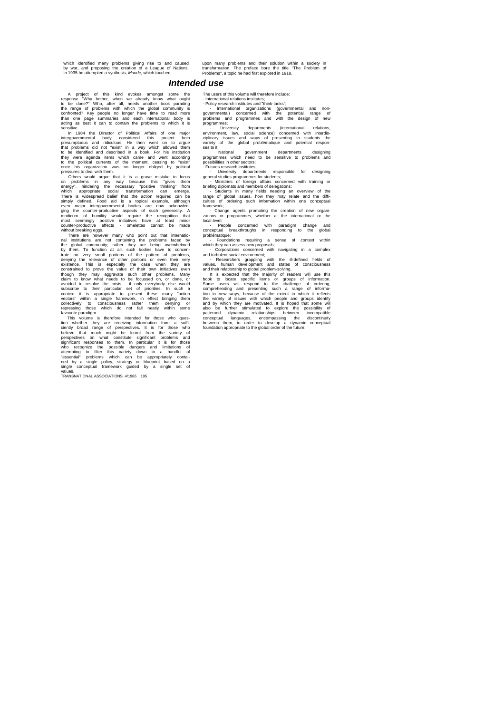which identified many problems giving rise to and caused<br>by war, and proposing the creation of a League of Nations.<br>In 1935 he attempted a synthesis, *Monde*, which touched

upon many problems and their solution within a society in transformation. The preface bore the title "The Problem of Problems", a topic he had first explored in 1918.

### *Intended use*

A project of this kind evokes amongst some the<br>response "Why bother, when we already know what ought<br>to be done?" Who, after all, needs another book parading<br>the range of problems with which the global community is<br>confron

In 1984 the Director of Political Affairs of one major<br>intergovernmental body considered this project both<br>presumptuous and ridiculous. He then went on to argue<br>that problems did not "exist" in a way which allowed them<br>to

Others would argue that it is a grave mistake to focus<br>on problems in any way because this "gives them<br>energy", hindering the necessary "positive thinking" from<br>which appropriate social transformation can emerge.<br>There is

denying the relevance of other portions or even their very<br>existence. This is especially the case when they are<br>constrained to prove the value of their own initiatives even<br>though they may aggravate such other problems. Ma avoided to resolve the crisis - if only everybody else would subscribe to their particular set of priorities. In such a subscribe to their particular set of priorities. In such a<br>context it is appropriate to present these many "action<br>vectors" within a single framework, in effect bringing them<br>collectively to consciousness rather them denyi

favourile paradigm.<br>This volume is therefore intended for those who question whether they are receiving information from a sufficiently broad range of perspectives. It is for those who believe that much might be learnt fro values.<br>TRANSNATIONAL ASSOCIATIONS. 4/1986 195

The users of this volume will therefore include: - International relations institutes;

- Policy research institutes and "think-tanks"; - International organizations (governmental and non-governmental) concerned with the potential range of problems and programmes and with the design of new

programmes;<br>mannes; university departments (international relations,<br>environment, law, social science) concerned with interdis-<br>ciplinary issues and ways of presenting to students the<br>variety of the global problématique an ses to it;

National government departments designing programmes which need to be sensitive to problems and possibilities in other sectors;

- Futures research institutes;<br>
- University departments responsible for designing<br>
general studies programmes for students;<br>
- Ministres of foreign affairs concerned with training or<br>
briefing diplomats and members of del

framework;

- Change agents promoting the creation of new organi-zations or programmes, whether at the international or the

local level;<br>  $\sim$  People concerned with paradigm change and<br>
conceptual breakthroughs in responding to the global<br>
problematique;<br>  $\sim$  Foundations requiring a sense of context within<br>
which they can assess new proposals;

and turbulent social environment; - Researchers grappling with the ill-defined fields of values, human development and states of consciousness

and their relationship to global problem-solving.<br>It is expected that the majority of readers will use this It is expected that the majority of readers will use this concelered that the majority of readers obsok to locate specific items or groups of information. Some users will respond to the challenge of information in new ways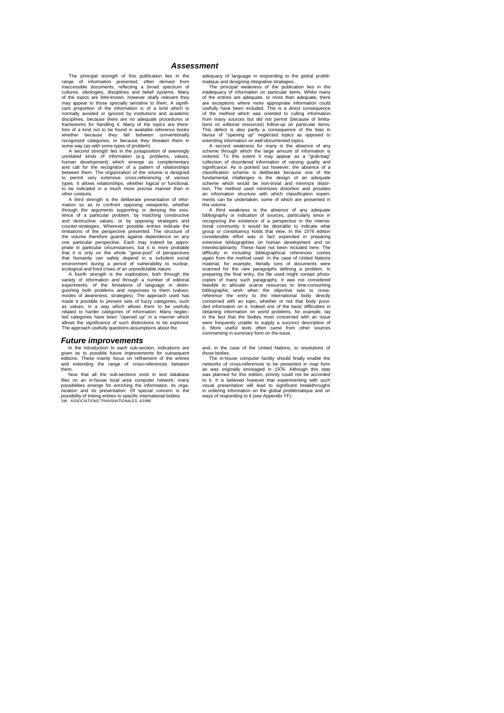#### *Assessment*

The principal strength of this publication lies in the principal strange of information presented, often derived from inaccessible documents, reflecting a broad spectrum of of the objections, ideologies, disciplines and be may appear to those specially sensitive to them. A signifi-cant proportion of the information is of a kind which is normally avoided or ignored by institutions and academic disciplines, because there are no adequate procedures or frameworks for handling it. Many of the topics are there-fore of a kind not to be found in available reference books whether because they fall between conventionally recognized categories, or because they threaten them in some way (as with some types of problem).

A second strength lies in the juxtaposition of seemingly<br>unrelated kinds of information (e.g. problems, values,<br>human development) which emerge as complementary<br>and call for the recognition of a pattern of relationships between them. The organization of the volume is designed to permit very extensive cross-referencing of various types. It allows relationships, whether logical or functional, to be indicated in a much more precise manner than in other contexts.

A third strength is the deliberate presentation of information so as to confront opposing viewpoints, whether through the arguments supporting or denying the exis-tence of a particular problem, by matching constructive and destructive values, or by opposing strategies and counter-strategies. Wherever possible entries indicate the limitations of the perspective presented. The structure of the volume therefore guards against dependence on any one particular perspective. Each may indeed be appropriate in particular circumstances, but it is more probable that it is only on the whole "gene-pool" of perspectives<br>that humanity can safety depend in a turbulent social<br>environment during a period of vulnerability to nuclear,<br>ecological and food crises of an unpredictable nature.

A fourth strength is the exploration, both through the variety of information and through a number of editorial experiments, of the limitations of language in distin-guishing both problems and responses to them (values, modes of awareness, strategies). The approach used has<br>made it possible to present sets of fuzzy categories, such<br>as values, in a way which allows them to be usefully<br>related to harder categories of information. Many negle ted categories have been "opened up" in a manner which allows the significance of such distinctions to be explored. The approach usefully questions assumptions about the

#### *Future improvements*

In the introduction to each sub-section, indications are<br>given as to possible future improvements for subsequent<br>editions. These mainly focus on refinement of the entries<br>and extending the range of cross-references between

them.<br>
Now that all the sub-sections exist in text database<br>
files on an in-house local area computer network, many<br>
possibilities emerge for enriching the information, its orga-<br>
nization and its presentation. Of special

adequacy of language in responding to the global problématique and designing integrative strategies.

The principal weakness of the publication lies in the inadequacy of information on particular items. Whilst many of the entries are adequate, or more than adequate, there are exceptions where more appropriate information could usefully have been included. This is a direct consequence of the method which was oriented to culling information from many sources but did not permit (because of limitations on editorial resources) follow-up on particular items. This defect is also partly a consequence of the bias in favour of "opening up" neglected topics as opposed to extending information on well-documented topics. A second weakness for many is the absence of any

scheme through which the large amount of information is<br>ordered. To this extent it may appear as a "grab-bag"<br>collection of disordered information of varying quality and<br>significance. As is pointed out however, the absence classification scheme is deliberate because one of the fundamental challenges is the design of an adequate scheme which would be non-trivial and minimize distortion. The method used minimizes distortion and provides an information structure with which classification experiments can be undertaken, some of which are presented in this volume.

A third weakness is the absence of any adequate bibliography or indication of sources, particularly since in recognizing the existence of a perspective in the international community it would be desirable to indicate what group or constituency holds that view. In the 1976 edition considerable effort was in fact expended in preparing extensive bibliographies on human development and on interdisciplinarity. These have not been included here. The difficulty in including bibliographical references comes again from the method used. In the case of United Nations material, for example, literally tons of documents were scanned for the rare paragraphs defining a problem. In preparing the final entry, the file used might contain photo-<br>copies of many such paragraphs. It was not considered<br>feasible to allocate scarce resources to time-consuming<br>bibliographic work when the objective was to cross reference the entry to the international body directly concerned with an topic, whether or not that body provi-ded information on it. Indeed one of the basic difficulties in obtaining information on world problems, for example, lay in the fact that the bodies most concerned with an issue were frequently unable to supply a succinct description of it. More useful texts often came from other sources commenting in summary form on the issue.

and, in the case of the United Nations, to resolutions of those bodies.

The in-house computer facility should finally enable the networks of cross-references to be presented in map form as was originally envisaged in 1976. Although this step was planned for this edition, priority could not be accorded to it. It is believed however that experimenting with such visual presentation will lead to significant breakthroughs in ordering information on the global problématique and on ways of responding to it (see Appendix YF).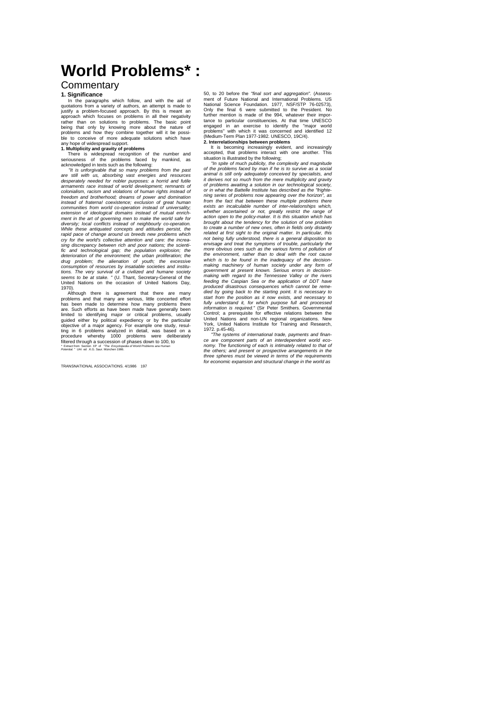# **World Problems\* :**

### **Commentary**

#### **1. Significance**

In the paragraphs which follow, and with the aid of quotations from a variety of authors, an attempt is made to justify a problem-focused approach. By this is meant an approach which focuses on problems in all their negativity rather than on solutions to problems. The basic point being that only by knowing more about the nature of problems and how they combine together will it be possi-ble to conceive of more adequate solutions which have any hope of widespread support.

**1. Multiplicity and gravity of problems**<br>
There is widespread recognition of the number and<br>
seriousness of the problems faced by mankind, as<br>
acknowledged in texts such as the following:

*"It is unforgivable that so many problems from the past are still with us, absorbing vast energies and resources desperately needed for nobler purposes: a horrid and futile armaments race instead of world development; remnants of colonialism, racism and violations of human rights instead of*  freedom and brotherhood; dreams of power and domination<br>instead of fraternal. coexistence; exclusion of great human<br>communities from world co-operation instead of universality;<br>extension of ideological domains instead of m While these antiquated concepts and attitudes persist, the<br>rapid pace of change around us breeds new problems which<br>cry for the world's collective attention and care: the increa-<br>sing discrepancy between rich and poor nati fic and technological gap; the population explosion; the<br>deterioration of the environment; the urban proliferation; the<br>drug problem; the alienation of youth; the excessive<br>consumption of resources by insatiable societies *tions. The very survival of a civilized and humane society seems to be at stake. "* (U. Thant, Secretary-General of the United Nations on the occasion of United Nations Day, 1970).

Although there is agreement that there are many problems and that many are serious, little concerted effort has been mas been mede to determine how many problems there are. Such efforts as have been made have generally bee limited to identifying major or critical problems, usually<br>guided either by political expediency or by the particular<br>objective of a major agency. For example one study, resul-<br>ting in 6 problems analyzed in detail, was b

TRANSNATIONAL ASSOCIATIONS. 4/1986 197

50, to 20 before the *"final sort and aggregation".* (Assessment of Future National and International Problems. US<br>National Science Foundation. 1977, NSF/STP 76-02573),<br>Only the final 6 were submitted to the President. No<br>further mention is made of the 994, whatever their importance to particular constituencies. At that time UNESCO engaged in an exercise to identify the "major world problems" with which it was concerned and identified 12 (Medium-Term Plan 1977-1982. UNESCO, 19C/4).

**2. Interrelationships between problems** It is becoming increasingly evident, and increasingly accepted, that problems interact with one another. This

situation is illustrated by the following; *"In spite of much publicity, the complexity and magnitude of the problems faced by man if he is to survive as a social animal is still only adequately conceived by specialists, and it derives not so much from the mere multiplicity and gravity of problems awaiting a solution in our technological society, or in what the Battelle Institute has described as the "frightening series of problems now appearing over the horizon", as from the fact that between these multiple problems there exists an incalculable number of inter-relationships which, whether ascertained or not, greatly restrict the range of action open to the policy-maker. It is this situation which has*  brought about the tendency for the solution of one problem<br>to create a number of new ones, often in fields only distantly<br>related at first sight to the original matter. In particular, this<br>not being fully understood, there *envisage and treat the symptoms of trouble, particularly the more obvious ones such as the various forms of pollution of the environment, rather than to deal with the root cause*  which is to be found in the inadequacy of the decision-<br>making machinery of human society under any form of<br>government at present known. Serious errors in decision-<br>making with regard to the Tennessee Valley or the rivers feeding the Caspian Sea or the application of DDT have<br>produced disastrous consequences which cannot be reme-<br>died by going back to the starting point. It is necessary to<br>start from the position as it now exists, and neces

1972. p.45-46). *"The systems of international trade, payments and finan-ce are component parts of an interdependent world eco*nomy. The functioning of each is intimately related to that of<br>the others; and present or prospective arrangements in the<br>three spheres must be viewed in terms of the requirements<br>for economic expansion and structural chan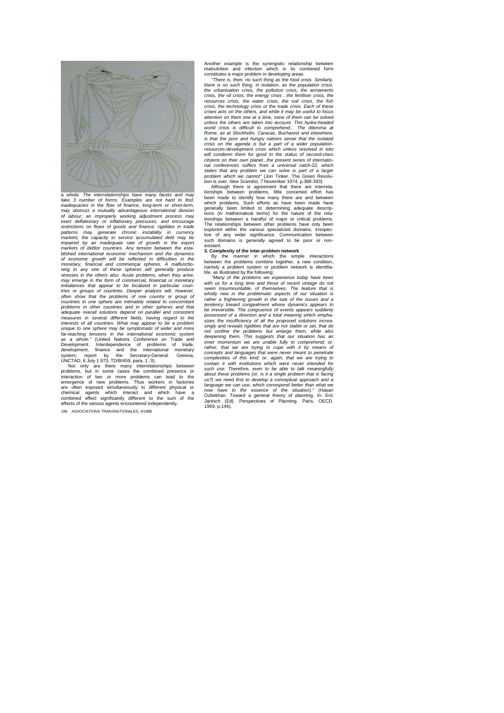

whole. The interrelationships have many facets and *take 3 number of forms. Examples are not hard to find:*  inadequacies in the flow of finance, long-term or short-term,<br>may obstruct a mutually avantageous international division<br>of labour; an improperly working adjustment process may<br>exert deflationary or inflationary pressures, stresses in the others also. Acute problems, when they arise,<br>may emerge in the form of commercial, financial or monetary<br>imbalances that appear to be localized in particular coun-<br>tries or groups of countries. Deeper anal *often show that the problems of one country or group of countries in one sphere are intimately related to concomitant problems in other countries and in other spheres and that adequate overall solutions depend on parallel and consistent measures in several different fields, having regard to the interests of all countries. What may appear to be a problem unique to one sphere may be symptomatic of wider and more far-reaching tensions in the international economic system*<br>*as a whole.*" (United Nations Conference on Trade and<br>Development. Interdependence of problems of trade,<br>development, finance and the international monetary

system; report by the Secretary-General. Geneva,<br>UNCTAD, 6 July 1973, TD/B/459. para. 1-3).<br>Not only are there many interrelationships between<br>problems, but in some cases the combined presence or<br>interaction of two or more

198 ASSOCIATIONS TRANSNATIONALES, 4/1986

Another example is the synergistic relationship between malnutrition and infection which in its combined form constitutes a major problem in developing areas. *"There is, then, no such thing as the food crisis. Similarly,* 

*there is no such thing, in isolation, as the population crisis, the urbanisation crisis, the pollution crisis, the armaments crisis, the oil crisis, the energy crisis . the fertiliser crisis, the resources crisis, the water crisis, the soil crisis, the fish crisis, the technology crisis or the trade crisis. Each of these crises acts on the others, and while it may be useful to focus attention on them one at a time, none of them can be solved unless the others are taken into account. This hydra-headed world crisis is difficult to comprehend... The dilemma at Rome, as at Stockholm, Caracas, Bucharest and elsewhere, is that the poor and hungry nations sense that the isolated crisis on the agenda is but a part of a wider populationresources-development crisis which unless resolved in toto will condemn them for good to the status of second-class citizens on their own planet...the present series of international conferences suffers from a universal catch-22, which states that any problem we can solve is part of a larger problem which we cannot"* (Jon Tinker. The Green Revolu-tion is over. *New Scientist, 7* November 1974, p.388-393).

Although there is agreement that there are interrela-<br>tionships between problems, little concerted effort has<br>been made to identify how many there are and between<br>which problems. Such efforts as have been made have generally been limited to determining adequate descrip-tions (in mathematical terms) for the nature of the rela-tionships between a handful of major or critical problems. The relationships between other problems have only been explored within the various specialized domains, irrespec-<br>tive of any wider significance. Communication between<br>such domains is generally agreed to be poor or nonexistent.

**3. Complexity of the inter-problem network**<br>
By the manner in which the simple interactions<br>
between the problems combine together, a new condition,<br>
bannely a problem system or problem network is identifia-

ble, as illustrated by the following:<br>""Many of the problems we experience today have been<br>with us for a long time and those of recent vintage do not<br>seem insurmountable, of themselves. The feature that is *wholly new in the problematic aspects of our situation is rather a frightening growth in the size of the issues and a tendency toward congealment whose dynamics appears to be irreversible. The congruence of events appears suddenly possessed of a direction and a total meaning which empha-sizes the insufficiency of all the proposed solutions increa-singly and reveals rigidities that are not stable or set, that do*  not confine the problems but enlarge them, while also<br>deepening them. This suggests that our situation has an<br>inner momentum we are unable fully to comprehend; or,<br>rather, that we are trying to cope with it by means of<br>con *complexities of this kind; or, again, that we are trying to contain it with institutions which were never intended for such use. Therefore, even to be able to talk meaningfully*  about these problems (or, is it a single problem that is facing<br>us?) we need first to develop a conceptual approach and a<br>language we can use, which correspond better than what we<br>now have to the essence of the situation). 1969, p.144).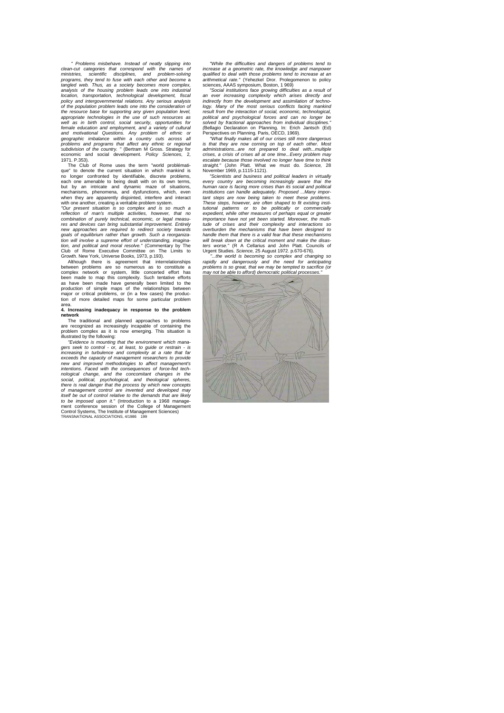*" Problems misbehave. Instead of neatly slipping into clean-cut categories that correspond with the names of ministries, scientific disciplines, and problem-solving programs, they tend to fuse with each other and become* a *tangled web. Thus, as a society becomes more complex, analysis of the housing problem leads one into industrial location, transportation, technological development, fiscal policy and intergovernmental relations. Any serious analysis of the population problem leads one into the consideration of the resource base for supporting any given population level, appropriate technologies in the use of such resources as*  well as in birth control, social security, opportunities for<br>female education and employment, and a variety of cultural<br>and motivational Questions. Any problem of ethnic or<br>geographic imbalance within a country cuts across

1971. P.353). The Club of Rome uses the term "world problématique" to denote the current situation in which mankind is no longer confronted by identifiable, discrete problems, each one amenable to being dealt with on its own terms, but by an intricate and dynamic maze of situations, mechanisms, phenomena, and dysfunctions, which, even when they are apparently disjointed, interfere and interact with one another, creating a veritable problem system.

*"Our present situation is so complex and is so much a reflection of man's multiple activities, however, that no combination of purely technical, economic, or legal measures and devices can bring substantial improvement. Entirely new approaches are required to redirect society towards goals of equilibrium rather than growth. Such a reorganiza-tion will involve a supreme effort of understanding, imagination, and political and moral resolve."* (Commentary by The Club of Rome Executive Committee on The Limits to Growth. New York, Universe Books, 1973, p.193).

Although there is agreement that interrelationships between problems are so numerous as to constitute a complex network or system, little concerted effort has been made to map this complexity. Such tentative efforts as have been made have generally been limited to the production of simple maps of the relationships between major or critical problems, or (in a few cases) the produc-tion of more detailed maps for some particular problem area. **4. Increasing inadequacy in response to the problem** 

### **network**

The traditional and planned approaches to problems are recognized as increasingly incapable of containing the problem complex as it is now emerging. This situation is illustrated by the following: *"Evidence is mounting that the environment which mana-*

*gers seek to control - or, at least, to guide or restrain - is increasing in turbulence and complexity at a rate that far exceeds the capacity of management researchers to provide new and improved methodologies to affect management's intentions. Faced with the consequences of force-fed technological change, and the concomitant changes in the social, political, psychological, and theological spheres, there is real danger that the process by which new concepts of management control are invented and developed may itself be out of control relative to the demands that are likely*  to be imposed upon it." (Introduction to a 1968 management conference session of the College of Management<br>Control Systems, The Institute of Management Sciences)<br>TRANSNATIONAL ASSOCIATIONS, 4/1986 199 *"While the difficulties and dangers of problems tend to increase at a geometric rate, the knowledge and manpower qualified to deal with those problems tend to increase at an arithmetical rate."* (Yehezkel Dror. Prolegomenon to policy

sciences, AAAS symposium, Boston, 1 969) *"Social institutions face growing difficulties as a result of an ever increasing complexity which arises directly and indirectly from the development and assimilation of technology. Many of the most serious conflicts facing mankind result from the interaction of social, economic, technological, political and psychological forces and can no longer be solved by fractional approaches from individual disciplines." (*Bellagio Declaration on Planning. In: Erich Jantsch (Ed) Perspectives on Planning. Paris, OECD, 1969).

*"What finally makes all of our crises still more dangerous is that they are now corning on top of each other. Most administrations...are not prepared to deal with...multiple crises, a crisis of crises all at one time...Every problem may escalate because those involved no longer have time to think straight."* (John Platt. What we must do. *Science,* 28 November 1969, p.1115-1121).

*"Scientists and business and political leaders in virtually every country are becoming increasingly aware thai the human race is facing more crises than its social and political institutions can handle adequately. Proposed ...Many important steps are now being taken to meet these problems. These steps, however, are often shaped to fit existing institutional patterns or to be politically or commercially expedient, while other measures of perhaps equal or greater importance have not yet been started. Moreover, the multitude of crises and their complexity and interactions so overburden the mechanisms that have been designed to handle them that there is a valid fear that these mechanisms will break down at the critical moment and make the disasters worse."* (R A Cellarius and John Platt. Councils of Urgent Studies. *Science,* 25 August 1972. p.670-676).

*"...the world is becoming so complex and changing so rapidly and dangerously and the need for anticipating problems is so great, that we may be tempted to sacrifice (or may not be able to afford) democratic political processes."*

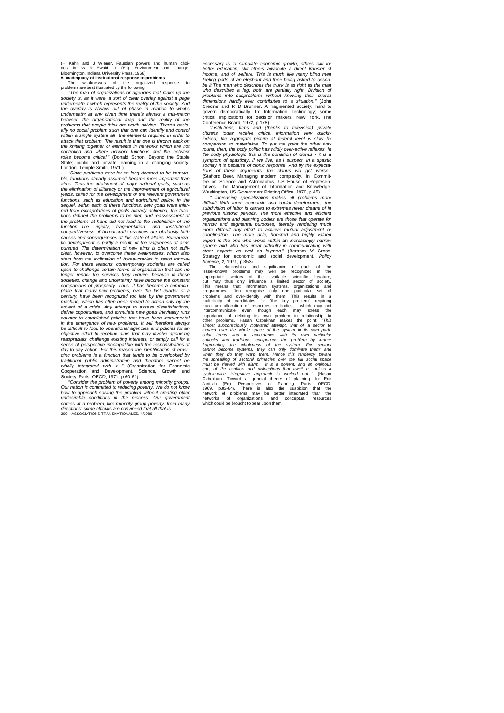(H Kahn and J Wiener. Faustian powers and human choices, in: W R Ewald. Jr (Ed). Environment and Change.<br>Bloomington. Indiana University Press, 1968).<br>**5. Inadequacy of institutional response to problems**<br>The weaknesses of

*"The map of organizations or agencies that make up the society is, as it were, a sort of clear overlay against a page underneath it which represents the reality of the society. And the overlay is* a/ways *out of phase in relation to what's underneath: at any given time there's always a mis-match between the organizational map and the reality of the problems that people think are worth solving...There's basically no social problem such that one can identify and control within a single system all the elements required in order to attack that problem. The result is that one is thrown back on the knitting together of elements in networks which are not controlled and where network functions and the network roles become critical."* (Donald Schon. Beyond the Stable State; public and private learning in a changing society.

London. Temple Smith. 1971 ) *"Since problems were for so long deemed to be immutable, functions already assumed became more important than aims. Thus the attainment of major national goals, such as the elimination of illiteracy or the improvement of agricultural yields, called for the development of the relevant government functions, such as education and agricultural policy. In the sequel, within each of these functions, new goals were infer-red from extrapolations of goals already achieved; the functions defined the problems to be met, and reassessment of the problems at hand did not lead to the redefinition of the*  function...The rigidity, fragmentation, and institutional<br>competitiveness of bureaucratic practices are obviously both<br>causes and consequences of this state of affairs. Bureaucra-<br>tic development is partly a result, of the *cient, however, to overcome these weaknesses, which also stem from the inclination of bureaucracies to resist innovation. For these reasons, contemporary societies are called upon to challenge certain forms of organisation that can no longer render the services they require, because in these societies, change and uncertainty have become the constant companions of prosperity. Thus, it has become a common*place that many new problems, over the last quarter of a<br>century, have been recognized too late by the government<br>machine, which has often been moved to action only by the<br>advent of a crisis...Any attempt to assess dissati *define opportunities, and formulate new goals inevitably runs counter to established policies that have been instrumental in the emergence of new problems. It will therefore always be difficult to look to operational agencies and policies for an objective effort to redefine aims that may involve agonising reappraisals, challenge existing interests, or simply call for a sense of perspective incompatible with the responsibilities of day-to-day action. For this reason the identification of emerging problems is a function that tends to be overlooked by traditional public administration and therefore cannot be wholly integrated with it..."* (Organisation for Economic

Cooperation and Development. Science, Growth and<br>Society.Paris, OECD, 1971, p.60-61)<br>"Consider the problem of poverty among minority groups.<br>Our nation is committed to reducing poverty. We do not know<br>how to approach solvi *undesirable conditions in the process. Our government comes at a problem, like minority group poverty, from many directions: some officials are convinced that all that is* 200 ASSOCIATIONS TRANSNATIONALES, 4/1986

*necessary is to stimulate economic growth, others call lor better education, still others advocate a direct transfer of income, and of welfare. This is much like many blind men feeling parts of an elephant and then being asked to describe it The man who describes the trunk is as right as the man who describes a leg; both are partially right. Division of problems into subproblems without knowing their overall*  dimensions hardly ever contributes to a situation." (John<br>Crecine and R D Brunner. A fragmented society; hard to<br>govern democratically. In: Information Technology; some<br>critical implications for decision makers. New York.

Conference Board, 1972, p.178)<br>citzens the final of the same of the citizens today receive critical information very quickly<br>citizens today receive critical information very quickly<br>indeed; the aggregate picture at federal *round, then, the body politic has wildly over-active reflexes. In the body physiologic this is the condition of clonus - it is a*  symptom of spasticity. If we live, as I suspect, in a spasticity society it is because of clonic response. And by the expectations of these arguments, the clonus will get worse."<br>tions of these arguments, the clonus will g

tatives. The Management of Information and Knowledge.<br>Washington, US Government Printing Office, 1970, p.45).<br>"...increasing specialization makes all problems more<br>difficult With more economic and social development, the *subdivision of labor is carried to extremes never dreamt of in previous historic periods. The more effective and efficient organizations and planning bodies are those that operate for*  narrow and segmental purposes, thereby rendering much<br>more difficult any effort to achieve mutual adjustment or<br>coordination. The more able, honored and highly valued<br>expert is the one who works within an increasingly narr sphere and who has great difficulty in communicating with<br>other experts as well as laymen." (Bertram M Gross.<br>Strategy for economic and social development. *Policy*<br>Science, 2, 1971, p.353)

The relationships and significance of each of the<br>lesser-known problems may well be recognized in the<br>appropriate sectors of the available scientific literature,<br>but may thus only influence a limited sector of society.<br>Thi maximum allocation of resources to booties, which may not<br>intercommunicate even though each may stress the infercommunicate even though each may stress the other problems. Heasin Ozbekhan makes the point: "This diffuore di Jantisch (Ed). Perspectives of Planning. Paris. OECD.<br>1969. p.83-84). There is also the suspicion that the<br>networks of problems may be better integrated than the<br>networks of organizational and conceptual resources<br>which.co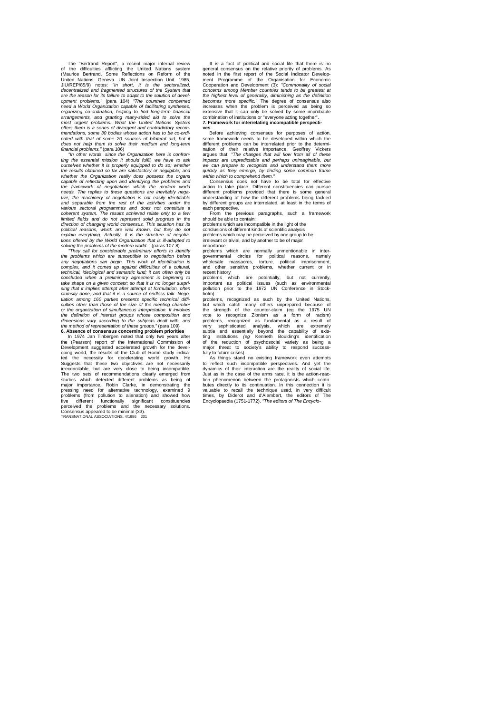The "Bertrand Report", a recent major internal review of the difficulties afflicting the United Nations system (Maurice Bertrand. Some Reflections on Reform of the United Nations. Geneva. UN Joint Inspection Unit. 1985, JIU/REP/85/9) notes: *"In short, it is the sectoralized, decentralized and fragmented structures of the System that are the reason lor its failure to adapt to the solution of development problems."* (para 104) *"The countries concerned need a World Organization capable of facilitating syntheses, organizing co-ordination, helping to find long-term financial arrangements, and granting many-sided aid to solve the most urgent problems. What the United Nations System offers them is a series of divergent and contradictory recom-mendations, some 30 bodies whose action has to be co-ordi*nated with that of some 20 sources of bilateral aid, but it *does not help them to solve their medium and long-term* 

*financial problems."* (para 106) *"In other words, since the Organization here is confron*ting the essential mission it should fulfil, we have to ask<br>ourselves whether it is properly equipped to do so; whether<br>the results obtained so far are satisfactory or negligible; and<br>whether the Organization really does p *the framework of negotiations which the modern world needs. The replies to these questions are inevitably negative; the machinery of negotiation is not easily identifiable and separable from the rest of the activities under the various sectoral programmes and does not constitute a coherent system. The results achieved relate only to a few limited fields and do not represent solid progress in the direction of changing world consensus. This situation has its political reasons, which are well known, but they do not explain everything. Actually, it is the structure of negotia-tions offered by the World Organization that is ill-adapted to solving the problems of the modern world.* " (paras 107-8)

"They call for considerable preliminary efforts to identify<br>the problems which are susceptible to negotiation before<br>any negotiations can begin. This work of identification is<br>complex, and it comes up against difficulties technical, ideological and semantic kind; it can often only be<br>concluded when a preliminary agreement is beginning to<br>take shape on a given concept; so that it is no longer surpri-<br>sing that it implies attempt after attemp *clumsily done, and that it is a source of endless talk. Nego-tiation among 160 parties presents specific technical diffi-culties other than those of the size of the meeting chamber*  or the organization of simultaneous interpretation. It involves<br>the definition of interest groups whose composition and<br>dimensions vary according to the subjects dealt with, and<br>the method of representation of these groups

In 1974 Jan Tinbergen noted that only two years after<br>the (Pearson) report of the International Commission of<br>Development suggested accelerated growth for the devel-<br>Oping world, the results of the Club of Rome study indic ted the necessity for decelerating world growth. He Suggests that these two objectives are not necessarily irreconcilable, but are very close to being incompatible. The two sets of recommendations clearly emerged from<br>studies which detected different problems as being of studies which detected different problems as being of<br>major importance. Robin Clarke, in demonstrating the<br>pressing need for alternative technology, examined 9<br>problems (from pollution to alienation) and showed how<br>five di It is a fact of political and social life that there is no<br>general consensus on the relative priority of problems. As<br>noted in the first report of the Social Indicator Develop-<br>ment Programme of the Organisation for Econom Cooperation and Development (3): *"Commonality of social concerns among Member countries tends to be greatest at the highest level of generality, diminishing as the definition*  becomes more specific." The degree of consensus also<br>increases when the problem is perceived as being so<br>extensive that it can only be solved by some improbable<br>combination of institutions or "everyone acting together".<br>7.

Before achieving consensus for purposes of action, some framework needs to be developed within which the different problems can be interrelated prior to the determination of their relative importance. Geoffrey Vickers argues that: *"The changes that will flow from all of these impacts are unpredictable and perhaps unimaginable, but we can prepare to recognize and understand them more quickly as they emerge, by finding some common frame within which to comprehend them."* Consensus does not have to be total for effective

action to take place. Different constituencies can pursue different problems provided that there is some general understanding of how the different problems being tackled by different groups are interrelated, at least in the terms of

each perspective. From the previous paragraphs, such a framework should be able to contain:

problems which are incompatible in the light of the conclusions of different kinds of scientific analysis problems which may be perceived by one group to be irrelevant or trivial, and by another to be of major

importance<br>problems which are normally unmentionable in inter-<br>governmental circles for political reasons, namely<br>wholesale massacres, torture, political imprisonment,<br>and other sensitive problems, whether current or in

recent history problems which are potentially, but not currently, important as political issues (such as environmental pollution prior to the 1972 UN Conference in Stockholm)

problems, recognized as such by the United Nations, but which catch many others unprepared because of the strength of the counter-claim (eg the 1975 UN vote to recognize Zionism as a form of racism) problems, recognized as fundamental as a result of<br>very sophisticated analysis, which are extremely<br>subtle and essentially beyond the capability of exis-<br>ting institutions (eg Kenneth Boulding's identification<br>of the reduc fully to future crises)

As things stand no existing framework even attempts to reflect such incompatible perspectives. And yet the dynamics of their interaction are the reality of social life. Just as in the case of the arms race, it is the action-reaction phenomenon between the protagonists which contri-<br>butes directly to its continuation. In this connection it is<br>valuable to recall the technique used, in very difficult<br>times, by Diderot and d'Alembert, the editors of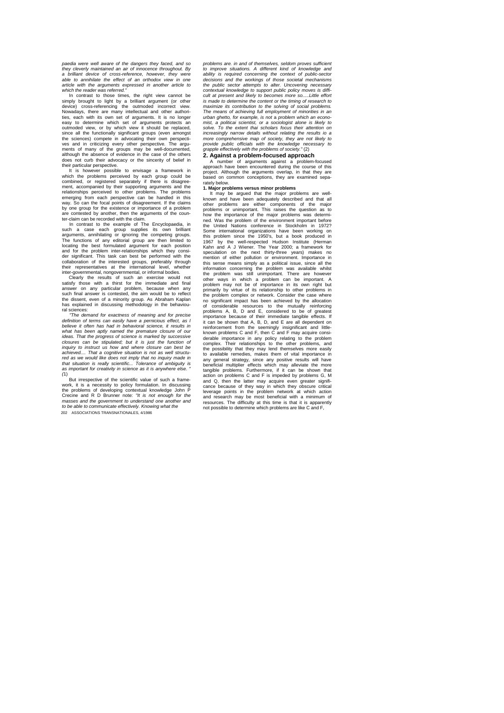*paedia were well aware of the dangers they faced, and so they cleverly maintained an air of innocence throughout. By a brilliant device of cross-reference, however, they were able to annihilate the effect of an orthodox view in one article with the arguments expressed in another article to which the reader was referred."*

In contrast to those times, the right view cannot be simply brought to light by a brilliant argument (or other<br>device) cross-referencing the outmoded incorrect view.<br>Nowadays, there are many intellectual and other authori-<br>ties, each with its own set of arguments. It is no l easy to determine which set of arguments protects an outmoded view, or by which view it should be replaced, since all the functionally significant groups (even amongst the sciences) compete in advocating their own perspecti-<br>ves and in criticizing every other perspective. The argu-<br>ments of many of the groups may be well-documented,<br>although the absence of evidence in the case of the oth does not curb their advocacy or the sincerity of belief in their particular perspective.

It is however possible to envisage a framework in which the problems perceived by each group could be combined, or registered separately if there is disagreement, accompanied by their supporting arguments and the relationships perceived to other problems. The problems emerging from each perspective can be handled in this way. So can the focal points of disagreement. If the claims by one group for the existence or importance of a problem are contested by another, then the arguments of the coun-ter-claim can be recorded with the claim.

In contrast to the example of The Encyclopaedia, in such a case each group supplies its own brilliant arguments, annihilating or ignoring the competing groups. The functions of any editorial group are then limited to locating the best formulated argument for each position<br>and for the problem inter-relationships which they consi-<br>der significant. This task can best be performed with the<br>collaboration of the interested groups, preferably their representatives at the international level, whether

inter-governmental, nongovernmental, or informal bodies.<br>Clearly the results of such an exercise would Clearly the results of such an exercise would not satisfy those with a thirst for the immediate and final answer on any particular problem, because when any such final answer is contested, the aim would be to reflect the dissent, even of a minority group. As Abraham Kaplan has explained in discussing methodology in the behavioural sciences:

*"The demand for exactness of meaning and for precise definition of terms can easily have a pernicious effect, as I believe it often has had in behavioral science, it results in*  what has been aptly named the premature closure of our *ideas. That the progress of science is marked by successive closures can be stipulated; but it is just the function of inquiry to instruct us how and where closure can best be*  achieved That a cognitive situation is not as well structu*red as we would like does not imply that no inquiry made in that situation is really scientific... Tolerance of ambiguity is*  as important for creativity in science as it is anywhere else. *(*1)

But irrespective of the scientific value of such a framework, it is a necessity to policy formulation. In discussing the problems of developing contextual knowledge John P Crecine and R D Brunner note: *"It is not enough for the masses and the government to understand one another and to be able to communicate effectively. Knowing what the* 202 ASSOCIATIONS TRANSNATIONALES, 4/1986

*problems are. in and of themselves, seldom proves sufficient to improve situations. A different kind of knowledge and ability is required concerning the context of public-sector decisions and the workings of those societal mechanisms the public sector attempts to alter. Uncovering necessary contextual knowledge to support public policy moves is diffi-cult at present and likely to becomes more so.....Little effort is made to determine the content or the timing of research to maximize its contribution to the solving of social problems. The means of achieving full employment of minorities in an urban ghetto, for example, is not* a *problem which an economist, a politicai scientist, or a sociologist alone is likely to solve. To the extent thai scholars focus their attention on increasingly narrow details without relating the results io a more comprehensive map of society, they are not likely to provide public officials with the knowledge necessary t*o *grapple effectively with the problems of society."* (2) grapple effectively with the problem-s of coord ...<br>**2. Against a problem-focused approach** 

A number of arguments against a problem-focused approach have been encountered during the course of this project. Although the arguments overlap, in that they are based on common conceptions, they are examined sepa-

### rately below. **1. Major problems versus minor problems**

It may be argued that the major problems are well-<br>known and have been adequately described and that all<br>other problems are either components of the major<br>problems or unimportant. This raises the question as to<br>how the imp ned. Was the problem of the environment important before the United Nations conference in Stockholm in 1972? Some international organizations have been working on this problem since the 1950's, but a book produced in 1967 by the well-respected Hudson Institute (Herman Kahn and A J Wiener. The Year 2000; a framework for speculation on the next thirty-three years) makes no mention of either pollution or environment. Importance in this sense means simply as a political issue, since all the information concerning the problem was available whilst the problem was still unimportant. There are however other ways in which a problem can be important. A problem may not be of importance in its own right but primarily by virtue of its relationship to other problems in the problem complex or network. Consider the case where no significant impact has been achieved by the allocation of considerable resources to the mutually reinforcing problems A, B, D and E, considered to be of greatest importance because of their immediate tangible effects. If<br>it can be shown that A, B, D, and E are all dependent on<br>reinforcement from the seemingly insignificant and little-<br>known problems C and F, then C and F may acquir derable importance in any policy relating to the problem complex. Their relationships to the other problems, and the possibility that they may lend themselves more easily to available remedies, makes them of vital importance in any general strategy, since any positive results will have beneficial multiplier effects which may alleviate the more tangible problems. Furthermore, if it can be shown that action on problems C and F is impeded by problems G, M and Q, then the latter may acquire even greater signifi-cance because of they way in which they obscure critical leverage points in the problem network at which action and research may be most beneficial with a minimum of resources. The difficulty at this time is that it is apparently not possible to determine which problems are like C and F,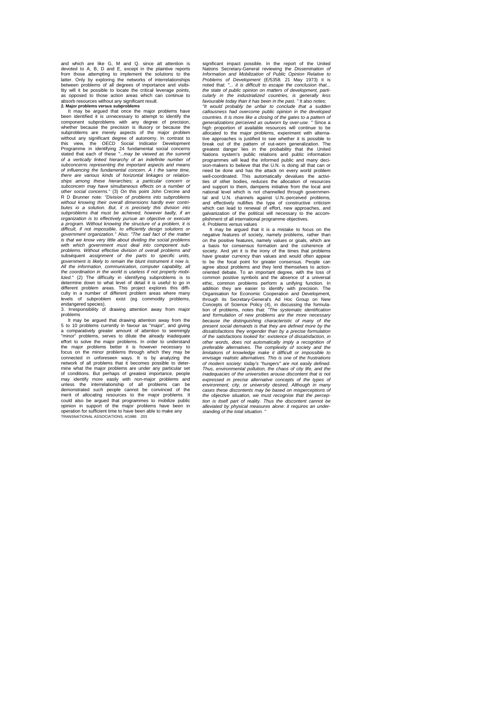and which are like G, M and Q. since alt attention is devoted to A, B, D and E, except in the plaintive reports from those attempting to implement the solutions to the latter. Only by exploring the networks of interrelationships between problems of all degrees of importance and visibi-lity will it be possible to locate the critical leverage points, as opposed to those action areas which can continue to

absorb resources without any significant result.<br>**2. Major problems versus subproblems**<br>**It may be argued that once the major problems have<br>been identified it is unnecessary to attempt to identify the** component subproblems with any degree of precision, whether because the precision is illusory or because the subproblems are merely aspects of the major problem without any significant degree of autonomy. In contrast to this view, the OECD Social Indicator Development Programme in identifying 24 fundamental social concerns stated that each of these *"...may be viewed as the summit of a vertically linked hierarchy of an indefinite number of subconcerns representing the important aspects and means of influencing the fundamental concern. A t the same time, there are various kinds of horizontal linkages or relation*ships among these hierarchies; a particular concern or *subconcem may have simultaneous effects on a number of other social concerns."* (3) On this point John Crecine and R D Brunner note: *"Division of problems into subproblems without knowing their overall dimensions hardly ever contributes io a solution. But, it is precisely this division into subproblems that must be achieved, however badly, if an organization is to effectively pursue an objective or execute a program. Without knowing the structure of a problem, it is difficult, if not impossible, to efficiently design solutions or government organization."* Also: *"The sad fact of the matter is that we know very little about dividing the social problems with which government must deal into component sub-problems. Without effective division of overall problems and*  subséquent *assignment of the parts to specific units, government is likely to remain the blunt instrument it now is.*  All the information, communication, computer capability, all the coordination in the world is useless if not properly mobi-<br>lized." (2) The difficulty in identifying subproblems is to<br>determine down to what level of detail it is useful to go in<br>different problem areas. This project culty in a number of different problem areas where many of subproblem exist (eg commodity problems endangered species). 3. Irresponsibility of drawing attention away from major

problems

It may be argued that drawing attention away from the 5 to 10 problems currently in favour as "major", and giving a comparatively greater amount of attention to seemingly "minor" problems, serves to dilute the already inadequate effort to solve the major problems. In order to understand the major problems better it is however necessary to focus on the minor problems through which they may be connected in unforeseen ways. It is by analyzing the connected in unforeseen ways. It is by analyzing the network of all problems that it becomes possible to determine what the major problems are under any particular set of conditions. But perhaps of greatest importance, people may identify more easily with non-major problems and unless the interrelationship of all problems can be demonstrated such people cannot be convinced of the merit of allocating resources to the major problems. It could also be argued that programmes to mobilize public opinion in support of the major problems have been in operation for sufficient time to have been able to make any TRANSNATIONAL ASSOCIATIONS, 4/1986 203

significant impact possible. In the report of the United Nations Secretary-General reviewing the *Dissemination of Information and Mobilization of Public Opinion Relative to Problems of Development* (E/5358. 21 May 1973) it is noted that: *"... it is difficult to escape the conclusion that... the state of public opinion on matters of development, parti*cularly in the industrialized countries, is generally less<br>favourable today than it has been in the past. "It also notes:<br>"It would probably be unfair to conclude that a sudden<br>callousness had overcome public opinion in th *generalizations perceived as outworn by over-use. "* Since a high proportion of available resources will continue to be allocated to the major problems, experiment with alternative approaches is justified to see whether it is possible to break out of the pattern of out-worn generalization. The greatest danger lies in the probability that the United Nations system's public relations and public information programmes will lead the informed public and many deci-sion-makers to believe that the U.N. is doing all that can or need be done and has the attack on every world problem well-coordinated. This automatically devalues the activi-ties of other bodies, reduces the allocation of resources and support to them, dampens initiative from the local and national level which is not channelled through governmental and U.N. channels against U.N.-perceived problems, and effectively nullifies the type of constructive criticism which can lead to renewal of effort, new approaches, and galvanization of the political will necessary to the accom-plishment of all international programme objectives.

4. Problems versus values It may be argued that it is a mistake to focus on the negative features of society, namely problems, rather than on the positive features, namely values or goals, which are a basis for consensus formation and the coherence of society. And yet it is the irony of the times that problems<br>have greater currency than values and would often appear<br>to be the focal point for greater consensus. People can<br>agree about problems and they lend themselves to oriented debate. To an important degree, with the loss of common positive symbols and the absence of a universal ethic, common problems perform a unifying function. In addition they are easier to identify with precision. The Organisation for Economic Cooperation and Development,<br>through its Secretary-General's Ad Hoc Group on New<br>Concepts of Science Policy (4), in discussing the formula-<br>tion of problems, notes that: "The systematic identifica dissatisfactions they engender than by a precise formulation, in the satisfactions looked for: existence of dissatisfaction, in other words, does not automatically imply a recognition of preferable alternatives. The comple *envisage realistic alternatives. This is one of the frustrations of modern society: today's "hungers" are not easily defined. Thus, environmental pollution, the chaos of city life, and the inadequacies of the universities arouse discontent that is not expressed in precise alternative concepts of the types of environment, city, or university desired. Although in many cases these discontents may be based on misperceptions of*  the objective situation, we must recognise that the perception is itself part of reality. Thus the discontent cannot be<br>alleviated by physical measures alone: it requires an under-<br>standing of the total situation. "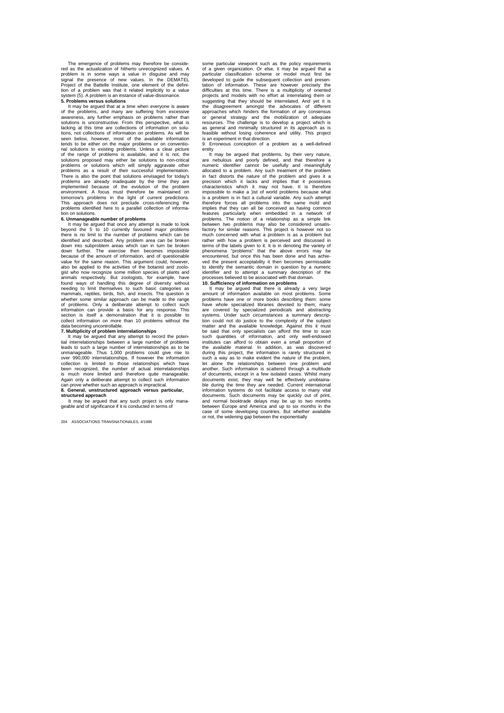The emergence of problems may therefore be conside-red as the actualization of hitherto unrecognized values. A problem is in some ways a value in disguise and may signal the presence of new values. In the DEMATEL Project of the Battelle Institute, one element of the defini-tion of a problem was that it related implicitly to a value system (5). A problem is an instance of value-dissonance. **5. Problems versus solutions**

It may be argued that at a time when everyone is aware of the problems, and many are suffering from excessive awareness, any further emphasis on problems rather than solutions is unconstructive. From this perspective, what is lacking at this time are collections of information on solu-tions, not collections of information on problems. As will be seen below, however, most of the available information tends to be either on the major problems or on conventional solutions to existing problems. Unless a clear picture of the range of problems is available, and it is not, the solutions proposed may either be solutions to non-critical<br>problems ars a result of their successful implementation.<br>problems as a result of their successful implementation.<br>There is also the point that solutions envisaged implemented because of the evolution of the problem environment. A focus must therefore be maintained on tomorrow's problems in the light of current predictions. This approach does not preclude cross-referencing the problems identified here to a parallel collection of informa-

### tion on solutions. **6. Unmanageable number of problems**

It may be argued that once any attempt is made to look beyond the 5 to 10 currently favoured major problems there is no limit to the number of problems which can be identified and described. Any problem area can be broken down into subproblem areas which can in turn be broken<br>down further. The exercise then becomes impossible The exercise then becomes impossible because of the amount of information, and of questionable value for the same reason. This argument could, however, also be applied to the activities of the botanist and zoologist who now recognize some million species of plants and<br>animals respectively. But zoologists, for example, have<br>found ways of handling this degree of diversity without<br>needing to limit themselves to such basic categories mammals, reptiles, birds, fish, and insects. The question is whether some similar approach can be made to the range of problems. Only a deliberate attempt to collect such information can provide a basis for any response. This section is itself a demonstration that it is possible to collect information on more than 10 problems without the data becoming uncontrollable. **7. Multiplicity of problem interrelationships**

It may be argued that any attempt to record the poten-tial interrelationships between a large number of problems leads to such a large number of interrelationships as to be unmanageable. Thus 1,000 problems could give rise to over 990,000 interrelationships. If however the information collection is limited to those relationships which have been recognized, the number of actual interrelationships is much more limited and therefore quite manageable.<br>Again only a deliberate attempt to collect such information<br>can prove whether such an approach is impractical.<br>**8. General, unstructured approach versus particular,** 

**structured approach** It may be argued that any such project is only mana-geable and of significance if it is conducted in terms of

204 ASSOCIATIONS TRANSNATIONALES, 4/1986

some particular viewpoint such as the policy requirements of a given organization. Or else, it may be argued that a particular classification scheme or model must first be developed to guide the subsequent collection and presentation of information. These are however precisely the difficulties at this time. There is a multiplicity of oriented projects and models with no effort at interrelating them or suggesting that they should be interrelated. And yet it is the disagreement amongst the advocates of different approaches which hinders the formation of any consensus or general strategy and the mobilization of adequate resources. The challenge is to develop a project which is as general and minimally structured in its approach as is feasible without losing coherence and utility. This project is an experiment in that direction. 9. Erroneous conception of a problem as a well-defined

entity It may be argued that problems, by their very nature, are nebulous and poorly defined, and that therefore a<br>numeric identifier cannot be usefully and meaningfully<br>allocated to a problem. Any such treatment of the problem<br>in fact distorts the nature of the problem and gives it characteristics which it may not have. It is therefore impossible to make a )ist of world problems because what is a problem is in fact a cultural variable. Any such attempt therefore forces all problems into the same mold and implies that they can all be conceived as having common features particularly when embedded in a network of problems. The notion of a relationship as a simple link between two problems may also be considered unsatis-factory for similar reasons. This project is however not so much concerned with what a problem is as a problem but rather with how a problem is perceived and discussed in terms of the labels given to it. It is in denoting the variety of phenomena "problems" that the above errors may be encountered, but once this has been done and has achie-ved the present acceptability it then becomes permissable to identify the semantic domain in question by a numeric identifier and to attempt a summary description of the processes believed to be associated with that domain.

#### **10. Sufficiency of information on problems**

It may be argued that there is already a very large<br>nount of information available on most problems. Some amount of information available on most problems. Some problems have one or more books describing them: some have whole specialized libraries devoted to them; many are covered by specialized periodicals and abstracting<br>systems. Under such circumstances a summary descrip-<br>tion could not do justice to the complexity of the subject<br>matter and the available knowledge. Against this it mus be said that only specialists can afford the time to scan<br>such quantities of information, and only well-endowed<br>institutes can afford to obtain even a small proportion of<br>the available material. In addition, as was discove such a way as to make evident the nature of the problem, let alone the relationships between one problem and another. Such information is scattered through a multitude of documents, except in a few isolated cases. Whilst many documents exist, they may well be effectively unobtaina-ble during the time they are needed. Current international information systems do not facilitate access to many vital documents. Such documents may be quickly out of print, and normal booktrade delays may be up to two months<br>between Europe and America and up to six months in the<br>case of some developing countries. But whether available<br>cas or not, the widening gap between the exponentially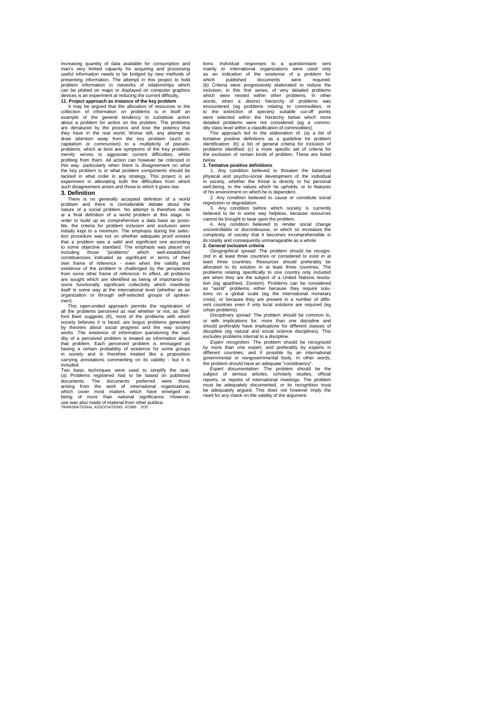increasing quantity of data available for consumption and man's very limited capacity for acquiring and processing useful information needs to be bridged by new methods of presenting information. The attempt in this project to hold problem information in networks of relationships which can be plotted on maps or displayed on computer graphics devices is an experiment at reducing the current difficulty.

**11. Project approach as instance of the key problem**<br>It may be argued that the allocation of resources to the<br>collection of information on problems is in itself an<br>example of the general tendency to substitute action about a problem for action on the problem. The problems are denatured by the process and lose the potency that they have in the real world. Worse still, any attempt to draw attention away from the key problem (such as<br>capitalism or communism) to a multiplicity of pseudocapitalism or communism) to a multiplicity of pseudo-<br>problems, which at best are symptoms of the Key problem,<br>merely serves to aggravate current difficulties, whilst<br>profiting from them. All action can however be criticiz such disagreement arises and those to which it gives rise.

#### **3. Definition**

There is no generally accepted definition of a world problem and there is considerable debate about the nature of a social problem. No attempt is therefore made aï a final definition of a world problem at this stage. In order to build up as comprehensive a data base as possi-ble, the criteria for problem inclusion and exclusion were initially kept to a minimum. The emphasis during the selection procedure was not on whether adequate proof existed<br>that a problem was a valid and significant one according a problem was a valid and significant one according that a problem was a valid and significant one according<br>to some objective standard. The emphasis was placed on<br>including those "problems" which well-established including those "problems" which well-established constituencies indicated as significant in terms of their own frame of reference - even when the validity and cown frame of reference - even when the validity and from some are sought which are identified as being of importance by<br>some functionally significant collectivity which manifests<br>tiself in some way at the international level (whether as an<br>organization or through self-selected groups men).

This open-ended approach permits the registration of all the problems perceived as real whether or not, as Stafford Beer suggests (6), most of the problems with which<br>society believes it is faced, are bogus problems generated<br>by theories about social progress and the way society<br>works. The existence of information questioning the v that problem. Each perceived problem is envisaged as<br>having a certain probability of existence for some groups<br>in society and is therefore treated like a proposition<br>carrying annotations commenting on its validity - but it included.

Two basic techniques were used to simplify the task: (a) Problems registered had to be based on published documents. The documents preferred were those arising from the work of international organizations, which cover most matters which have emerged as being of more than national significance. However, use was also made of material from other publica-TRANSNATIONAL ASSOCIATIONS. 4/1986 2O5

tions. Individual responses to a questionnaire sent mainly to international organizations were used only as an indication of the existence of a problem for which published documents were required. (b) Criteria were progressively elaborated to reduce the inclusion, in this first series, of very detailed problems which were nested within other problems. In other words, when a distinct hierarchy of problems was encountered (eg problems relating to commodities, or to the extinction of species) suitable cut-off points were selected within the hierarchy below which more detailed problems were not considered (eg a commo-dity class level within a classification of commodities). This approach led to the elaboration of: (a) a list of

tentative positive definitions as a guideline for problem identification: (b) a list of general criteria for inclusion of problems identified; (c) a more specific set of criteria for the exclusion of certain kinds of problem. These are listed below.

#### **1. Tentative positive definitions**

1. Any condition believed to threaten the balanced physical and psycho-social development of the individual in society, whether the threat is directly to his personal well-being, to the values which he upholds, or to features of his environment on which he is dependent.

2. Any condition believed to cause or constitute social regression or degradation.

3. Any condition before which society is currently believed to be in some way helpless, because resources cannot be brought to bear upon the problem.

4. Any condition believed to render social change uncontrollable or discontinuous, or which so increases the complexity of society that it becomes incomprehensible in its totality and consequently unmanageable as a whole. **2. General inclusion criteria**

Geographical spread: The problem should be recognized in at least three countries or considered to exist in at least three countries. Resources should preferably be allocated to its solution in at least three countries. Th problems relating specifically to one country only included<br>are when they are the subject of a United Nations resolu-<br>tion (eg apartheid, Zionism). Problems can be considered<br>as "world" problems, either because they requir tions on a global scale (eg the international monetary crisis), or because they are present in a number of diffe-rent countries even if only local solutions are required (eg urban problems).

*Disciplinary spread:* The problem should be common to, or with implications for, more than one discipline and should preferably have implications for different classes of discipline (eg natural and social science disciplines). This excludes problems internal to a discipline. *Experi recognition:* The problem should be recognized

by more than one expert, and preferably by experts in different countries, and if possible by an international governmental or nongovernmental body. In other words, the problem should have an adequate "constituency". *Expert documentation:* The problem should be the

subject of serious articles, scholarly studies, official<br>reports, or reports of international meetings. The problem<br>must be adequately documented, or its recognition must<br>be adequately argued. This does not however imply t need for any check on the validity of the argument.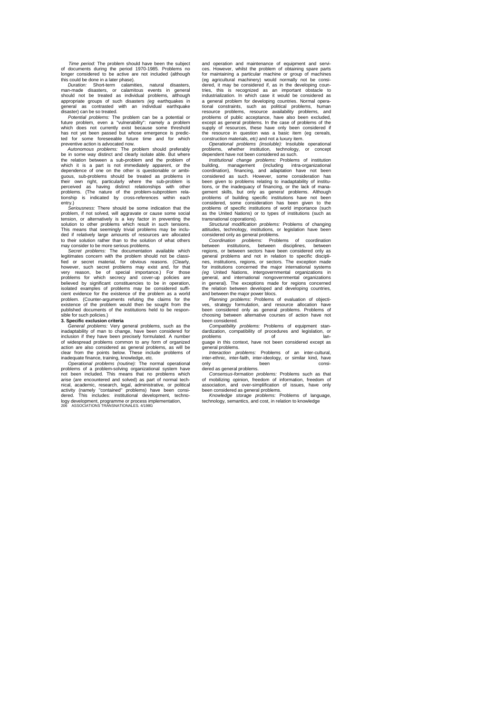*Time period:* The problem should have been the subject of documents during the period 1970-1985. Problems no longer considered to be active are not included (although this could be done in a later phase).

*Duration:* Short-term calamities, natural disasters, man-made disasters, or calamitous events in general should not be treated as individual problems, although appropriate groups of such disasters *(eg* earthquakes in general as contrasted with an individual earthquake disaster) can be so treated.

*Potential problems:* The problem can be a potential or future problem, even a "vulnerability": namely a problem which does not currently exist because some threshold has not yet been passed but whose emergence is predicted for some foreseeable future time and for which preventive action is advocated now.

*Autonomous problems:* The problem should preferably be in some way distinct and clearly isolate able. But where the relation between a sub-problem and the problem of which it is a part is not immediately apparent, or the dependence of one on the other is questionable or ambi-<br>guous, sub-problems should be treated as problems in<br>their own right, particularly where the sub-problem is perceived as having distinct relationships with other problems. (The nature of the problem-subproblem rela-tionship is indicated by cross-references within each entry.)

*Seriousness:* There should be some indication that the problem, if not solved, will aggravate or cause some social tension, or alternatively is a key factor in preventing the solution to other problems which result in such tensions.<br>This means that seemingly trivial problems may be inclu-<br>ded if relatively large amounts of resources are allocated<br>to their solution rather than to the solution of may consider to be more serious problems.

*Secret problems:* The documentation available which legitimates concern with the problem should not be classi-fied or secret material, for obvious reasons. (Clearly, however, such secret problems may exist and, for that very reason, be of special importance.) For those problems for which secrecy and cover-up policies are believed by significant constituencies to be in operation, isolated examples of problems may be considered sufficient evidence for the existence of the problem as a world problem. (Counter-arguments refuting the claims for the existence of the problem would then be sought from the published documents of the institutions held to be responsible for such policies.)

**3. Specific exclusion criteria**

*General problems:* Very general problems, such as the inadaptability of man to change, have been considered for<br>inclusion if they have been precisely formulated. A number<br>of widespread problems common to any form of organized<br>action are also considered as general problems, as

inadequate finance, training, knowledge, etc. *Operational problems (routine):* The normal operational problems of a problem-solving organizational system have not been included. This means that no problems which arise (are encountered and solved) as part of normal techare encountered and solved) as part of normal tech-<br>academic, research, legal, administrative, or political<br>ly (namely "contained" problems) have been consiactivity (namely "contained" problems) have been consi-dered. This includes: institutional development, technology development, programme or process implementation, 206 ASSOCIATIONS TRANSNATIONALES. 4/198G

and operation and maintenance of equipment and servi-ces. However, whilst the problem of obtaining spare parts for maintaining a particular machine or group of machines (eg agricultural machinery) would normally not be considered, it may be considered if, as in the developing coun-tries, this is recognized as an important obstacle to industrialization. In which case it would be considered as a general problem for developing countries. Normal opera-tional constraints, such as political problems, human resource problems, resource availability problems, and problems of public acceptance, have also been excluded, except as general problems. In the case of problems of the supply of resources, these have only been considered if the resource in question was a basic item (eg cereals, construction materials, *etc)* and not a luxury item.

*Operational problems (insoluble):* Insoluble operational problems, whether institution, technology, or concept dependent have not been considered as such.

*Institutional change problems:* Problems of institution building, management (including intra-organizational coordination), financing, and adaptation have not been considered as such. However, some consideration has been given to problems relating to inadaptability of institutions, or the inadequacy of financing, or the lack of mana-<br>gement skills, but only as general problems. Although<br>problems of building specific institutions have not been<br>considered, some consideration has been given to th problems of specific institutions of world importance (such as the United Nations) or to types of institutions (such as transnational coporations).

*Structural modification problems:* Problems of changing attitudes, technology, institutions, or legislation have been considered only as general problems. *Coordination problems:* Problems of coordination

between institutions, between disciplines, between regions, or between sectors have been considered only as general problems and not in relation to specific discipli-nes, institutions, regions, or sectors. The exception made for institutions concerned the major international systems *(eg* United Nations, intergovernmental organizations in general, and international nongovernmental organizations in general). The exceptions made for regions concerned the relation between developed and developing countries,

and between the major power blocs. *Planning problems:* Problems of evaluation of objecti-ves, strategy formulation, and resource allocation have been considered only as general problems. Problems of choosing between alternative courses of action have not been considered.

*Compatibility problems:* Problems of equipment standardization, compatibility of procedures and legislation, or problems of language in this context, have not been considered except as

general problems.<br>*Interaction problems:* Problems of an inter-cultural,<br>inter-ethnic, inter-faith, inter-ideology, or similar kind, have<br>only been considered as general problems.

Consensus-formation problems: Problems such as that<br>of mobilizing opinion, freedom of information, freedom of<br>association, and over-simplification of issues, have only<br>been considered as general problems.

*Knowledge storage problems:* Problems of language, technology, semantics, and cost, in relation to knowledge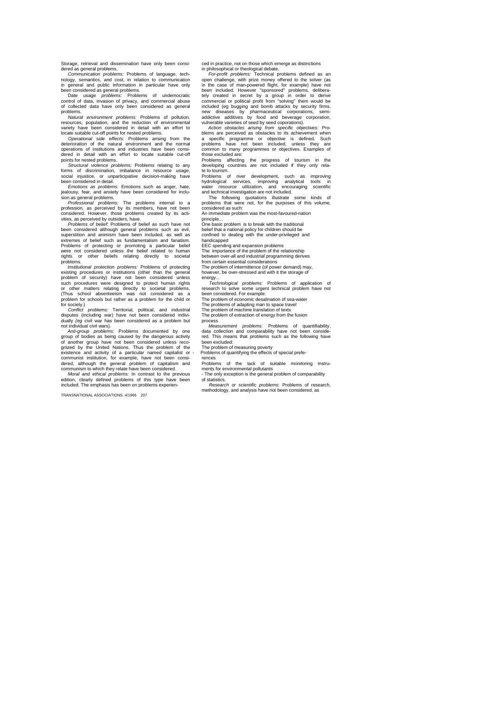Storage, retrieval and dissemination have only been consi-dered as general problems.

*Communication problems:* Problems of language, tech-nology, semantics, and cost, in relation to communication

in general and public information in particular have only<br>been considered as general problems of undemocratic<br>Date usage *problems*: Problems of undemocratic<br>control of data, invasion of privacy, and commercial abuse<br>of co

problems. *Natural environment problems:* Problems of pollution, resources, population, and the reduction of environmental variety have been considered in detail with an effort to locate suitable cut-off points for nested problems.

*Operational side effects:* Problems arising from the deterioration of the natural environment and the normal operations of institutions and industries have been consi-dered in detail with an effort to locate suitable cut-off points for nested problems.

*Structural violence problems:* Problems relating to any forms of discrimination, imbalance in resource usage, social injustice, or unparticipative decision-making have been considered in detail.

*Emotions as problems:* Emotions such as anger, hate, jealousy, fear, and anxiety have been considered for inclu-

sion as general problems. *Professional problems:* The problems internal to a profession, as perceived by its members, have not been considered. However, those problems created by its acti-vities, as perceived by outsiders, have.

*Problems of belief:* Problems of belief as such have not been considered although general problems such as evil, superstition and animism have been included, as well as extremes of belief such as fundamentalism and fanatism. Problems of protecting or promoting a particular belief were not considered unless the belief related to human rights or other beliefs relating directly to societal problems.

*Institutional protection problems:* Problems of protecting existing procedures or institutions (other than the general problem of security) have not been considered unless such procedures were designed to protect human rights<br>or other matters relating directly to societal problems.<br>(Thus school absenteeism was not considered as a<br>problem for schools but rather as a problem for the child or<br>f

Conflict problems: Territorial, political, and industrial disputes (including war) have not been considered individually (eg civil war has been considered as a problem but not individual civil wars).

*Anti-group problems:* Problems documented by one group of bodies as being caused by the dangerous activity of another group have not been considered unless reco-<br>gnized by the United Nations. Thus the problem of the existence and activity of a particular named capitalist or communist institution, for example, have not been consi-dered, although the general problem of capitalism and communism to which they relate have been considered.

*Moral and ethical problems:* In contrast to the previous edition, clearly defined problems of this type have been included. The emphasis has been on problems experien-

TRANSNATIONAL ASSOCIATIONS. 4/1966 207

ced in practice, not on those which emerge as distinctions<br>in philosophical or theological debate.<br>*For-profit problems:* Technical problems defined as an<br>open challenge, with prize money offered to the solver (as in the case of man-powered flight, for example) have not<br>been included. However "sponsored" problems, delibera-<br>tely created in secret by a group in order to derive<br>commercial or political profit from "solving" them would new diseases by pharmaceutical corporations, semi-addictive additives by food and beverage corporation,

vulnerable varieties of seed by seed coporations). *Action obstacles arising from specific objectives:* Pro-blems are perceived as obstacles to its achievement when a specific programme or objective is defined. Such problems have not been included. unless they are problems have not been included, unless they are common to many programmes or objectives. Examples of those excluded are:

Problems affecting the progress of tourism in the developing countries are not included if they only rela-

te to tourism.<br>Problems of river development, such as improving<br>hydrological services, improving analytical tools in<br>water resource utilization, and encouraging scientific<br>and technical investigation are not included.<br>The

The following quotations illustrate some kinds of problems that were not, for the purposes of this volume, considered as such:

An immediate problem was the most-favoured-nation principle...

One basic problem is to break with the traditional

belief that a national policy for children should be confined to dealing with the under-privileged and handicapped

EEC spending and expansion problems

The importance of the problem of the relationship between over-all and industrial programming derives

from certain essential considerations

The problem of intermittence (of power demand) may, however, be over-stressed and with it the storage of

energy... *Technological problems:* Problems of application of research to solve some urgent technical problem have not

been considered. For example: The problem of economic desalination of sea-water The problems of adapting man to space travel

The problem of machine translation of texts

The problem of extraction of energy from the fusion process

Measurement problems: Problems of quantifiability,<br>data collection and comparability have not been conside-<br>red. This means that problems such as the following have been excluded:

The problem of measuring poverty - Problems of quantifying the effects of special prefe-

rences Problems of the lack of suitable monitoring instru-ments for environmental pollutants

The only exception is the general problem of comparability of statistics.

*Research or scientific problems:* Problems of research, methodology, and analysis have not been considered, as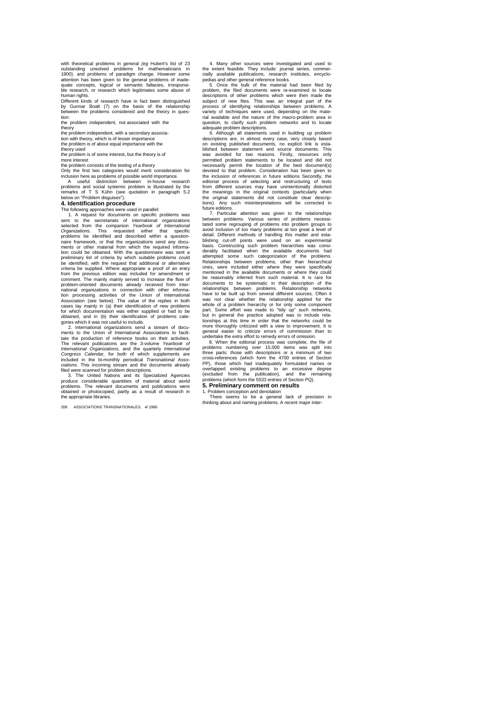with theoretical problems in general (eg Hubert's list of 23<br>outstanding unsolved problems for mathematicians in<br>1900). and problems of paradigm change. However some<br>attention has been given to the general problems of inad quate concepts, logical or semantic fallacies, irresponsi-ble research, or research which legitimates some abuse of human rights.

Different kinds of research have in fact been distinguished by Gunnar Boalt (7) on the basis of the relationship between the problems considered and the theory in question:

the problem independent, not associated with the

theory the problem independent, with a secondary associa-

tion with theory, which is of lesser importance the problem is of about equal importance with the

theory used the problem is of some interest, but the theory is of more interest

#### the problem consists of the testing of a theory

Only the first two categories would merit consideration for inclusion here as problems of possible world importance. A useful distinction between in-house research problems and social systemic problem is illustrated by the remarks of T S Kühn (see quotation in paragraph 5.2

#### below on "Problem disguises") **4. Identification procedure**

The following approaches were used in parallel:<br>
1. A request for documents on specific problems was<br>
selected from the companion *Yearbook of International*<br>
selected from the companion *Yearbook of International Organizations.* This requested either that specific problems be identified and described within a questionnaire framework, or that the organizations send any docu-ments or other material from which the required informa-tion could be obtained. With the questionnaire was sent a preliminary list of criteria by which suitable problems could<br>be identified, with the request that additional or alternative<br>criteria be supplied. Where appropriate a proof of an entry<br>from the previous edition was include comment. The mainly mainly served to increase the flow of<br>problem-oriented documents already received from inter-<br>national organizations in connection with other informa-<br>tion processing activities of the Union of Internat cases lay mainly in (a) their identification of new problems for which documentation was either supplied or had to be obtained, and in (b) their identification of problems cate-gories which it was not useful to include.

2. International organizations send a stream of docu-ments to the Union of International Associations to facili-tate the production of reference books on their activities. The relevant publications are the 3-volume Yearbook of<br>International Organizations, and the quarterly International<br>Congress Calendar, for both of which supplements are<br>included in the bi-monthly periodical Transnational A *ciations.* This incoming stream and the documents already filed were scanned for problem descriptions. 3. The United Nations and its Specialized Agencies

produce considerable quantities of material about world problems. The relevant documents and publications were obtained or photocopied, partly as a result of research in the appropriate libraries.

208 ASSOCIATIONS TRANSNATIONALES. *4/* 1986

4. Many other sources were investigated and used to the extent feasible. They include: journal series, commercially available publications, research institutes, encyclo-pedias and other general reference books.

5. Once the bulk of the material had been filed by problem, the filed documents were re-examined to locate descriptions of other problems which were then made the subject of new files. This was an integral part of the process of identifying relationships between problems. A variety of techniques were used, depending on the mate-rial available and the nature of the macro-problem area in question, to clarify such problem networks and to locate adequate problem descriptions. 6. Although all statements used in building up problem

descriptions are, in almost every case, very closely based on existing published documents, no explicit link is established between statement and source documents. This was avoided for two reasons. Firstly, resources only permitted problem statements to be located and did not<br>necessarily permit the location of the best document(s)<br>devoted to that problem. Consideration has been given to<br>the inclusion of references in future editions Secondl from different sources may have unintentionally distorted the meanings in the original contexts (particularly when the original statements did not constitute clear descriptions). Any such misinterpretations will be corrected in future editions.

7. Particular attention was given to the relationships between problems. Various series of problems necessitated some regrouping of problems into problem groups to<br>avoid inclusion of too many problems at too great a level of<br>detail. Different methods of handling this matter and esta-<br>blishing cut-off points were used on an expe basis. Constructing such problem hierarchies was consi-<br>derably facilitated when the available documents had<br>attempted some such categorization of the problems.<br>Relationships between problems, other than hierarchical<br>ones, mentioned in the available documents or where they could be reasonably inferred from such material. It is rare for documents to be systematic in their description of the relationships between problems. Relationship networks have to be built up from several different sources. Often it was not clear whether the relationship applied for the whole of a problem hierarchy or for only some component part. Some effort was made to "tidy up" such networks, but in general the practice adopted was to include relationships at this time in order that the networks could be more thoroughly criticized with a view to improvement. It is general easier to criticize errors of commission than to

undertake the extra effort to remedy errors of omission.<br>8. When the editorial process was complete, the file of<br>problems numbering over 15,000 items was split into<br>three parts: those with descriptions or a minimum of two cross-references (which form the 4700 entries of Section PP), those which had inadequately formulated names or overlapped existing problems to an excessive degree (excluded from the publication), and the remaining problems (which form the 5533 entries of Section PQ). **5. Preliminary comment on results**

1. Problem conception and denotation There seems to be a general lack of precision in thinking about and naming problems. A recent major inter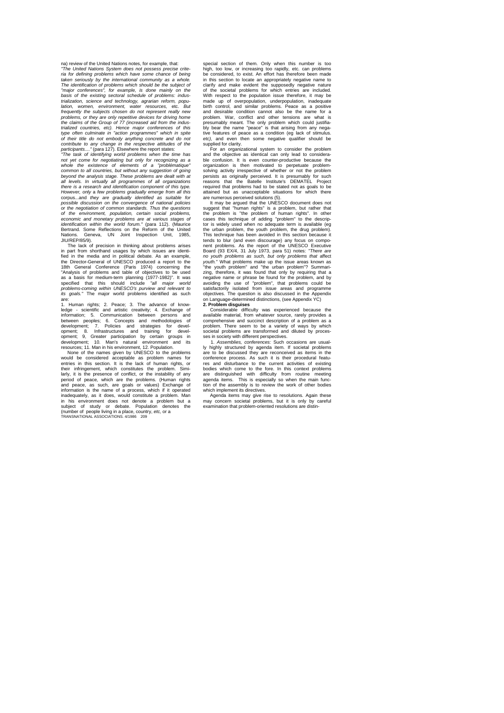na) review of the United Nations notes, for example, that: *"The United Nations System does not possess precise crite-*

*ria for defining problems which have some chance of being*  taken seriously by the international community as a whole *The identification of problems which should be the subject of "major conferences", for example, is done mainly on the basis of the existing sectoral schedule of problems: industrialization, science and technology, agrarian reform, popu-lation, women, environment, water resources,* etc. *But frequently the subjects chosen do not represent really new problems, or they are only repetitive devices for driving home the claims of the Group of 77 (increased aid from the indus-trialized countries, etc). Hence major conferences of this type often culminate in "action programmes" which in spite of their title do not embody anything concrete and do not contribute to any change in the respective attitudes of the participants...."* (para 127). Elsewhere the report states: *"The task of identifying world problems when the time has* 

*not yet come for negotiating but only for recognizing as a whole the existence of elements of a "problématique" common to all countries, but without any suggestion of going beyond the analysis stage. These problems are dealt with at all levels. In virtually all programmes of all organizations there is a research and identification component of this type. However, only* a *few problems gradually emerge from all this*  corpus...and *they are gradually identified as suitable for possible discussion on the convergence of national policies or the negotiation of common standards. Thus the questions of the environment, population, certain social problems, economic and monetary problems are at various stages of identification within the world forum."* (para 112). (Maurice Bertrand. Some Reflections on the Reform of the United Seneva, UN Joint Inspection Unit, 1985 Dormand. Son.<br>Nations. Ger<br>JIU/REP/85/9).

The lack of precision in thinking about problems arises<br>in part from shorthand usages by which issues are identi-<br>fied in the media and in political debate. As an example,<br>the Director-General of UNESCO produced a report t 18th General Conference (Paris 1974) concerning the "Analysis of problems and table of objectives to be used<br>as a basis for medium-term planning (1977-1982)". It was<br>specified that this should include "all major world<br>prob

are:<br>1. Human rights; 2. Peace; 3. The advance of know 1. Human rights; 2. Peace; 3. The advance of know-<br>ledge - scientific and artistic creativity; 4. Exchange of<br>information; 5. Communication between persons and<br>between peoples; 6. Concepts and methodologies of<br>development;

would be considered acceptable as problem names for entries in this section. It is the lack of human rights, or their infringement, which constitutes the problem. Similarly, it is the presence of conflict, or the instability of any period of peace, which are the problems. (Human rights and peace, as such, are goals or values) Exchange of information is the name of a process, which if it operated inadequately, as it does, would constitute a problem. Man<br>in his environment does not denote a problem but a<br>subject of study or debate. Population denotes the<br>(number of people living in aplace, country, *etc*, or a<br>TRANS

special section of them. Only when this number is too high, too low, or increasing too rapidly, etc. can problems be considered, to exist. An effort has therefore been made in this section to locate an appropriately negative name to clarify and make evident the supposedly negative nature of the societal problems for which entries are included. With respect to the population issue therefore, it may be made up of overpopulation, underpopulation, inadequate birth control, and similar problems. Peace as a positive and desirable condition cannot also be the name for a problem. War, conflict and other tensions are what is presumably meant. The only problem which could justifia-bly bear the name "peace" is that arising from any nega-tive features of peace as a condition (eg lack of stimulus. etc), and even then some negative qualifier should be supplied for clarity.

For an organizational system to consider the problem and the objective as identical can only lead to considerable confusion. It is even counter-productive because the organization is then motivated to perpetuate problemsolving activity irrespective of whether or not the problem persists as originally perceived. It is presumably for such reasons that the Batelle Institute's DEMATEL Project required that problems had to be stated not as goals to be attained but as unacceptable situations for which there

are numerous perceived solutions (5). It may be argued that the UNESCO document does not suggest that "human rights" is a problem, but rather that the problem is "the problem of human rights". In other cases this technique of adding "problem" to the descriptor is widely used when no adequate term is available (eg the urban problem, the youth problem, the drug problem). This technique has been avoided in this section because it tends to blur (and even discourage) any focus on component problems. As the report of the UNESCO Executive<br>Board (93 EX/4, 31 July 1973, para 51) notes: "There are<br>no youth problems as such, but only problems that affect<br>youth. "What problem" and "the urban problem"? Summarizing, therefore, it was found that only by requiring that a<br>negative name or phrase be found for the problem, and by<br>avoiding the use of "problem", that problems could be<br>satisfactorily isolated from issue areas and progra objectives. The question is also discussed in the Appendix on Language-determined distinctions, (see Appendix YC) on Language-determined distinctions, (see Appendix<br>**2. Problem disguises** 

Considerable difficulty was experienced because the available material, from whatever source, rarely provides a<br>comprehensive and succinct description of a problem as a<br>problem. There seem to be a variety of ways by which societal problems are transformed and diluted by proces-

ses in society with different perspectives. 1. *Assemblies, conferences:* Such occasions are usual-ly highly structured by agenda item. If societal problems are to be discussed they are reconceived as items in the conference process. As such it is their procedural featu-res and disturbance to the current activities of existing bodies which come to the fore. In this context problems are distinguished with difficulty from routine meeting agenda items. This is especially so when the main func-tion of the assembly is to review the work of other bodies which implement its directives.

Agenda items may give rise to resolutions. Again these may concern societal problems, but it is only by careful examination that problem-oriented resolutions are distin-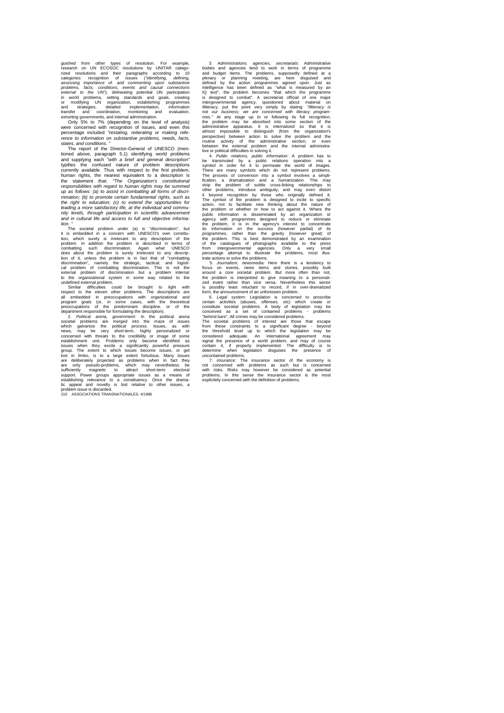guished from other types of resolution. For example,<br>research on UN ECOSOC resolutions by UNITAR catego-<br>rized resolutions and their paragraphs according to 10<br>categories: recogntion of issues ("dentifying, defining<br>assess

Only 5% to 7% (depending on the level of analysis) were concerned with recognition of issues, and even this percentage included *"restating, reiterating or making refe-rence to information on substantive problems, needs, facts,* 

s*tates, and conditions.* "<br>The report of the Director-General of UNESCO (mentioned above, paragraph 5.1) identifying world problems<br>and supplying each "with a *brief and general description*"<br>typifies the confused nature currently available. Thus with respect to the first problem,<br>human rights, the nearest equivalent to a description is<br>the statement that: "The Organization's constitutional<br>responsibilities with regard to human rights may *mination; (b) to promote certain fundamental rights, such as the right to education; (c) to extend the opportunities for leading a more satisfactory life, at the individual and commu-nity levels, through participation in scientific advancement and in cultural life and access to full and objective information. "*

ri.<br>The societal problem under (a) is "discrimination", but it is embedded in a concern with UNESCO's own constitution, which surely is irrelevant to any description of the<br>problem. In addition the problem is described in terms of<br>combatting such discrimination. Again what UNESCO<br>d

tion of it, unless the problem is in fact that of "coronbatting discimination", mamely the strategic, tactical, and logistical problem of discrimination. This is not the external problem of discrimination but a problem int group. The extent to which issues become issues, or get<br>lost in limbo, is to a large extent fortuituous. Many issues<br>are deliberately projected as problems when in fact they<br>are only pseudo-problems, which may nevertheless

3. Administrations. agencies the two-scharakis: Administrative and agencies tend to work in terms of programme<br>and budget items. The problems, supposedly defined at a<br>defined by the action programmes agreed upon. Just as<br>d perspective) between action to solve the problem and the routine activity of the administrative section, or even between the external problem and the internal administra-tive or political difficulties in solving it.

4. Public relations, public information: A problem has to the transmuted by a public relations operation into a symbol in order for it to permeate the world of images. The process of conversion into a symbol involves a sim programmes, rather than the gravity (however great) of the problem. This is best demonstrated by an examination of the catalogues of photographs available to the press from intergovernmental agencies. Only a very small percentage attempt to illustrate the problems, most illus-

trate actions to solve the problems.<br>
S. Journalism, newsmedia: Here there is a tendency to<br>
focus on events, news items and stories, possibly built<br>
around a core societal problem. But more often than not,<br>
the problem is

from these constraints to a significant degree - beyond the threshold level up to which the legislation may be considered adequate. An international agreement may signal the presence of a world problem, and may of course contain it, if properly implemented. The difficulty is to determine when legislation disguises the presence of

uncontained problems.<br>
7. *insurance*: The insurance sector of the economy is<br>
not concerned with problems as such but is concerned<br>
with risks. Risks may however be considered as potential<br>
problems. In this esnes the ins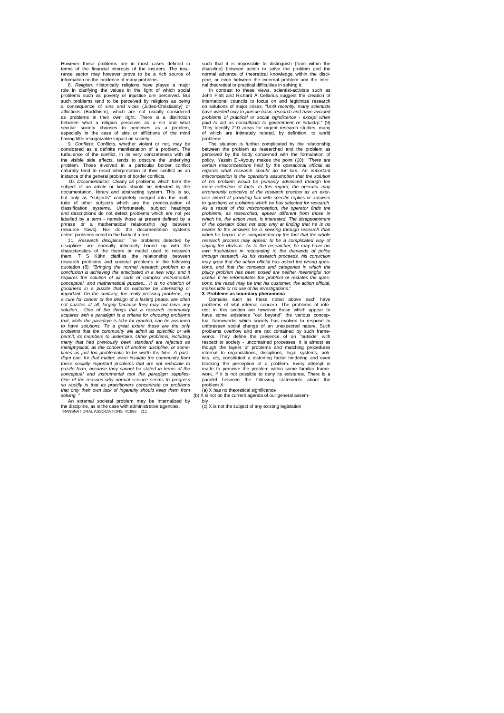However these problems are in most cases defined in terms of the financial interests of the insurers. The insurance sector may however prove to be a rich source of information on the incidence of many problems.

8. *Religion:* Historically religions have played a major role in clarifying the values in the light of which social problems such as poverty or injustice are perceived. But such problems tend to be perceived by religions as being<br>a consequence of sins and vices (Judeo-Christianity) or<br>afflictions (Buddhism), which are not usually considered<br>as problems in their own right. There is a distincti between what a religion perceives as a sin and what secular society chooses to perceives as a problem, especially in the case of sins or afflictions of the mind having little recognizable impact on society.<br>
9 Conflicts: Conflicts whether violen

9. *Conflicts:* Conflicts, whether violent or not, may be considered as a definite manifestation of a problem. The turbulence of the conflict, in its very concreteness with all the visible side effects, tends to obscure the underlying<br>problem. Those involved in a particular border conflict<br>naturally tend to resist interpretation of their conflict as an<br>instance of the general problem of border co

subject of an article or book should be detected by the<br>documentation, library and abstracting system. This is so,<br>but only as "subjects" completely merged into the multi-<br>tude of other subjects which are the preoccupation classification systems. Unfortunately, subject headings<br>and descriptions do not detect problems which are not yet<br>labelled by a term - namely those at present defined by a<br>phrase or a mathematical relationship (eg between<br>

detect problems noted in the body of a text. 11. *Research disciplines:* The problems detected by disciplines are normally intimately bound up with the<br>characteristics of the theory or model used to research<br>them. T S Kühn clarifies the relationship between<br>research problems and societal problems in the following<br>quota *conclusion is achieving the anticipated in a new way, and it requires the solution of all sorts of complex instrumental, conceptual, and mathematical puzzles... It is no criterion of goodness in a puzzle that its outcome be interesting or important. On the contrary, the really pressing problems,* eg *a cure for cancer or the design of a lasting peace, are often not puzzles at all, largely because they may not have any*  solution... One of the things that a research community<br>acquires with a paradigm is a criteria for choosing problems<br>that, while the paradigm is take for granted, can be assumed<br>to have solutions. To a great extent these a problems that the community will admit as scientific or will<br>permit, its members to undertake. Other problems, including<br>many that had previously been standard are rejected as<br>metaphysical, as the concern of another discip *times as just too problematic to be worth the time. A paradigm can, for that matter, even insulate the community from those socially important problems that are not reducible to puzzle form, because they cannot be stated in terms of the*  conceptual and instrumental tool the paradigm supplies-<br>One of the reasons why normal science seems to progress<br>so rapidly is that its practitioners concentrate on problems<br>that only their own lack of ingenuity should keep *solving. "*

external societal problem may be internalized by the discipline, as is the case with administrative agencies, TRANSNATIONAL ASSOCIATIONS, 4/1986 211

such that it is impossible to distinguish (from within the discipline) between action to solve the problem and the normal advance of theoretical knowledge within the discipine, or even between the external problem and the inter-

nal theoretical or practical difficulties in solving it. In contrast to these views, scientist-activists such as John Platt and Richard A Cellarius suggest the creation of international councils to focus on and legitimize research on solutions of major crises: *"Until recently, many scientists have wanted only to pursue basic research and have avoided problems of practical or social significance - except when paid to act as consultants to government or industry."* (9) They identify 210 areas for urgent research studies, many of which are intimately related, by definition, to world problems.

The situation is further complicated by the relationship between the problem as researched and the problem as perceived by the body concerned with the formulation of policy. Yassin EI-Ayouty makes the point (10): *"There are certain misconceptions held by the operational official as regards what research should do for him. An important misconception is the operator's assumption that the solution of his problem would be primarily advanced through the*  mere collection of facts. In this regard, the operator may<br>erroneously conceive of the research process as an exer-<br>cise aimed at providing him with specific replies or answers<br>to questions or problems which he has selecte *As a result of this misconception, the operator finds the problems, as researched, appear different from those in which he, the action man, is interested. The disappointment*  of the operator does not stop only at finding that he is no<br>nearer to the answers he is seeking through research than<br>when he began. It is compounded by the fact that the whole<br>research process may appear to be a complicat saying the obvious. As to the researcher, he may have his<br>own frustrations in responding to the demands of policy<br>through research. As his research proceeds, his conviction<br>may grow that the action official has asked the w *tions, and that the concepts and categories in which the policy problem has been posed are neither meaningful nor useful. If he reformulates the problem or restates the questions, the result may be that his customer, the action official, makes little or no use of his investigations."*

**3. Problems as boundary phenomena** Domains such as those noted above each have problems of vital internal concern. The problems of interest in this section are however those which appear to have some existence "out beyond" the various concep-tual frameworks which society has evolved to respond to unforeseen social change of an unexpected nature. Such problems overflow and are not contained by such frame-<br>works. They define the presence of an "outside" with works. They define the presence of an "outside" with respect to society - uncontained processes. It is almost as though the layers of problems and matching procedures internal to organizations, disciplines, legal systems, politics, *etc,* constituted a distorting factor hindering and even blocking the perception of a problem. Every attempt is made to perceive the problem within some familiar framework, if it is not possible to deny its existence. There is a parallel between the following statements about the problem X:

problem A.<br>(a) X has no theoretical significance (b)  $\chi$  is not on the current agenda of our general assem-

bly

 $(c)$  X is not the subject of any existing legislation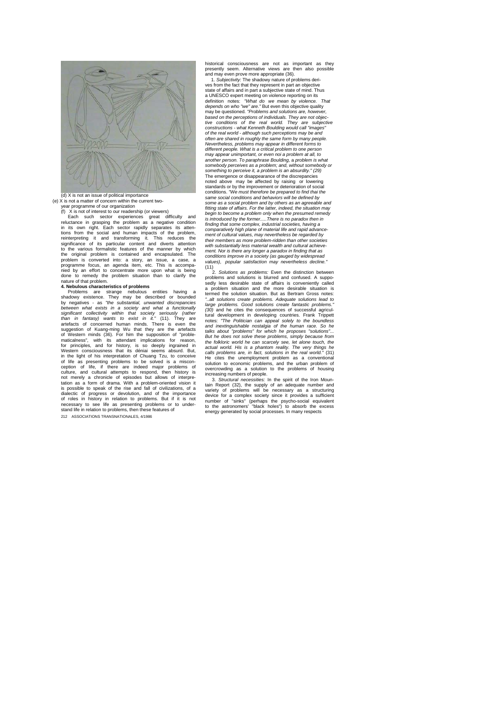

### (e) X is not a matter of concern within the current twoyear programme of our organization<br>(f) X is not of interest to our readership (or view

(f) X is not of interest to our readership (or viewers) Each such sector experiences great difficulty and reluctance in grasping the problem as a negative condition<br>in its own right. Each sector rapidly separates its atten-<br>tions from the social and human impacts of the problem,<br>reinterpreting it and transforming it. This redu significance of its particular content and diverts attention to the various formalistic features of the manner by which the original problem is contained and encapsulated. The problem is converted into: a story, an issue, a case, a programme focus, an agenda item, etc. This is accompanied by an effort to concentrate more upon what is being done to remedy the problem situation than to clarify the nature of that problem.

**4. Nebulous characteristics of problems** Problems are strange nebulous entities having a shadowy existence. They may be described or bounded by negatives - as *"the substantial, unwanted discrepancies*  between what exists in a society and what a functionally<br>significant collectivity within that society seriously (rather<br>than in fantasy) wants to exist in it." (11). They are<br>artefacts of concerned human minds. There is ev for principles, and for history, is so deeply ingrained in Western consciousness that its déniai seems absurd. But, in the light of his interpretation of Chuang Tzu, to conceive of life as presenting problems to be solved is a miscon-ception of life, if there are indeed major problems of culture, and cultural attempts to respond, then history is<br>not merely a chronicle of episodes but allows of interpre-<br>tation as a form of drama. With a problem-oriented vision it<br>is possible to speak of the rise and fall o dialectic of progress or devolution, and of the importance<br>of roles in history in relation to problems. But if it is not<br>necessary to see life as presenting problems or to under-<br>stand life in relation to problems, then th 212 ASSOCIATIONS TRANSNATIONALES, 4/1986

historical consciousness are not as important as they presently seem. Alternative views are then also possible

and may even prove more appropriate (36). 1. *Subjectivity:* The shadowy nature of problems derives from the fact that they represent in part an objective state of affairs and in part a subjective state of mind. Thus a UNESCO expert meeting on violence reporting on its definition notes: *"What do we mean by violence. That depends on who "we" are."* But even this objective quality may be questioned. *"Problems and solutions are, however, based on the perceptions of individuals. They are not objective conditions of the real world. They are subjective constructions - what Kenneth Boulding would call "images" of the real world - although such perceptions may be and*  often are shared in roughly the same form by many people.<br>Nevertheless, problems may appear in different forms to<br>different people. What is a critical problem to one person<br>may appear unimportant, or even noi a problem at another person. To paraphrase Boulding, a problem is what<br>somebody perceives as a problem; and, without somebody or<br>something to perceive it, a problem is an absurdity." (29)<br>The emergence or disappearance of the discrepan standards or by the improvement or deterioration of social conditions. *"We must therefore be prepared to find thai the*  same social conditions and behaviors will be defined by<br>some as a social problem and by others as an agreeable and *some as a social problem and by others as an agreeable and fitting state of affairs. For the latter, indeed, the situation may begin to become a problem only when the presumed remedy is introduced by the former.....There is no paradox then in finding that some complex, industrial societies, having a comparatively high plane of material life and rapid advancement of cultural values, may nevertheless be regarded by their members as more problem-ridden than other societies with substantially less material wealth and cultural achievement. Nor is there any longer a paradox in finding that as conditions improve in a society (as gauged by widespread values), popular satisfaction may nevertheless decline."*  (11)

2. *Solutions as problems:* Even the distinction between problems and solutions is blurred and confused. A suppo-sedly less desirable state of affairs is conveniently called a problem situation and the more desirable situation is termed the solution situation. But as Bertram Gross notes: *"..alt solutions create problems. Adequate solutions lead to large problems. Good solutions create fantastic problems."*  (30) and he cites the consequences of successful agricultural development in developing countries. Frank Trippet<br>notes: "The Politician can appeal solely to the boundless<br>notes: "The Politician can appeal solely to the bum talks about "problems" for which he proposes "solutions"...<br>But he does not solve these problems, simply because from<br>the folkloric world he can scarcely see, let alone touch, the<br>actual world. His is a phantom reality. Th He cites the unemployment problem as a conventional solution to economic problems, and the urban problem of overcrowding as a solution to the problems of housing increasing numbers of people. 3. *Structural necessities:* In the spirit of the Iron Moun-

tain Report (32), the supply of an adequate number and variety of problems will be necessary as a structuring device for a complex society since it provides a sufficient<br>number of "sinks" (perhaps the psycho-social equivalent<br>to the astronomers' "black holes") to absorb the excess<br>energy generated by social processes. In many resp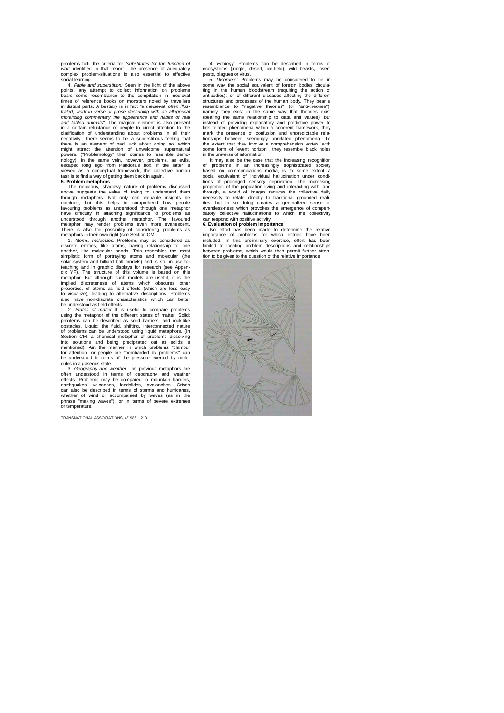problems fulfil the criteria for *"substitutes for the function of war"* identified in that report. The presence of adequately complex problem-situations is also essential to effective social learning.

4. *Fable and superstition:* Seen in the light of the above points, any attempt to collect information on problems bears some resemblance to the compilation in medieval times of reference books on monsters noted by travellers in distant parts. A bestiary is in fact "a *medieval, often illus*trated, work in verse or prose describing with an allegorical<br>moralizing commentary the appearance and habits of real<br>and fabled animals". The magical element is also present<br>in a certain reluctance of people to direct att nology). In the same vein, however, problems, as evils,<br>escaped long ago from Pandora's box. If the latter is<br>viewed as a conceptual framework, the collective human<br>task is to find a way of getting them back in again.<br>**5.** 

The nebulous, shadowy nature of problems discussed above suggests the value of trying to understand them through metaphors. Not only can valuable insights be obtained, but this helps to comprehend how people favouring problems as understood through one metaphor<br>have difficulty in attaching significance to problems as<br>understood through another metaphor. The favoured<br>metaphor may render problems even more evanescent.<br>There is a

discrete entities, like atoms, having relationship to one<br>another, like molecular bonds. This resembles the most<br>simplistic form of portraying atoms and molecular (the<br>solar system and billiard ball models) and is still in dix YF), The structure of this volume is based on this metaphor. But although such models are useful, it is the implied discreteness of atoms which obscures other properties, of atoms as field effects (which are less easy to visualize), leading to alternative descriptions. Problems also have non-discrete characteristics which can better be understood as field effects.

2. States of matter It is useful to compare problems<br>using the metaphor of the different states of matter. Solid:<br>problems can be described as solid barriers, and rock-like<br>obstacles. Liquid: the fluid, shifting, interconn of problems can be understood using liquid metaphors. (In<br>Section CM, a chemical metaphor of problems dissolving<br>into solutions and being precipitated out as solids is<br>mentioned). Air: the manner in which problems "clannou be understood in terms of the pressure exerted by mole-cules in a gaseous state.

3. *Geography and weather* The previous metaphors are often understood in terms of geography and weather<br>effects. Problems may be compared to mountain barriers,<br>earthquakes, volcanoes, landslides, avalanches. Crises<br>can also be described in terms of storms and hurricanes, whether of wind or accompanied by waves (as in the phrase "making waves"), or in terms of severe extremes of temperature.

TRANSNATIONAL ASSOCIATIONS, 4/1986 213

4. *Ecology:* Problems can be described in terms of ecosystems (jungle, desert, ice-field), wild beasts, insect pests, plagues or virus. 5. *Disorders:* Problems may be considered to be in

some way the social equivalent of foreign bodies circula-ting in the human bloodstream (requiring the action of antibodies), or of different diseases affecting the different structures and processes of the human body. They bear a<br>resemblance to "negative theories" (or "anti-theories"),<br>namely they exist in the same way that theories exist<br>(bearing the same relationship to data and values), but instead of providing explanatory and predictive power to link related phenomena within a coherent framework, they mark the presence of confusion and unpredictable relationships between seemingly unrelated phenomena. To the extent that they involve a comprehension vortex, with some form of "event horizon", they resemble black holes in the universe of information.

It may also be the case that the increasing recognition<br>of problems in an increasingly sophisticated society<br>based on communications media, is to some extent a<br>social equivalent of individual hallucination under condi-<br>tio proportion of the population living and interacting with, and<br>through, a world of images reduces the collective daily<br>necessity to relate directly to traditional grounded reali-<br>ties, but in so doing creates a generalized eventless-ness which provokes the emergence of compen-satory collective hallucinations to which the collectivity can respond with positive activity.

**6. Evaluation of problem importance** No effort has been made to determine the relative importance of problems for which entries have been included. In this preliminary exercise, effort has been limited to locating problem descriptions and relationships between problems, which would then permit further atten-tion to be given to the question of the relative importance

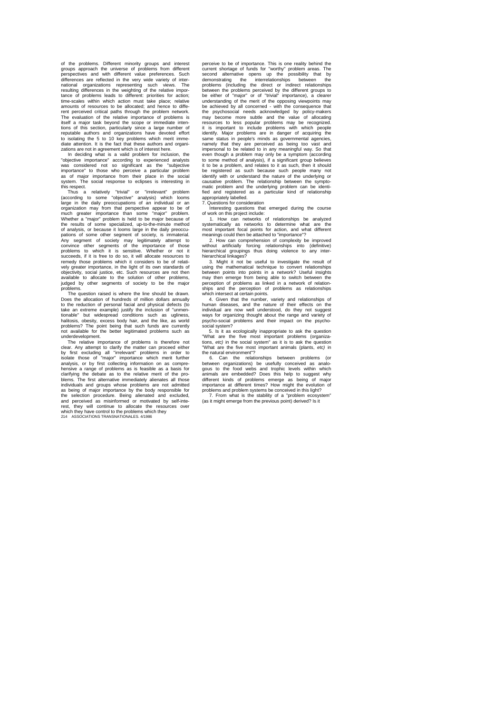of the problems. Different minority groups and interest<br>groups approach the universe of problems from different<br>perspectives and with different value preferences. Such<br>differences are reflected in the very wide variety of national organizations representing such views. The resulting differences in the weighting of the relative impor-tance of problems leads to different: priorities for action; time-scales within which action must take place; relative amounts of resources to be allocated; and hence to different perceived critical paths through the problem network. The evaluation of the relative importance of problems is itself a major task beyond the scope or immediate inten-tions of this section, particularly since a large number of reputable authors and organizations have devoted effort to isolating the 5 to 10 key problems which merit imme-diate attention. It is the fact that these authors and organizations are not in agreement which is of interest here. In deciding what is a valid problem for inclusion, the

"objective importance" according to experienced analysts was considered not so significant as the "subjective importance" to those who perceive a particular problem as of major importance from their place in the social system. The social response to eclipses is interesting in this respect.<br>Thus a

Thus a relatively "trivial" or "irrelevant" problem (according to some "objective" analysis) which looms large in the daily preoccupations of an individual or an organization may from that perspective appear to be of much greater importance than some "major" problem. Whether a "major" problem is held to be major because of the results of some specialized, up-to-the-minute method<br>of analysis, or because it looms large in the daily preoccu-<br>pations of some other segment of society, is immaterial.<br>Any segment of society may legitimately attempt succeeds, if it is free to do so, it will allocate resources to remedy those problems which it considers to be of relati-vely greater importance, in the light of its own standards of objectivity, social justice, etc. Such resources are not then available to allocate to the solution of other problems, judged by other segments of society to be the major problems.

The question raised is where the line should be drawn. Does the allocation of hundreds of million dollars annually to the reduction of personal facial and physical defects (to take an extreme example) justify the inclusion of "unmen-<br>tionable" but widespread conditions such as ugliness,<br>halitosis, obesity, excess body hair, and the like, as world<br>problems? The point being that such funds are cur not available for the better legitimated problems such as

underdevelopment. The relative importance of problems is therefore not clear. Any attempt to clarify the matter can proceed either by first excluding all "irrelevant" problems in order to isolate those of "major" importance which merit further analysis, or by first collecting information on as comprehensive a range of problems as is feasible as a basis for clarifying the debate as to the relative merit of the pro-blems. The first alternative immediately alienates all those individuals and groups whose problems are not admitted as being of major importance by the body responsible for the selection procedure. Being alienated and excluded, and perceived as misinformed or motivated by self-interest, they will continue to allocate the resources over which they have control to the problems which they 214 ASSOCIATIONS TRANSNATIONALES. 4/1986 perceive to be of importance. This is one reality behind the current shortage of funds for "worthy" problem areas. The second alternative opens up the possibility that by demonstrating the interrelationships between the problems (including the direct or indirect relationships between the problems perceived by the different groups to be either of "major" or of "trivial" importance), a clearer understanding of the merit of the opposing viewpoints may be achieved by all concerned - with the consequence that the psychosocial needs acknowledged by policy-makers may become more subtle and the value of allocating resources to less popular problems may be recognized. it is important to include problems with which people identify. Major problems are in danger of acquiring the same status in people's minds as governmental agencies, namely that they are perceived as being too vast and impersonal to be related to in any meaningful way. So that even though a problem may only be a symptom (according to some method of analysis), if a significant group believes it to be a problem, and relates to it as such, then it should be registered as such because such people many not identify with or understand the nature of the underlying or causative problem. The relationship between the symptomatic problem and the underlying problem can be identi-fied and registered as a particular kind of relationship

appropriately labelled. 7. Questions for consideration

Interesting questions that emerged during the course of work on this project include: 1. How can networks of relationships be analyzed

systematically as networks to determine what are the most important focal points for action, and what different

meanings could then be attached to "importance"? 2. How can comprehension of complexity be improved without artificially forcing relationships into (definitive) hierarchical groupings thus doing violence to any inter-hierarchical linkages?

3. Might it not be useful to investigate the result of using the mathematical technique to convert relationships between points into points in a network? Useful insights may then emerge from being able to switch between the perception of problems as linked in a network of relationships and the perception of problems as relationships

which intersect at certain points. 4. Given that the number, variety and relationships of human diseases, and the nature of their effects on the individual are now well understood, do they not suggest ways for organizing thought about the range and variety of psycho-social problems and their impact on the psycho-social system?

5. Is it as ecologically inappropriate to ask the question that are the five most important problems (organizans,  $etc$ ) in the social system" as it is to ask the question "What are the five most important problems (organiza-tions, *etc)* in the social system" as it is to ask the question "What are the five most important animals (plants, *etc)* in the natural environment"?

6. Can the relationships between problems (or between organizations) be usefully conceived as analobetween organizations) be usefully conceived as analo-gous to the food webs and trophic levels within which animals are embedded? Does this help to suggest why different kinds of problems emerge as being of major importance at different times? How might the evolution of problems and problem systems be conceived in this light?

7. From what is the stability of a "problem ecosystem" (as it might emerge from the previous point) derived? Is it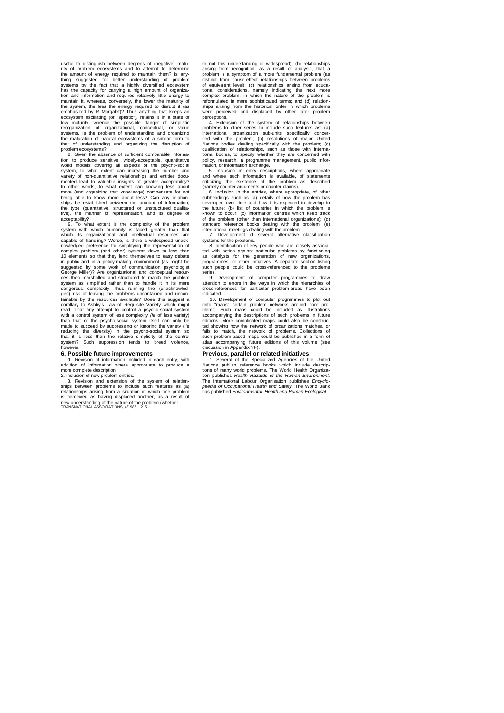useful to distinguish between degrees of (negative) matu-rity of problem ecosystems and to attempt to determine the amount of energy required to maintain them? Is any-<br>thing suggested for better understanding of problem<br>systems by the fact that a highly diversified ecosystem<br>has the capacity for carrying a high amount of organiza-<br>t maintain it. whereas, conversely, the lower the maturity of<br>the system, the less the energy required to disrupt it (as<br>emphasized by R Margalef)? Thus anything that keeps an<br>ecosystem oscillating (or "spastic"), retains it low maturity, whence the possible danger of simplistic reorganization of organizational, conceptual, or value systems. Is the problem of understanding and organizing the maturation of natural ecosystems of a similar form to that of understanding and organizing the disruption of

problem ecosystems? 8. Given the absence of sufficient comparable information to produce sensitive, widely-acceptable, quantitative<br>world models covering all aspects of the psycho-social<br>system, to what extent can increasing the number and<br>variety of non-quantitative relationships and entities In other words, to what extent can knowing less about more (and organizing that knowledge) compensate for not being able to know more about less? Can any relation-ships be established between the amount of information, the type (quantitative, structured or unstructured qualita-tive), the manner of representation, and its degree of acceptability?

9. To what extent is the complexity of the problem<br>system with which burnanity is faced greater than that system with which humanity is faced greater than that which its organizational and intellectual resources are capable of handling? Worse, is there a widespread unacknowledged preference for simplifying the representation of complex problem (and other) systems down to less than 10 elements so that they lend themselves to easy debate in public and in a policy-making environment (as might be suggested by some work of communication psychologist George Miller)? Are organizational and conceptual resour-ces then marshalled and structured to match the problem Figure 1 system as simplified and structured to match the problem<br>system as simplified rather than to handle it in its more dangerous complexity, thus running the (unacknowledged) risk of leaving the problems uncontained and uncon-tainable by the resources available? Does this suggest a corollary to Ashby's Law of Requisite Variety which might read: That any attempt to control a psycho-social system<br>with a control system of less complexity (*ie* of less variety)<br>than that of the psycho-social system itself can only be<br>made to succeed by suppressing or ignoring t reducing the diversity) in the psycho-social system so that it is less than the relative simplicity of the control system? Such suppression tends to breed violence, however.

#### **6. Possible future improvements**

1. Revision of information included in each entry, with addition of information where appropriate to produce a more complete description. 2. Inclusion of new problem entries.

3. Revision and extension of the system of relationships between problems to include such features as (a) relationships arising from a situation in which one problem is perceived as having displaced another, as a result of new understanding of the nature of the problem (whether TRANSNATIONAL ASSOCIATIONS, 4/1986 215

or not this understanding is widespread); (b) relationships arising from recognition, as a result of analysis, that a problem is a symptom of a more fundamental problem (as distinct from cause-effect relationships between problems of equivalent level); (c) relationships arising from educa-tional considerations, namely indicating the next more complex problem, in which the nature of the problem is reformulated in more sophisticated terms; and (d) relation-ships arising from the historical order in which problems were perceived and displaced by other later problem perceptions,

4. Extension of the system of relationships between<br>problems to other series to include such features as: (a)<br>international organization sub-units specifically concer-<br>ned with the problem; (b) resolutions of major United<br> qualification of relationships, such as those with interna-tional bodies, to specify whether they are concerned with policy, research, a programme management, public infor-mation, or information exchange.

5. Inclusion in entry descriptions, where appropriate and where such information is available, of statements criticizing the existence of the problem as described

(namely counter-arguments or counter-claims). 6. Inclusion in the entries, where appropriate, of other subheadings such as (a) details of how the problem has developed over time and how it is expected to develop in the future; (b) list of countries in which the problem is known to occur; (c) information centres which keep track of the problem (other than international organizations); (d)

standard reference books dealing with the problem; (e) international meetings dealing with the problem. 7. Development of several alternative classification systems for the problems.

8. Identification of key people who are closely associated with action against particular problems by functioning<br>as catalysts for the generation of new organizations,<br>programmes, or other initiatives. A separate section listing<br>such people could be cross-referenced to the pro

series, 9. Development of computer programmes to draw attention to errors in the ways in which the hierarchies of cross-references for particular problem-areas have been indicated.

10. Development of computer programmes to plot out onto "maps" certain problem networks around core problems. Such maps could be included as illustrations accompanying the descriptions of such problems in future editions. More complicated maps could also be construc-ted showing how the network of organizations matches, or fails to match, the network of problems. Collections of such problem-based maps could be published in a form of atlas accompanying future editions of this volume (see discussion in Appendix YF).

#### **Previous, parallel or related initiatives**

1. Several of the Specialized Agencies of the United<br>Nations publish reference books which include descrip-<br>tions of many world problems. The World Health Organiza-<br>tion publishes *Health Hazards of the Human Environment*. The International Labour Organisation publishes *Encyclo-paedia of Occupational Health and Safety.* The World Bank has published *Environmental. Health and Human Ecological*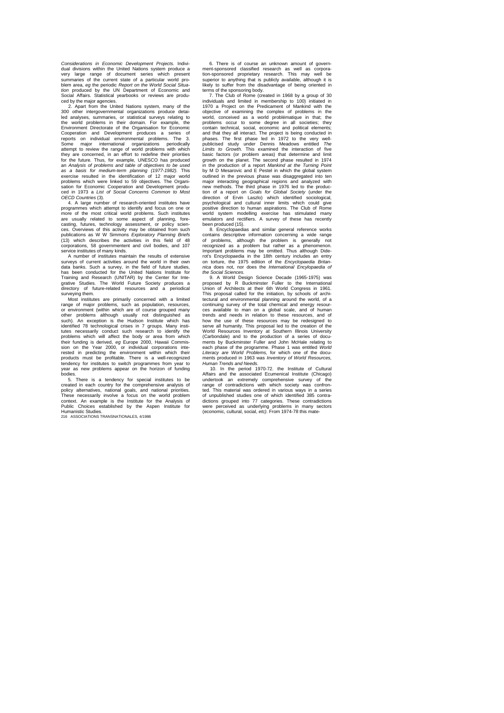*Considerations in Economic Development Projects.* Indivi-dual divisions within the United Nations system produce a very large range of document series which present summaries of the current state of a particular world problem area, *eg* the periodic *Report on the World Social Situa-tion* produced by the UN Department of Economic and Social Affairs. Statistical yearbooks or reviews are produ-

ced by the major agencies. 2. Apart from the United Nations system, many of the 300 other intergovernmental organizations produce detai-led analyses, summaries, or statistical surveys relating to the world problems in their domain. For example, the Environment Directorate of the Organisation for Economic Cooperation and Development produces a series of reports on individual environmental problems. The 3.<br>Some major international organizations periodically<br>attempt to review the range of world problems with which<br>they are concerned, in an effort to redefine their prioritie for the future. Thus, for example, UNESCO has produced<br>an Analysis of problems and table of objectives to be used<br>as a basis for medium-term planning (1977-1982). This<br>exercise resulted in the identification of 12 major wo sation for Economic Cooperation and Development produ-ced in 1973 a *List of Social Concerns Common to Most OECD Countries* (3).

4. A large number of research-oriented institutes have programmes which attempt to identify and focus on one or more of the most critical world problems. Such institutes are usually related to some aspect of planning, forecasting, futures, technology assessment, or policy scien-ces. Overviews of this activity may be obtained from such publications as W W Simmons *Exploratory Planning Briefs*  (13) which describes the activities in this field of 48

corporations, 58 governmentent and civil bodies, and 107<br>service institutes of many kinds.<br>A number of institutes maintain the results of extensive<br>surveys of current activities around the world in their own<br>data banks. Su has been conducted for the United Nations Institute for<br>Training and Research (UNITAR) by the Center for Inte-<br>grative Studies. The World Future Society produces a<br>directory of future-related resources and a periodical

surveying them. Most institutes are primarily concerned with a limited range of major problems, such as population, resources, or environment (within which are of course grouped many<br>other problems although usually not distinguished as<br>such). An exception is the Hudson Institute which has<br>identified 78 technological crises in 7 groups. Many institutes necessarily conduct such research to identify the problems which will affect the body or area from which their funding is derived, *eg* Europe 2000, Hawaii Commission on the Year 2000, or individual corporations inte-rested in predicting the environment within which their products must be profitable. There is a well-recognized tendency for institutes to switch programmes from year to year as new problems appear on the horizon of funding

bodies. 5. There is a tendency for special institutes to be created in each country for the comprehensive analysis of policy alternatives, national goals, and national priorities. These necessarily involve a focus on the world problem<br>context. An example is the Institute for the Analysis of<br>Public Choices established by the Aspen Institute for<br>Humanistic Studies.<br>216 ASSOCIATIONS TRANSNATIONALES, 4/

6. There is of course an unknown amount of govern-ment-sponsored classified research as well as corpora-tion-sponsored proprietary research. This may well be superior to anything that is publicly available, although it is likely to suffer from the disadvantage of being oriented in terms of the sponsoring body. 7. The Club of Rome (created in 1968 by a group of 30

individuals and limited in membership to 100) initiated in 1970 a Project on the Predicament of Mankind with the objective of examining the complex of problems in the world, conceived as a world problématique in that; the problems occur to some degree in all societies; they contain technical, social, economic and political elements; and that they all interact. The project is being conducted in phases. The first phase led in 1972 to the very well-publicised study under Dennis Meadows entitled *The Limits to Growth.* This examined the interaction of five basic factors (or problem areas) that determine and limit growth on the planet. The second phase resulted in 1974 in the production of a report *Mankind at the Turning Point*  by M D Mesarovic and E Pestel in which the global system outlined in the previous phase was disaggregated into ten major interacting geographical regions and analyzed with new methods. The third phase in 1976 led to the production of a report on Goal's for Global Society (under the<br>direction of Ervin Laszlo) which identified sociological,<br>direction of Ervin Laszlo) which identified sociologi positive direction to human aspirations. The Club of Rome world system modelling exercise has stimulated many emulators and rectifiers. A survey of these has recently been produced (15).

8. Encyclopaedias and similar general reference works contains descriptive information concerning a wide range of problems, although the problem is generally not recognized as a problem but rather as a phenomenon.<br>Important problems may be omitted. Thus although Dide-<br>rot's Encyclopaedia in the 18th century includes an entry<br>on torture, the 1975 edition of the *Encyclopaedia Britan the Social Sciences.*

9. A World Design Science Decade (1965-1975) was proposed by R Buckminster Fuller to the International Union of Architects at their 6th World Congress in 1961. This proposal called for the initiation, by schools of archi-tectural and environmental planning around the world, of a continuing survey of the total chemical and energy resources available to man on a global scale, and of human trends and needs in relation to these resources, and of how the use of these resources may be redesigned to serve all humanity. This proposal led to the creation of the World Resources Inventory at Southern Illinois University<br>(Carbondale) and to the production of a series of documents by Buckminster Fuller and John McHale relating to<br>each phase of the programme. Phase 1 was entitled Worl ments produced in 1963 was *Inventory of World Resources, Human Trends and Needs.*

10. In the period 1970-72. the Institute of Cultural<br>Affairs and the associated Ecumenical Institute (Chicago)<br>undertook an extremely comprehensive survey of the<br>range of contradictions with which society was confron-<br>ted. of unpublished studies one of which identified 385 contra-<br>dictions grouped into 77 categories. These contradictions<br>were perceived as underlying problems in many sectors<br>(economic, cultural, social, etc). From 1974-78 thi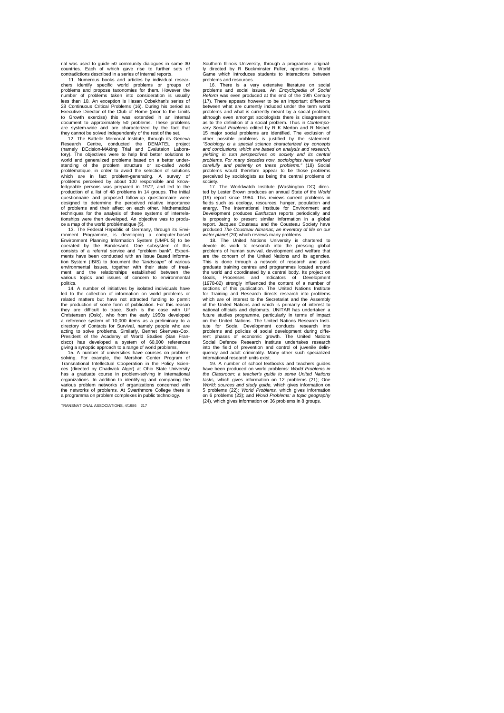rial was used to guide 50 community dialogues in some 30 countries. Each of which gave rise to further sets of contradictions described in a series of internal reports.

11. Numerous books and articles by individual researchers identify specific world problems or groups of problems and propose taxonomies for them. However the number of problems taken into consideration is usually less than 10. An exception is Hasan Ozbekhan's series of<br>28 Continuous Critical Problems (16). During his period as<br>Executive Director of the Club of Rome (prior to the Limits<br>to Growth exercise) this was extended in an in document to approximately 50 problems. These problems are system-wide and are characterized by the fact that they cannot be solved independently of the rest of the set.

12. The Battelle Memorial Institute, through its Geneva<br>Research Centre, conducted the DEMATEL project<br>(namely DEcision-MAking Trial and Evalutaion Labora-<br>tory). The objectives were to help find better solutions to world and generalized problems based on a better under-<br>standing of the problem structure or so-called world standing of the problem structure or so-called world<br>problématique, in order to avoid the selection of solutions<br>which are in fact problem-generating. A survey of<br>problems perceived by about 100 responsible and knowledgeable persons was prepared in 1972, and led to the<br>production of a list of 48 problems in 14 groups. The initial<br>questionnaire and proposed follow-up questionnaire were<br>designed to determine the perceived relative impo of problems and their affect on each other. Mathematical techniques for the analysis of these systems of interrela-tionships were then developed. An objective was to produ-

ce a map of the world problématique (5). 13. The Federal Republic of Germany, through its Environment Programme, is developing a computer-based Environment Planning Information System (UMPLIS) to be operated by the Bundesamt. One subsystem of this consists of a referral service and "problem bank". Expericonsists of a referral service and "problem bank". Experiments have been conducted with an Issue Based Informa-<br>tion System (IBIS) to document the "landscape" of various<br>environmental issues, together with their state of t politics.

14. A number of initiatives by isolated individuals have led to the collection of information on world problems or related matters but have not attracted funding to permit the production of some form of publication. For this reason they are difficult to trace. Such is the case with Ulf<br>Christensen (Oslo), who from the early 1950s developed<br>a reference system of 10,000 items as a preliminary to a<br>directory of Contacts for Survival, namely people who a acting to solve problems. Similarly, Bennet Skenwes-Cox,<br>President of the Academy of World Studies (San Fran-<br>cisco) has developed a system of 60,000 references<br>giving a synoptic approach to a range of world problem-<br>15. A

solving. For example, the Mershon Center Program of Transnational Intellectual Cooperation in the Policy Sciences (directed by Chadwick Alger) at Ohio State University has a graduate course in problem-solving in international<br>organizations. In addition to identifying and comparing the<br>various problem networks of organizations concerned with<br>the networks of problems. At Swarthmore College a programma on problem complexes in public technology.

TRANSNATIONAL ASSOCIATIONS, 4/1986 217

Southern Illinois University, through a programme original-ly directed by R Buckminster Fuller, operates a World Game which introduces students to interactions between problems and resources.

16. There is a very extensive literature on social problems and social issues. An *Encyclopedia of Social Reform* was even produced at the end of the 19th Century (17). There appears however to be an important difference between what are currently included under the term world problems and what is currently meant by a social problem, although even amongst sociologists there is disagreement as to the definition of a social problem. Thus in *Contempo-rary Social Problems* edited by R K Merton and R Nisbet. 15 major social problems are identified. The exclusion of other possible problems is justified by the statement: *"Sociology is a special science characterized by concepts and conclusions, which are based on analysis and research, yielding in turn perspectives on society and its central*  problems. For many decades now, sociologists have worked<br>carefully and patiently on these problems." (18) Social<br>problems would therefore appear to be those problems<br>perceived by sociologists as being the central problems society.

17. The Worldwatch Institute (Washington DC) direc-ted by Lester Brown produces an annual State *of the World*  (19) report since 1984. This reviews current problems in fields such as ecology, resources, hunger, population and energy. The International Institute for Environment and<br>Development produces *Earthscan* reports periodically and<br>is proposing to present similar information in a global report. Jacques Cousteau and the Cousteau Society have produced *The Cousteau Almanac; an inventory of life on our* 

water planet (20) which reviews many problems.<br>18. The United Nations University is chartered to devote its work to research into the pressing global problems of human survival, development and welfare that are the concern of the United Nations and its agencies. This is done through a network of research and post-graduate training centres and programmes located around the world and coordinated by a central body. Its project on<br>Goals, Processes and Indicators of Development<br>(1978-82) strongly influenced the content of a number of<br>sections of this publication. The United Nations Institute for Training and Research directs research into problems which are of interest to the Secretariat and the Assembly of the United Nations and which is primarily of interest to national officials and diplomats. UNITAR has undertaken a future studies programme, particularly in terms of impact on the United Nations. The United Nations Research Insti-tute for Social Development conducts research into problems and policies of social development during diffe-rent phases of economic growth. The United Nations Social Defence Research Institute undertakes research into the field of prevention and control of juvenile delinquency and adult criminality. Many other such specialized international research units exist.

19. A number of school textbooks and teachers guides have been produced on world problems: *World Problems in the Classroom; a teacher's guide to some United Nations tasks,* which gives information on 12 problems (21); One *World; sources and study guide,* which gives information on 5 problems (22); *World Problems,* which gives information on 6 problems (23); and *World Problems: a topic geography*  (24), which gives information on 36 problems in 8 groups.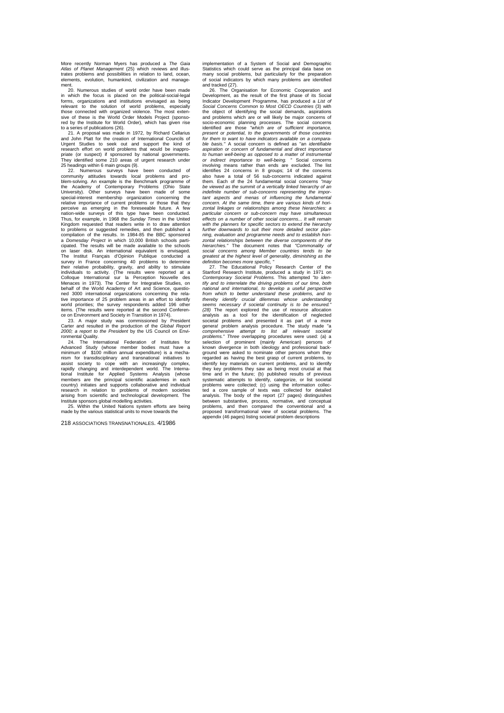More recently Norman Myers has produced a *The Gaia Atlas of Planet Management* (25) which reviews and illustrates problems and possibilities in relation to land, ocean, elements, evolution, humankind, civilization and management. 20. Numerous studies of world order have been made

in which the focus is placed on the political-social-legal forms, organizations and institutions envisaged as being relevant to the solution of world problems, especially those connected with organized violence. The most exten-sive of these is the World Order Models Project (sponsored by the Institute for World Order), which has given rise

to a series of publications (26). 21. A proposal was made in 1972, by Richard Cellarius and John Platt for the creation of International Councils of Urgent Studies to seek out and support the kind of research effort on world problems that would be inappro-priate (or suspect) if sponsored by national governments. They identified some 210 areas of urgent research under 25 headings within 6 main groups (9).

22. Numerous surveys have been conducted of community attitudes towards local problems and pro-blem-solving. An example is the Benchmark programme of the Academy of Contemporary Problems (Ohio State University). Other surveys have been made of some special-interest membership organization concerning the relative importance of current problems or those that they perceive as emerging in the foreseeable future. A few nation-wide surveys of this type have been conducted. Thus, for example, in 1968 the *Sunday Times* in the United Kingdom requested that readers write in to draw attention<br>to problems or suggested remedies, and then published a<br>compilation of the results. In 1984-85 the BBC sponsored<br>a *Domesday Project* in which 10,000 British school cipated. The results will be made available to the schools<br>on laser disk. An international equivalent is envisaged son will be made are the contract to envisaged.<br>An international equivalent is envisaged. The Institut Français d'Opinion Publique conducted a survey in France concerning 40 problems to determine their relative probability, gravity, and ability to stimulate individuals to activity. (The results were reported at a<br>Colloque International sur la Perception Nouvelle des<br>Menaces in 1973). The Center for Integrative Studies, on<br>behalf of the World Academy of Art and Science, questi ned 3000 international organizations concerning the rela-tive importance of 25 problem areas in an effort to identify world priorities; the survey respondents added 196 other

items. (The results were reported at the second Conferen-<br>ce on Environment and Society in Transition in 1974).<br>23. A major study was commissioned by President<br>Carter and resulted in the production of the Global Report *2000; a report to the President* by the US Council on Envi-

ronmental Quality. 24. The International Federation of Institutes for Advanced Study (whose member bodies must have a minimum of \$100 million annual expenditure) is a mechanism for transdisciplinary and transnational initiatives to<br>assist society to cope with an increasingly complex,<br>rapidly changing and interdependent world. The Interna-<br>tional Institute for Applied Systems Analysis (whose<br>

218 ASSOCIATIONS TRANSNATIONALES. 4/1986

implementation of a System of Social and Demographic Statistics which could serve as the principal data base on many social problems, but particularly for the preparation of social indicators by which many problems are identified

and tracked (27). 26. The Organisation for Economic Cooperation and Development, as the result of the first phase of its Social Indicator Development Programme, has produced a *List of Social Concerns Common to Most OECD Countries* (3) with the object of identifying the social demands, aspirations and problems which are or will likely be major concerns of socio-economic planning processes. The social concerns identified are those *"which are of sufficient importance, present or potential, to the governments of those countries for them to want to have indicators available on a compara*ble basis." A social concern is defined as "an *identifiable aspiration or concern of fundamental and direct importance to human well-being as opposed to a matter of instrumental or human well-being as opposed to a matter* identifies 24 concerns in 8 groups; 14 of the concerns also have a total of 56 sub-concerns indicated against them. Each of the 24 fundamental social concerns *"may be viewed as the summit of a vertically linked hierarchy of an indefinite number of sub-concerns representing the important aspects and menas of influencing the fundamental concern. At the same time, there are various kinds of horizontal linkages or relationships among these hierarchies: a particular concern or sub-concern may have simultaneous effects on a number of other social concerns... It wilt remain with the planners for specific sectors to extend the hierarchy further downwards to suit their more detailed sector planning, evaluation and programme needs and to establish hori-zontal relationships between the diverse components of the hierarchies."* The document notes that *"Commonality of social concerns among Member countries tends to be*  greatest at the highest level of generality, diminishing as the

*definition becomes more specific,* " 27. The Educational Policy Research Center of the Stanford Research Institute, produced a study in 1971 on *Contemporary Societal Problems.* This attempted *"to identify and to interrelate the driving problems of our time, both national and international, to develop a useful perspective from which to better understand these problems, and to thereby identify crucial dilemmas whose understanding seems necessary if societal continuity is to be ensured." (28)* The report explored the use of resource allocation analysis as a tool for the identification of neglected societal problems and presented it as part of a more genera! problem analysis procedure. The study made "a comprehensive attempt to list all relevant societal<br>problems." Three-overlapping-procedures-were used: (a) a<br>selection of prominent (mainly American) persons of<br>known-divergence in-both-ideology-and-professional-background were asked to nominate other persons whom they regarded as having the best grasp of current problems, to identify key materials on current problems, and to identify they key problems they saw as being most crucial at that<br>time and in the future; (b) published results of previous<br>systematic attempts to identify, categorize, or list societal<br>problems were collected; (c) using the inform analysis. The body of the report (27 pages) distinguishes between substantive, process, normative, and conceptual problems, and then compared the conventional and a proposed transformational view of societal problems. The appendix (46 pages) listing societal problem descriptions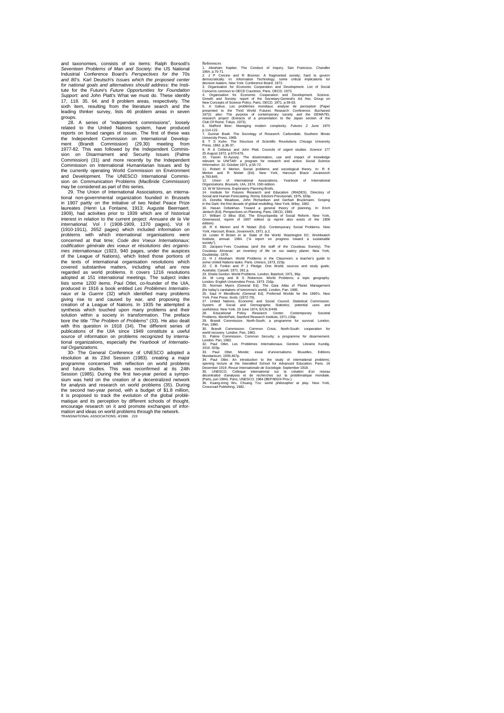and taxonomies, consists of six items: Ralph Borsodi's *Seventeen Problems of Man and Society:* the US National Industrial Conference Board's *Perspectives for the* 70s *and 80's.* Karl Deutsch's *Issues which the proposed center for national goals and alternatives should address:* the Insti-tute for the Future's *Future Opportunities for Foundation Support:* and John Platt's What we must do. These identify 17, 118. 35. 64. and 8 problem areas, respectively. The sixth item, resulting from the literature search and the leading thinker survey, lists 46 problem areas in seven groups.

28. A series of "independent commissions", loosely related to the United Nations system, have produced reports on broad ranges of issues. The first of these was the Independent Commission on International Develop-ment (Brandt Commission) (29,30) meeting from 1977-82. This was followed by the Independent Commis-sion on Disarmament and Security Issues (Palme Commission) (31) and more recently by the Independent Commission on International Humanitarian Issues and by the currently operating World Commission on Environment and Development. The UNESCO International Commis-sion on Communication Problems (MacBride Commission)

may be considered as part of this series. 29. The Union of International Associations, an international non-governmental organization founded in Brussels in 1907 partly on the initiative of two Nobel Peace Prize<br>laureates (Henri La Fontaine, 1913; Auguste Beernaert laureates (Henri La Fontaine, 1913; Auguste Beernaert. 1909), had activities prior to 1939 which are of historical interest in relation to the current project: *Annuaire de la Vie*  International, Vol I (1908-1909, 1370 pages), Vol II<br>(1910-1911), 2652 pages) which included information on<br>problems with which international organisations were<br>concerned at that time; Code des Voeux Internationaux; *codification générale des voeux et résolutions des organismes internationaux* (1923, 940 pages, under the auspices of the League of Nations), which listed those portions of the texts of international organisation resolutions which covered substantive matters, including what are now regarded as world problems. It covers 1216 resolutions adopted at 151 international meetings. The subject index lists some 1200 items. Paul Otlet, co-founder of the UIA, produced in 1916 a book entitled *Les Problèmes Internationaux et la Guerre* (32) which identified many problems giving rise to and caused by war, and proposing the creation of a League of Nations. In 1935 he attempted a synthesis which touched upon many problems and their<br>solution within a society in transformation. The preface<br>bore the title "The Problem of Problems" (33). He also dealt<br>with this question in 1918 (34). The different seri publications of the UIA since 1949 constitute a useful source of information on problems recognized by interna-tional organizations, especially the *Yearbook of Internatio-*

nal Organizations.<br>
30- The General Conference of UNESCO adopted a 30- The General Conference of UNESCO adopted a<br>résolution at its 23rd Session (1983). creating a major<br>programme concerned with reflection on world problems<br>and future studies. This was reconfirmed at its 24th<br>Session (198 for analysis and research on world problems (35). During the second two-year period, with a budget of \$1.8 million, it is proposed to track the evolution of the global problé-<br>matique and its perception by different schools of thought,<br>encourage research on it and promote exchanges of infor-<br>mation and ideas on world problems through th

References<br>
A. Abdaham Kaplan. The Conduct of Inquiry. San Francisco. Chandler<br>
19. Abdaham Kaplan. The Conduct of Inquiry. San Francisco. Chandler<br>
2. J. P. Crecine and R. Brunner. A fragmented society; Irand to govern<br>
d

8. T S Kuhn. The Structure of Scientific Revolutions Chicago University<br>Press, 1962, p.36-37.<br>25 August 1972 p.570-676.<br>25 August 1972 p.670-676.<br>10. Yassin El-Ayouty. The dissimination, use and impact of knowledge<br>relevan

13. WW Simmos. Exploratory Planning Briefs.<br>13. WW Simmos. Exploratory Planning Briefs. (In the Studies of the School and Human Forecasting Roma, Edizion Previsional, 1975, 633p.<br>15. Donella Meadows, John Richardson and Ge

edition).<br>18. R K Merton and R Nisbet (Ed). Contemporary Social Problems. New<br>York, Harcourt, Brace, Jovanovich, 1971. p.2.<br>19. Lester R Brown et al. State of the World. Washington DC. Worldwatch Institute, annual. 1984. ("A report on progress toward a sustainable society").

20. Jacques-Yves Cousteau (and the staff of the Cousteau Society). The Cousteau Almanac: an inventory of life on our watery planet. New York, 21.<br>Cousteau Almanac: an inventory of life on our watery planet. New York,<br>21. H

27. United Nations, Economic and Social Council, Statsitical Commission.<br>System of Social and Demographic Statistics; potential uses and<br>28. Educations New York: 19 June 1974, ECN:3/449.<br>28. Bendefenderak, Stariord Researc

30. Brandt Commission. Common Crisis; North-South: cooperation for<br>switch recommission. Common Security; a programme for disamment<br>condom, Pan, 1982.<br>Condom, Pan, 1982.<br>Condom, Pan, 1982.<br>Condom, Pan, 1982.<br>Condom, Pan, 19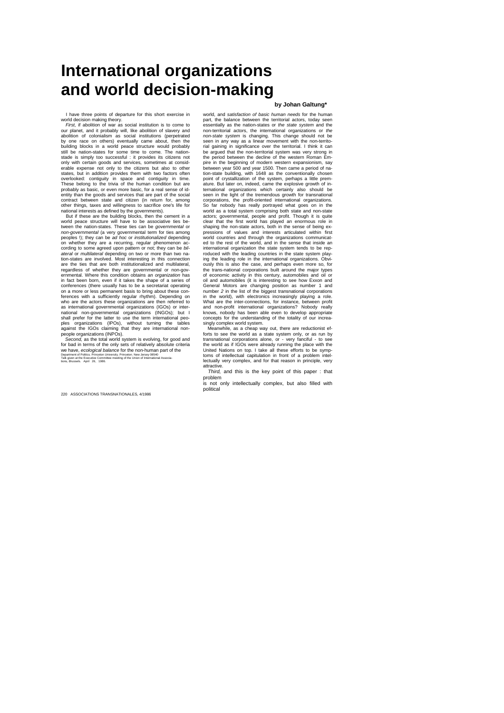# **International organizations and world decision-making**

I have three points of departure for this short exercise in

world decision making theory. *First,* if abolition of war as social institution is to come to our planet, and it probably will, like abolition of slavery and abolition of colonialism as social institutions (perpetrated by one race on others) eventually came about, then the building blocks in a world peace structure would probably still be nation-states for some time to come. The nation-stade is simply too successful : it provides its citizens not only with certain goods and services, sometimes at considerable expense not only to the citizens but also to other states, but in addition provides them with two factors often overlooked: contiguity in space and contiguity probably as basic, or even more basic, for a real sense of id-<br>probably as basic, or even more basic, for a real sense of idcontract between state and citizen (in return for, among other things, taxes and willingness to sacrifice one's life for national interests as defined by the governments). But if these are the building blocks, then the cement in a

world peace structure will have to be associative ties between the nation-states. These ties can be *governmental* or *non-governmental* (a very governmental term for ties among peoples !); they can be *ad hoc* or *institutionalized* depending peoples !); they can be ad noc or *institutionalized* depending<br>on whether they are a recurring, regular phenomenon according to some agreed upon pattern or not; they can be *bil-*<br>ateral or multilateral depending on two or more than two na-<br>tion-states are involved. Most interesting in this connection<br>are the ties that are both instituti regardless of whether they are governmental or non-gov-ernmental. Where this condition obtains an *organization* has in fact been born, even if it takes the shape of a series of conferences (there usually has to be a secretariat operating on a more or less permanent basis to bring about these conferences with a sufficiently regular rhythm). Depending on who are the actors these organizations are then referred to as international governmental organizations (IGOs) or international non-governmental organizations (INGOs); but I<br>shall prefer for the latter to use the term international peo-<br>ples organizations (IPOs), without turning th

people organizations (INPOs). *Second,* as the total world system is evolving, for good and for bad in terms of the only sets of relatively absolute criteria<br>we have, *ecological balance* for the non-human part of the<br>Department of Politics. Princetor University. Princeton. New Jersey 08540<br>Talk given at the Exec

#### **by Johan Galtung\***

world, and *satisfaction of basic human needs* for the human part, the balance between the territorial actors, today seen essentially as the nation-states or *the state system* and the non-territorial actors, the international organizations or *the non-state system* is changing. This change should not be seen in any way as a linear movement with the non-territorial gaining in significance over the territorial. I think it can be argued that the non-territorial system was very strong in the period between the decline of the western Roman Empire in the beginning of modern western expansionism, say<br>between year 500 and year 1500. Then came a period of na-<br>tion-state building, with 1648 as the conventionally chosen<br>point of crystallization of the system, perhap ature. But later on, indeed, came the explosive growth of in-<br>ternational organizations which certainly also should be<br>seen in the light of the tremendous growth for transnational<br>corporations, the profit-oriented internat So far nobody has really portrayed what goes on in the world as a total system comprising both state and non-state actors; governmental, people and profit. Though it is quite clear that the first world has played an enormous role in shaping the non-state actors, both in the sense of being expressions of values and interests articulated within first world countries and through the organizations communicat-ed to the rest of the world, and in the sense that inside an international organization the state system tends to be rep-<br>roduced with the leading countries in the state system play-<br>ing the leading role in the international organizations. Obvi-<br>ously this is also the case, and perh the trans-national corporations built around the major types of economic activity in this century, automobiles and oil or oil and automobiles (it is interesting to see how Exxon and General Motors are changing position as number 1 and<br>number 2 in the list of the biggest transnational corporations<br>in the world), with electronics increasingly playing a role.<br>What are the inter-connections, for instance, and non-profit international organizations? Nobody really knows, nobody has been able even to develop appropriate concepts for the understanding of the totality of our increa-singly complex world system. Meanwhile, as a cheap way out, there are reductionist ef-

forts to see the world as a state system only, or as run by<br>transnational corporations alone, or - very fanciful - to see<br>the world as if IGOs were already running the place with the<br>United Nations on top. I take all these toms of intellectual capitulation in front of a problem intellectually very complex, and for that reason in principle, very

attractive. *Third,* and this is the key point of this paper : that problem

is not only intellectually complex, but also filled with political

220 ASSOCIATIONS TRANSNATIONALES, 4/1986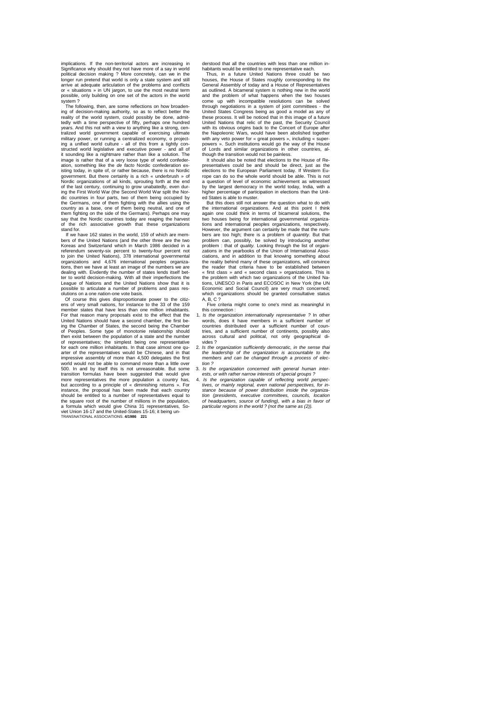implications. If the non-territorial actors are increasing in Significance why should they not have more of a say in world political decision making ? More concretely, can we in the longer run pretend that world is only a state system and still arrive at adequate articulation of the problems and conflicts or « situations » in UN jargon, to use the most neutral term possible, only building on one set of the actors in the world system ?

The following, then, are some reflections on how broadening of decision-making authority, so as to reflect better the reality of the world system, could possibly be done, admittedly with a time perspective of fifty, perhaps one hundred years. And this not with a view to anything like a strong, cen-tralized world government capable of exercising ultimate military power, or running a centralized economy, o projecting a unified world culture - all of this from a tightly constructed world legislative and executive power - and all of it sounding like a nightmare rather than like a solution. The image is rather that of a very loose type of world confeder-ation, something like the *de facto* Nordic confederation existing today, in spite of, or rather because, there is no Nordic government. But there certainly is a rich « underbrush » of Nordic organizations of ail kinds, sprouting forth at the end of the last century, continuing to grow unabatedly, even dur-ing the First World War (the Second World War split the Nordic countries in four parts, two of them being occupied by the Germans, one of them fighting with the allies using the country as a base, one of them being neutral, and one of them fighting on the side of the Germans). Perhaps one may say that the Nordic countries today are reaping the harvest of the rich associative growth that these organizations stand for.

If we have 162 states in the world, 159 of which are mem-bers of the United Nations (and the other three are the two Koreas and Switzerland which in March 1986 decided in a referendum seventy-six percent to twenty-four percent not<br>to join the United Nations), 378 international governmental<br>organizations and 4,676 international peoples organiza-<br>tions, then we have at least an image of the num dealing with. Eivdently the number of states lends itself bet-ter to world decision-making. With all their imperfections the League of Nations and the United Nations show that it is possible to articulate a number of problems and pass res-

olutions on a one nation-one vote basis. Of course this gives disproportionate power to the citiz-ens of very small nations, for instance to the 33 of the 159 member states that have less than one million inhabitants. For that reason many proposals exist to the effect that the United Nations should have a second chamber, the first be-ing the Chamber of States, the second being the Chamber of Peoples. Some type of monotonie relationship should<br>then exist between the population of a state and the number<br>of representatives; the simplest being one representative<br>for each one million inhabitants. In that case al arter of the representatives would be Chinese, and in that impressive assembly of more than 4,500 delegates the first world would not be able to command more than a little over 500. In and by itself this is not unreasonable. But some transition formulas have been suggested that would give<br>more representatives the more population a country has,<br>but according to a principle of « diminishing returns ». For<br>instance, the proposal has been made that each co should be entitled to a number of representatives equal to the square root of the number of millions in the population,<br>a formula which would give China 31 representatives, So-<br>viet Union 16-17 and the United-States 15-16; it being un-<br>TRANSNATIONAL ASSOCIATIONS. **4/1986** 221 derstood that all the countries with less than one million in-habitants would be entitled to one representative each.

Thus, in a future United Nations three could be two houses, the House of States roughly corresponding to the General Assembly of today and a House of Representatives as outlined. A bicameral system is nothing new in the world and the problem of what happens when the two houses come up with incompatible resolutions can be solved through negotiations in a system of joint committees - the United States Congress being as good a model as any of these process. It will be noticed that in this image of a future United Nations that relic of the past, the Security Council with its obvious origins back to the Concert of Europe after the Napoleonic Wars, would have been abolished together with any veto power for « great powers », including « super-powers ». Such institutions would go the way of the House of Lords and similar organizations in other countries, al-though the transition would not be painless.

It should also be noted that elections to the House of Representatives could be and should be direct, just as the elections to the European Parliament today. If Western Eu-rope can do so the whole world should be able. This is not a question of level of economic achievement as witnessed by the largest democracy in the world today, India, with a higher percentage of participation in elections than the United States is able to muster.

But this does still not answer the question what to do with the international organizations. And at this point I think again one could think in terms of bicameral solutions, the two houses being for international governmental organizations and international peoples organizations, respectively. However, the argument can certainly be made that the numbers are too high; there is a problem of *quantity.* But that problem can, possibly, be solved by introducing another problem : that of *quality*. Looking through the list of organi-<br>zations in the yearbooks of the Union of International Asso-<br>ciations, and in addition to that knowing something about<br>the reality behind many of these organ « first class » and « second class » organizations. This is the problem with which two organizations of the United Na-tions, UNESCO in Paris and ECOSOC in New York (the UN Economic and Social Council) are very much concerned; which organizations should be granted consultative status A, B, C ? Five criteria might come to one's mind as meaningful in

this connection :

- 1. Is the organization internationally representative ? In other words, does it have members in a sufficient number of countries distributed over a sufficient number of countries, and a sufficient number of continents, possibly also<br>across, cultural, and, political, not only geographical diacross cultural and political, not only geographical di-vides ?
- 2. *Is the organization sufficiently democratic, in the sense thai the leadership of the organization is accountable to the members and can be changed through a process of election ?*
- Is the organization concerned with general human inter-
- ests, or with rather narrow interests of special groups?<br>4. Is the organization capable of reflecting world perspectives, or mainly regional, even national perspectives, for in-<br>stance because of power distribution inside *tion (presidents, executive committees, councils, location of headquarters, source of funding), with a bias in favor of particular regions in the world ? (not the same as (2)).*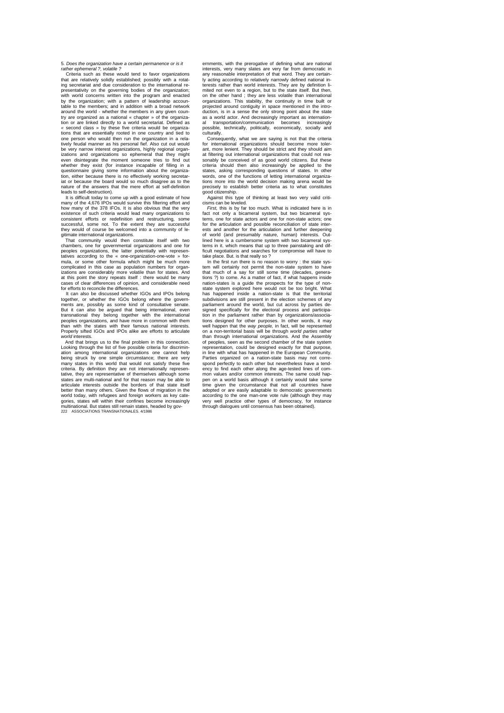5. *Does the organization have a certain permanence or is it rather ephemeral ?, volatile ?*

Criteria such as these would tend to favor organizations that are relatively solidly established; possibly with a rotat-ing secretariat and due consideration to the international re-presentativity on the governing bodies of the organization; with world concerns written into the program and enacted by the organization; with a pattern of leadership accoun-table to the members; and in addition with a broad network around the world - whether the members in any given coun-try are organized as a national « chapter » of the organization or are linked directly to a world secretariat. Defined as *«* second class » by these five criteria would be organiza-tions that are essentially rooted in one country and tied to one person who would then run the organization in a rela-tively feudal manner as his personal fief. Also cut out would be very narrow interest organizations, highly regional organ-izations and organizations so ephemeral that they might even disintegrate the moment someone tries to find out whether they exist (for instance incapable of filling in a exist (for instance incapable of filling in a questionnaire giving some information about the organiza-tion, either because there is no effectively working secretar-iat or because the board would so much disagree as to the nature of the answers that the mere effort at self-definition leads to self-destruction).

It is difficult today to come up with a good estimate of how many of the 4,676 IPOs would survive this filtering effort and how many of the 378 IFOs. It is also obvious that the very existence of such criteria would lead many organizations to consistent efforts or redefinition and restructuring, some successful, some not. To the extent they are successful they would of course be welcomed into a community of le-

gitimate international organizations. That community would then constitute itself with two chambers, one for governmental organizations and one for peoples organizations, the latter potentially with representatives according to the « one-organization-one-vote » for-mula, or some other formula which might be much more complicated in this case as population numbers for organizations are considerably more volatile than for states. And at this point the story repeats itself : there would be many cases of clear differences of opinion, and considerable need for efforts to reconcile the differences.

It can also be discussed whether IGOs and IPOs belong together, or whether the IGOs belong where the govern-ments are, possibly as some kind of consultative senate. But it can also be argued that being international, even<br>transnational they belong together with the international<br>peoples organizations, and have more in common with them<br>than with the states with their famous national in Properly sifted IGOs and IPOs alike are efforts to articulate *world* interests.

And that brings us to the final problem in this connection. Looking through the list of five possible criteria for discrimination among international organizations one cannot help being struck by one simple circumstance; there are very many states in this world that would not satisfy these five criteria. By definition they are not internationally representative, they are representative of themselves although some states are multi-national and for that reason may be able to articulate interests outside the borders of that state itself better than many others. Given the flows of migration in the world today, with refugees and foreign workers as key cate-<br>gories, states will within their confines become increasingly<br>multinational. But states still remain states, headed by gov-<br>222 ASSOCIATIONS TRANSNATIONALES. 4/19

ernments, with the prerogative of defining what are national interests, very many slates are very far from democratic in any reasonable interpretation of that word. They are certainacting according to relatively narrowly defined national interests rather than world interests. They are by definition li-mited not even to a region, but to the state itself. But then, on the other hand ; they are less volatile than international organizations. This stability, the continuity in time built or projected around contiguity in space mentioned in the introduction, is in a sense the only strong point about the state as a world actor. And decreasingly important as international transportation/communication becomes increasingly possible, technically, politically, economically, socially and culturally.

Consequently, what we are saying is not that the criteria for international organizations should become more tolerant, more lenient. They should be strict and they should aim at filtering out international organizations that could not reasonably be conceived of as good world citizens. But these<br>criteria should then also increasingly be applied to the<br>states, asking corresponding questions of states. In other<br>words, one of the functions of letting internati tions more into the world decision making arena would be precisely to establish better criteria as to what constitutes good citizenship.

Against this type of thinking at least two very valid criticisms can be leveled.

*First,* this is by far too much. What is indicated here is in fact not only a bicameral system, but two bicameral sys-tems, one for state actors and one for non-state actors; one for the articulation and possible reconciliation of state interests and another for the articulation and further deepening of world (and presumably nature, human) interests. Out-lined here is a cumbersome system with two bicameral systems in it. which means that up to three painstaking and dif-ficult negotiations and searches for compromise will have to

take place. But. is that really so ? In the first run there is no reason to worry : the state system will certainly not permit the non-state system to have that much of a say for still some time (decades, genera-tions ?) to come. As a matter of fact, if what happens inside nation-states is a guide the prospects for the type of non-state system explored here would not be too bright. What has happened inside a nation-state is that the territorial subdivisions are still present in the election schemes of any parliament around the world, but cut across by parties designed specifically for the electoral process and participa-<br>tion in the parliament rather than by organizations/associa-<br>tions designed for other purposes. In other words, it may<br>well happen that the way people, in fact, on a non-territorial basis will be through *world parties* rather than through international organizations. And the Assembly of peoples, seen as the second chamber of the state system representation, could be designed exactly for that purpose, in line with what has happened in the European Community. Parties organized on a nation-state basis may not corre-spond perfectly to each other but nevertheless have a tendency to find each other along the age-tested lines of com-<br>mon values and/or common interests. The same could hapvalues and/or common interests. The same could happen on a world basis although it certainly would take some time given the circumstance that not all countries have adopted or are easily adaptable to democratic governments according to the one man-one vote rule (although they may very well practice other types of democracy, for instance through dialogues until consensus has been obtained).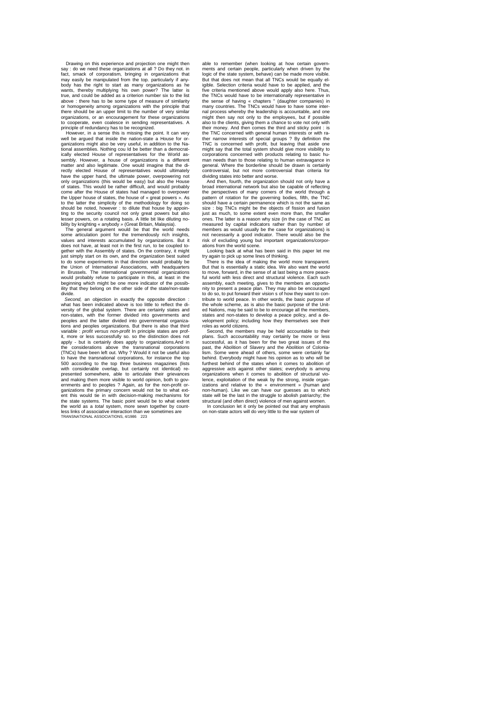Drawing on this experience and projection one might then<br>say : do we need these organizations at all ? Do they not. in<br>fact, smack of corporatism, bringing in organizations that<br>may easily be manipulated from the top. part body has the right to start as many organizations as he wants, thereby multiplying his own power? The latter is true, and could be added as a criterion number six to the list above : there has to be some type of measure of similarity<br>or homogeneity among organizations with the principle that<br>there should be an upper limit to the number of very similar<br>organizations, or an encouragement for thes to cooperate, even coalesce in sending representatives. A principle of redundancy has to be recognized. However, in a sense this is missing the point. It can very

well be argued that inside the nation-state a House for organizations might also be very useful, in addition to the National assemblies. Nothing cou Id be better than a democrat-ically elected House of representatives for the World assembly. However, a house of organizations is a different<br>matter and also legitimate. One would imagine that the di-<br>rectly elected House of representatives would ultimately<br>have the upper hand, the ultimate power, overpowe of states. This would be rather difficult, and would probably come after the House of states had managed to overpower the Upper house of states, the house of « great powers ». As to the latter the simplicity of the methodology for doing so should be noted, however : to dilute that house by appoin-ting to the security council not only great powers but also lesser powers, on a rotating basis. A little bit like diluting nobility by knighting « anybody *»* (Great Britain, Malaysia). The general argument would be that the world needs

some articulation point for the tremendously rich insights, values and interests accumulated by organizations. But it does not have, at least not in the first run, to be coupled together with the Assembly of states. On the contrary, it might<br>just simply start on its own, and the organization best suited<br>to do some experiments in that direction would probably be<br>the Union of International Association in Brussels. The international governmental organizations would probably refuse to participate in this, at least in the beginning which might be one more indicator of the possibility that they belong on the other side of the state/non-state divide.

*Second,* an objection in exactly the opposite direction : what has been indicated above is too little to reflect the diversity of the global system. There are certainly states and non-states, with the former divided into governments and peoples and the latter divided into governmental organiza-tions and peoples organizations. But there is also that third variable : *profit versus non-profit* In principle states are profit, more or less successfully so. so the distinction does not<br>apply - but is certainly does apply to organizations.And in<br>the considerations above the transnational corporations<br>(TNCs) have been left out. Why ? Would it no to have the transnational corporations, for instance the top 500 according to the top three business magazines (lists with considerable overlap, but certainly not identical) re-presented somewhere, able to articulate their grievances and making them more visible to world opinion, both to governments and to peoples ? Again, as for the non-profit or-ganizations the primary concern would not be to what extent this would tie in with decision-making mechanisms for<br>the state systems. The basic point would be to what extent<br>the world as a *total* system, more sewn together by countless links of associative interaction than we sometimes are TRANSNATIONAL ASSOCIATIONS, 4/1986 223

able to remember (when looking at how certain govern-ments and certain people, particularly when driven by the logic of the state system, behave) can be made more visible. But that does not mean that all TNCs would be equally eligible. Selection criteria would have to be applied, and the five criteria mentioned above would apply also here. Thus, the TNCs would have to be internationally representative in the sense of having « chapters " (daughter companies) in many countries. The TNCs would have to have some internal process whereby the leadership is accountable, and one might then say not only to the employees, but if possible also to the clients, giving them a chance to vote not only with their money. And then comes the third and sticky point : is the TNC concerned with general human interests or with rather narrow interests of special groups ? By definition the TNC is concerned with profit, but leaving that aside one might say that the total system should give more visibility to corporations concerned with products relating to basic human needs than to those relating to human extravagance in general. Where the borderline should be drawn is certainly controversial, but not more controversial than criteria for dividing states into better and worse. And then, fourth, the organization should not only have a

broad international network but also be capable of reflecting the perspectives of many corners of the world through a pattern of rotation for the governing bodies, fifth, the TNC should have a certain permanence which is not the same as size : big TNCs might be the objects of fission and fusion just as much, to some extent even more than, the smaller ones. The latter is a reason why size (in the case of TNC as measured by capital indicators rather than by number of members as would usually be the case for organizations) is not necessarily a good indicator. There would also be the risk of excluding young but important organizations/corporations from the world scene.

Looking back at what has been said in this paper let me

try again to pick up some lines of thinking. There is the idea of making the world more transparent. But that is essentially a static idea. We also want the world to move, forward, in the sense of at last being a more peace-ful world with less direct and structural violence. Each such assembly, each meeting, gives to the members an opportunity to present a peace plan. They may also be encouraged to do so, to put forward their vision s of how they want to con-tribute to world peace. In other words, the basic purpose of the whole scheme, as is also the basic purpose of the United Nations, may be said to be to encourage all the members, states and non-states to develop a peace policy, and a de-velopment policy; including how they themselves see their roles as world citizens.

Second, the members may be held accountable to their plans. Such accountability may certainly be more or less successful, as it has been for the two great issues of the past, the Abolition of Slavery and the Abolition of Colonialism. Some were ahead of others, some were certainly far behind. Everybody might have his opinion as to who will be furthest behind of the states when it comes to abolition of aggressive acts against other states; everybody is among organizations when it comes to abolition of structural vio-<br>lence, exploitation of the weak by the strong, inside organ-<br>izations and relative to the « environment » (human and<br>non-human). Like we can have our guesses as t state will be the last in the struggle to abolish patriarchy; the structural (and often direct) violence of men against women.<br>In conclusion let it only be pointed out that any emphasis<br>In conclusion let it only be pointed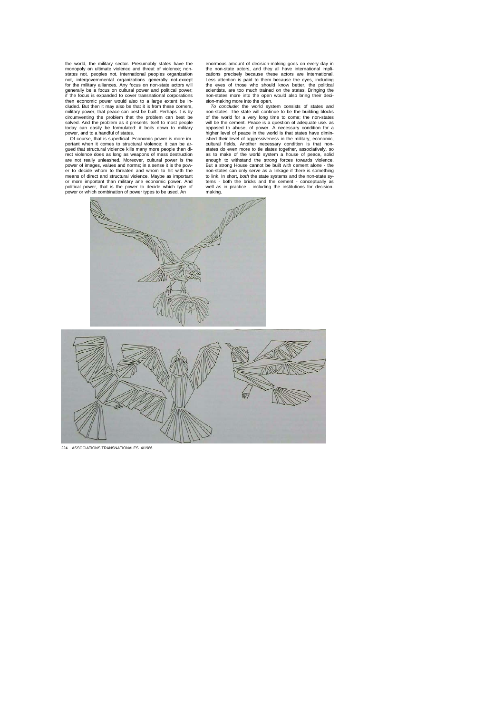the world, the military sector. Presumably states have the monopoly on ultimate violence and threat of violence; nonstates not. peoples not. international peoples organization<br>not, intergovernmental organizations generally not-except<br>for the military alliances. Any focus on non-state actors will<br>generally be a focus on cultural power an then economic power would also to a large extent be in-<br>cluded. But then it may also be that it is from these corners,<br>military power, that peace can best be built. Perhaps it is by<br>circumventing the problem that the probl solved. And the problem as it presents itself to most people<br>today can easily be formulated: it boils down to military<br>Of course, that is superficial. Economic power, and to a handful of states.<br>Of course, that is superfic

gued that structural violence kills many more people than di-<br>rect violence does as long as weapons of mass destruction<br>are not really unleashed. Moreover, cultural power is the<br>power of images, values and norms; in a sens political power, that is the power to decide which type of power or which combination of power types to be used. An enormous amount of decision-making goes on every day in the non-state actors, and they all have international implications precisely because these actors are international.<br>Less attention is paid to them because the eyes, including<br>the eyes of those who should know better, the political<br>scientists, are too much trained on the states. B

sion-making more into the open.<br>To conclude: the world system consists of states and<br>non-states. The state will continue to be the building blocks<br>of the world for a very long time to come; the non-states<br>will be the cerne ished their level of aggressiveness in the military, economic,<br>cultural fields. Another necessary condition is that non-<br>states do even more to tie slates together, associatively, so<br>as to make of the world system a house enough to withstand the strong forces towards violence.<br>But a strong House cannot be built with cement alone - the<br>non-states can only serve as a linkage if there is something<br>to link. In short, *both* the state systems an well as in practice - including the institutions for decision-making.





224 ASSOCIATIONS TRANSNATIONALES. 4/1986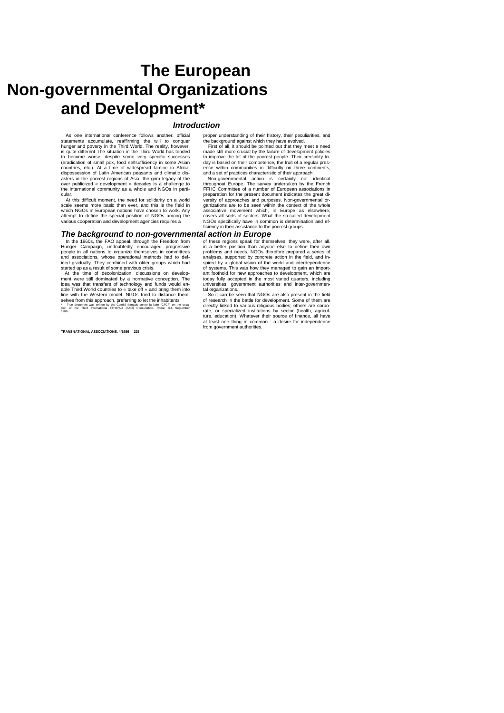# **The European Non-governmental Organizations and Development\***

### *Introduction*

As one international conference follows another, official statements accumulate, reaffirming the will to conquer hunger and poverty in the Third World. The reality, however, is quite different The situation in the Third World has tended to become worse, despite some very specific successes (eradication of small pox, food selfsufficiency in some Asian countries, etc.). At a time of widespread famine in Africa,<br>dispossession of Latin American peasants and climatic dis-<br>asters in the poorest regions of Asia, the grim legacy of the<br>over publicized « development » decades i the international community as a whole and NGOs in particula

At this difficult moment, the need for solidarity on a world scale seems more basic than ever, and this is the field in which NGOs in European nations have chosen to work. Any attempt to define the special position of NGOs among the various cooperation and development agencies requires a

### *The background to non-governmental action in Europe*

In the 1960s, the FAO appeal, through the Freedom from Hunger Campaign, undoubtedly encouraged progressive people in all nations to organize themselves in committees and associations, whose operational methods had to def-ined gradually. They combined with older groups which had started up as a result of some previous crisis. At the time of decolonization, discussions on develop-

ment were still dominated by a normative conception. The<br>idea was that transfers of technology and funds would en-<br>able Third World countries to « take off » and bring them into<br>line with the Western model. NGOs tried to d Selves from this approach, preferring to let the inhabitants<br>\* True document was written by the Comité français contre la faim (CFCF) on the occa-<br>sion of me Third International FFHC/AD (FAO) Consultation. Rome, 3-6 Septem

**TRANSNATIONAL ASSOCIATIONS. 4/1986 225**

proper understanding of their history, their peculiarities, and the background against which they have evolved. First of all, it should be pointed out that they meet a need

made still more crucial by the failure of development policies to improve the lot of the poorest people. Their credibility to-day is based on their competence, the fruit of a regular presence within communities in difficulty on three continents,<br>Mon-governmental action is certainly not<br>Non-governmental action is certainly not identical<br>throughout Europe. The survey undertaken by the French

FFHC Committee of a number of European associations in preparation for the present document indicates the great di-versity of approaches and purposes. Non-governmental organizations are to be seen within the context of the whole associative movement which, in Europe as elsewhere, covers all sorts of sectors. What the so-called development NGOs specifically have in common is determination and efficiency in their assistance to the poorest groups.

of these regions speak for themselves; they were, after all. in a better position than anyone else to define their own problems and needs. NGOs therefore prepared a series of

analyses, supported by concrete action in the field, and in-spired by a global vision of the world and interdependence of systems. This was how they managed to gain an import-ant foothold for new approaches to development, which are today fully accepted in the most varied quarters, including universities, government authorities and inter-governmen-

tal organizations. So it can be seen that NGOs are also present in the field of research in the battle for development. Some of them are<br>directly linked to various religious bodies; others are corpo-<br>trate, or specialized institutions by sector (health, agricul-<br>ture, education). Whatever their sou from government authorities.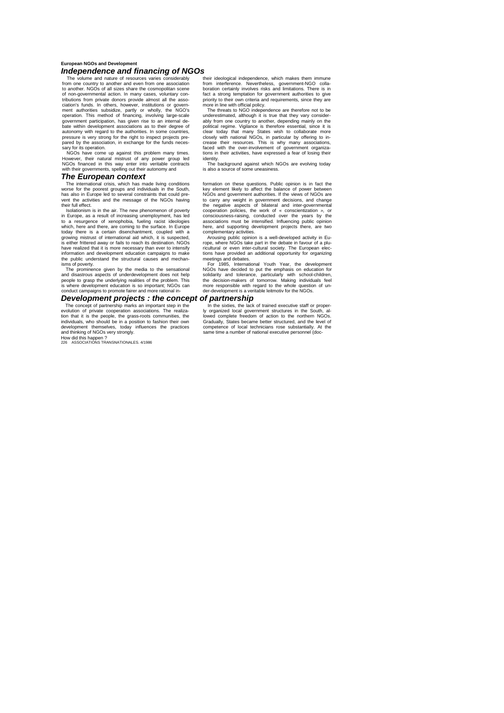#### **European NGOs and Development** *Independence and financing of NGOs*

The volume and nature of resources varies considerably from one country to another and even from one association to another. NGOs of all sizes share the cosmopolitan scene of non-governmental action. In many cases, voluntary con-tributions from private donors provide almost all the association's funds. In others, however, institutions or government authorities subsidize, partly or wholly, the NGO's<br>operation. This method of financing, involving large-scale<br>government participation, has given rise to an i bate within development associations as to their degree of autonomy with regard to the authorities. In some countries, pressure is very strong for the right to inspect projects prepressure is very strong for the right to inspect projects pre-pared by the association, in exchange for the funds necessary for its operation.

NGOs have come up against this problem many times. However, their natural mistrust of any power group led NGOs financed in this way enter into veritable contracts with their governments, spelling out their autonomy and

### *The European context*

The international crisis, which has made living conditions worse for the poorest groups and individuals in the South, has also in Europe led to several constraints that could pre-vent the activities and the message of the NGOs having their full effect. Isolationism is in the air. The new phenomenon of poverty

in Europe, as a result of increasing unemployment, has led to a resurgence of xenophobia, fueling racist ideologies which, here and there, are coming to the surface. In Europe today there is a certain disenchantment, coupled with a growing mistrust of international aid which, it is suspected, is either frittered away or fails to reach its destination. NGOs have realized that it is more necessary than ever to intensify information and development education campaigns to make the public understand the structural causes and mechanisms of poverty.

The prominence given by the media to the sensational and disastrous aspects of underdevelopment does not help people to grasp the underlying realities of the problem. This is where development education is so important; NGOs can conduct campaigns to promote fairer and more rational in-

### *Development projects : the concept of partnership*

The concept of partnership marks an important step in the evolution of private cooperation associations. The realization that it is the people, the grass-roots communities, the individuals, who should be in a position to fashion their own development themselves, today influences the practices and thinking of NGOs very strongly.

How did this happen ? 226 ASSOCIATIONS TRANSNATIONALES. 4/1986

their ideological independence, which makes them immune from interference. Nevertheless, government-NGO colla-boration certainly involves risks and limitations. There is in fact a strong temptation for government authorities to give<br>priority to their own criteria and requirements, since they are<br>more in line with official policy.<br>The threats to NGO independence are therefore not to be

underestimated, although it is true that they vary consider-ably from one country to another, depending mainly on the political regime. Vigilance is therefore essential, since it is clear today that many States wish to collaborate more closely with national NGOs, in particular by offering to in-<br>crease their resources. This is why many associations,<br>faced with the over-involvement of government organiza-<br>tions in their activities, have expressed a fear o identity.

The background against which NGOs are evolving today is also a source of some uneasiness.

formation on these questions. Public opinion is in fact the key element likely to affect the balance of power between<br>NGOs and government authorities. If the views of NGOs are<br>to carry any weight in government decisions, and change<br>the negative aspects of bilateral and inter-govern consciousness-raising, conducted over the years by the associations must be intensified. Influencing public opinion

here, and supporting development projects there, are two<br>complementary activities.<br>Arousing public opinion is a well-developed activity in Eu-<br>rope, where NGOs take part in the debate in favour of a plu-<br>ricultural or even tions have provided an additional opportunity for organizing meetings and debates.

For 1985, International Youth Year, the development<br>NGOs have decided to put the emphasis on education for<br>solidarity and tolerance, particularly with school-children,<br>the decision-makers of tomorrow. Making individuals fe more responsible with regard to the whole question of un-der-development is a veritable leitmotiv for the NGOs.

In the sixties, the lack of trained executive staff or properly organized local government structures in the South, allowed complete freedom of action to the northern NGOs.<br>Gradually, States became better structured, and t competence of local technicians rose substantially. At the steries of recall technically receive capacitrically.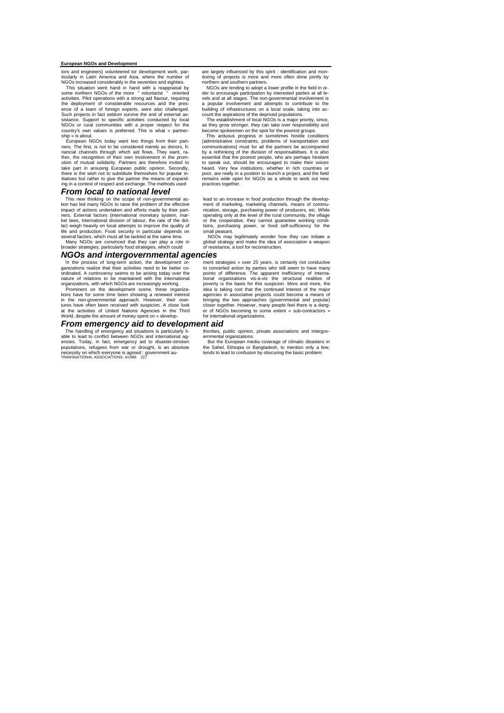### **European NGOs and Development**

tors and engineers) volunteered tor development work, particularly in Latin America and Asia, where the number of NGOs increased considerably in the seventies and eighties.

This situation went hand in hand with a reappraisal by some northern NGOs of the more " voluntarist " oriented activities. Pilot operations with a strong aid flavour, requiring<br>the deployment of considerable resources and the pres-<br>ence of a team of foreign experts, were also challenged.<br>Such projects in fact seldom survive the end sistance. Support to specific activities conducted by local NGOs or rural communities with a proper respect for the country's own values is preferred. This is what « partnership » is about.

European NGOs today want two things from their partners. The first, is not to be considered merely as donors, fi-nancial channels through which aid flows. They want, ra-ther, the recognition of their own involvement in the promotion of mutual solidarity. Partners are therefore invited to<br>take part in arousing European public opinion. Secondly,<br>there is the wish not to substitute themselves for popular in-<br>itiatives but rather to give the partner ing in a context of respect and exchange. The methods used

#### *From local to national level*

This new thinking on the scope of non-governmental ac-tion has led many NGOs to raise the problem of the effective impact of actions undertaken and efforts made by their partners. External factors (international monetary system, mar-ket laws, international division of labour, the rate of the dollar) weigh heavily on local attempts to improve the quality of life and production. Food security in particular depends on several factors, which must all be tackled at the same time.

Many NGOs are convinced that they can play a role in broader strategies, particularly food strategies, which could

### *NGOs and intergovernmental agencies*

In the process of long-term action, the development or-<br>ganizations realize that their activities need to be better co-<br>ordinated. A controversy seems to be arising today over the<br>nature of relations to be maintained with

organizations, with which NGOs are increasingly working. Prominent on the development scene, these organiza-tions have for some time been showing a renewed interest in the non-governmental approach. However, their overtures have often been received with suspicion. A close look at the activities of United Nations Agencies in the Third World, despite the amount of money spent on « develop-

The handling of emergency aid situations is particularly li-<br>able to lead to conflict between NGOs and international ag-<br>encies. Today, in fact, emergency aid to disaster-stricken<br>populations, refugees from war or drought, necessity on which everyone is agreed : government au-TRANSNATIONAL ASSOCIATIONS. 4/1986 227

are largely influenced by this spirit : identification and monitoring of projects is more and more often done jointly by northern and southern partners.

NGOs are tending to adopt a lower profile in the field in or-der to encourage participation by interested parties at all levels and at all stages. The non-governmental involvement is a popular involvement and attempts to contribute to the building of infrastructures on a local scale, taking into ac-count the aspirations of the deprived populations. The establishment of local NGOs is a major priority, since,

as they grow stronger, they can take over responsibility and become spokesmen on the spot for the poorest groups.

This arduous progress in sometimes hostile conditions (administrative constraints, problems of transportation and communications) must for ail the partners be accompanied by a rethinking of the division of responsabilises. It is also essential that the poorest people, who are perhaps hesitant to speak out, should be encouraged to make their voices<br>heard. Very few institutions, whether in rich countries or<br>poor, are really in a position to launch a project, and the field<br>remains wide open for NGOs as a whole to practices together.

lead to an increase in food production through the development of marketing, marketing channels, means of commu-nication, storage, purchasing power of producers, etc. While operating only at the level of the rural community, the village or the cooperative, they cannot guarantee working condi-tions, purchasing power, or food self-sufficiency for the smali peasant.

NGOs may legitimately wonder how they can initiate a global strategy and make the idea of association a weapon of resistance, a tool for reconstruction.

ment strategies » over 25 years, is certainly not conductive to concerted action by parties who still seem to have many points of difference. The apparent inefficiency of interna-tional organizations vis-à-vis the structural realities of poverty is the basis for this suspicion. More and more, the idea is taking root that the continued interest of the major agencies in associative projects could become a means of bringing the two approaches (governmental and popular) closer together. However, many people feel there is a dang-er of NGOs becoming to some extent « sub-contractors » for international organizations.

*From emergency aid to development aid*

thorities, public opinion, private associations and intergov-

ernmental organizations. But the European media coverage of climatic disasters in the Sahel, Ethiopia or Bangladesh, to mention only a few, tends to lead to confusion by obscuring the basic problem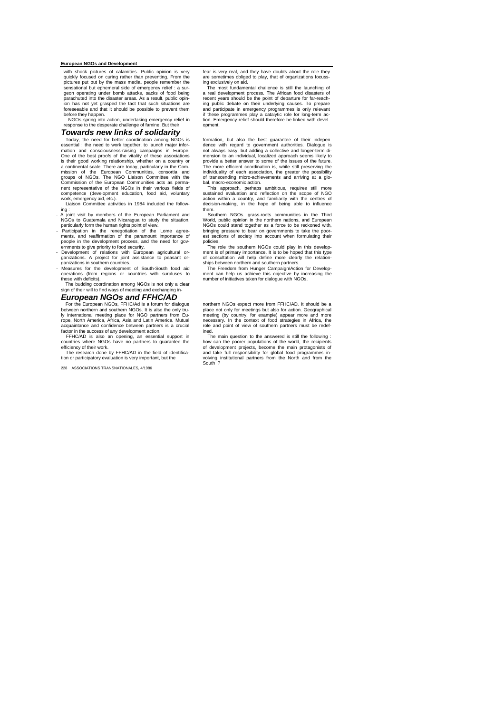### **European NGOs and Development**

with shock pictures of calamities. Public opinion is very quickly focused on curing rather than preventing. From the pictures put out by the mass media, people remember the sensational bur spending diversion of the geometry and genometric asum geometry of the geometry of pical be parachuted into the disaster areas. As a result, public opin-ion has not yet grasped the tact that such situations are for has not yet grasped the tast that such shadulens are before they happen. erore mey nappen.<br>NGOs spring into action, undertaking emergency relief in

response to the desperate challenge of famine. But their

#### *Towards new links of solidarity*

Today, the need for better coordination among NGOs is essential : the need to work together, to launch major information and consciousness-raising campaigns in Europe. One of the best proofs of the vitality of these associations is their good working relationship, whether on a country or a continental scale. There are today, particularly in the Com-mission of the European Communities, consortia and groups of NGOs. The NGO Liaison Committee with the Commission of the European Communities acts as perma-nent representative of the NGOs in their various fields of competence (development education, food aid, voluntary

work, emergency aid, etc.). Liaison Committee activities in 1984 included the following :

- A joint visit by members of the European Parliament and NGOs to Guatemala and Nicaragua to study the situation, particularly form the human rights point of view. - Participation in the renegotiation of the Lome agree-
- ments, and reaffirmation of the paramount importance of
- people in the development process, and the need for gov-ernments to give priority to food security. Development of relations with European agricultural or-ganizations. A project for joint assistance to peasant or-

ganizations in southern countries. - Measures for the development of South-South food aid operations (from regions or countries with surpluses to those with deficits).

# The budding coordination among NGOs is not only a clear sign of their will to find ways of meeting and exchanging in-

*European NGOs and FFHC/AD*

For the European NGOs, FFHC/Ad is a forum for dialogue between northern and southern NGOs. It is also the only truly international meeting place for NGO partners from Eu-<br>rope, North America, Africa, Asia and Latin America. Mutual<br>acquaintance and confidence between partners is a crucial<br>factor in the success of any development action

FFHC/AD is also an opening, an essential support in countries where NGOs have no partners to guarantee the efficiency of their work.

The research done by FFHC/AD in the field of identification or participatory evaluation is very important, but the

South ? 28 ASSOCIATIONS TRANSNATIONALES, 4/1986

fear is very real, and they have doubts about the role they are sometimes obliged to play, that of organizations focuss-

ing exclusively on aid. The most fundamental challence is still the launching of a real development process. The African food disasters of recent years should be the point of departure for far-reach-ing public debate on their underlying causes. To prepare and participate in emergency programmes is only relevant if these programmes play a catalytic role for long-term ac-tion. Emergency relief should therefore be linked with development.

formation, but also the best guarantee of their indepen-dence with regard to government authorities. Dialogue is not always easy, but adding a collective and longer-term di-<br>mension to an individual, localized approach seems likely to<br>provide a better answer to some of the issues of the future.<br>The more efficient coordination is, whi of transcending micro-achievements and arriving at a glo-bal, macro-economic action.

This approach, perhaps ambitious, requires still more sustained evaluation and reflection on the scope of NGO action within a country, and familiarity with the centres of decision-making, in the hope of being able to influence them.

Southern NGOs. grass-roots communities in the Third World, public opinion in the northern nations, and European NGOs could stand together as a force to be reckoned with, bringing pressure to bear on governments to take the poorest sections of society into account when formulating their policies.

The role the southern NGOs could play in this development is of primary importance. It is to be hoped that this type of consultation will help define more clearly the relation-

ships between northern and southern partners. The Freedom from Hunger Campaign/Action for Develop-ment can help us achieve this objective by increasing the number of initiatives taken for dialogue with NGOs.

northern NGOs expect more from FFHC/AD. It should be a place not only for meetings but also for action. Geographical meeting (by country, for exampie) appear more and more necessary. In the context of food strategies in Africa, the role and point of view of southern partners must be redefined.

The main question to the answered is still the following : how can the poorer populations of the world, the recipients of development projects, become the main protagonists of and take full responsibility for global food programmes in-volving institutional partners from the North and from the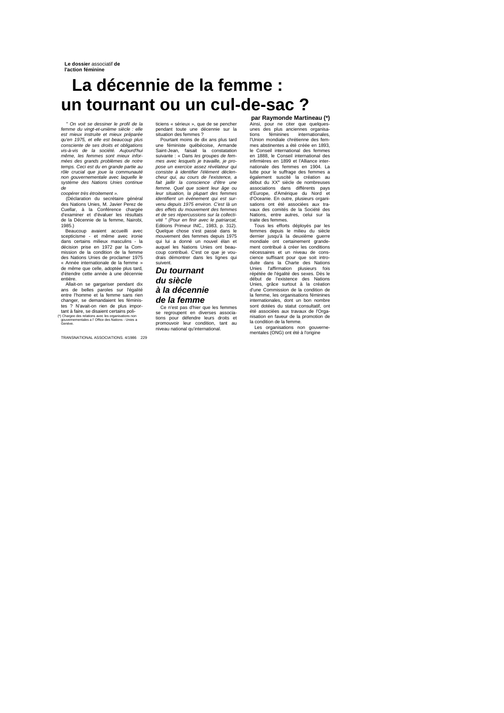# **La décennie de la femme : un tournant ou un cul-de-sac ?**

*" On voit se dessiner le profil de la femme du vingt-et-unième siècle : elle est mieux instruite et mieux préparée qu'en 1975, et elle est beaucoup plus consciente de ses droits et obligations vis-à-vis de la société. Aujourd'hui même, les femmes sont mieux informées des grands problèmes de notre temps. Ceci est du en grande partie au rôle crucial que joue la communauté non gouvernementale avec laquelle le système des Nations Unies continue de* 

#### *coopérer très étroitement ».*

(Déclaration du secrétaire général des Nations Unies, M. Javier Perez de Cuellar, à la Conférence chargée d'examiner et d'évaluer les résultats de la Décennie de la femme, Nairobi,

1985.) Beaucoup avaient accueilli avec scepticisme - et même avec ironie dans certains milieux masculins - la décision prise en 1972 par la Com-mission de la condition de la femme des Nations Unies de proclamer 1975 « Année internationale de la femme » de même que celle, adoptée plus tard, d'étendre cette année à une décennie entière.

Allait-on se gargariser pendant dix ans de belles paroles sur l'égalité entre l'homme et la femme sans rien changer, se demandaient les féminis-<br>tes ? N'avait-on rien de plus impor-<br>tant à faire, se disaient certains poli-<br>(\*) Charge des relations avec les organisations non<br>gouvernementales a l'Office des Nations - Unies a<br>Genèv

TRANSNATIONAL ASSOCIATIONS. 4/1986 229

ticiens « sérieux », que de se pencher pendant toute une décennie sur la situation des femmes ?

Pourtant moins de dix ans plus tard<br>une féministe québécoise, Armande<br>Saint-Jean, faisait la constatation<br>suivante : « Dans les groupes de fem-<br>mes avec lesquels je travaille, je pro-<br>pose un exercice assez révélateur qui *consiste à identifier l'élément déclencheur qui, au cours de l'existence, a fait jaillir la conscience d'être une femme. Quel que soient leur âge ou leur situation, la plupart des femmes identifient un événement qui est sur-venu depuis 1975 environ. C'est là un des effets du mouvement des femmes et de ses répercussions sur la collecti-vité " (Pour en finir avec le patriarcat,*  Editions Primeur INC., 1983, p. 312). Quelque chose s'est passé dans le mouvement des femmes depuis 1975 qui lui a donné un nouvel élan et auquel les Nations Unies ont beau-coup contribué. C'est ce que je voudrais démontrer dans les lignes qui suivent.

*Du tournant du siècle à la décennie de la femme*

Ce n'est pas d'hier que les femmes se regroupent en diverses associations pour défendre leurs droits et promouvoir leur condition, tant au niveau national qu'international.

**par Raymonde Martineau (\*)** Ainsi, pour ne citer que quelques-unes des plus anciennes organisations féminines internationales, l'Union mondiale chrétienne des fem-mes abstinentes a été créée en 1893, le Conseil international des femmes en 1888, le Conseil international des infirmières en 1899 et l'Alliance inter-nationale des femmes en 1904. La lutte pour le suffrage des femmes a également suscité la création au<br>début du XX<sup>e</sup> siècle de nombreuses<br>associations dans différents pays<br>d'Europe, d'Amérique du Nord et d'Oceanie. En outre, plusieurs organi-sations ont été associées aux tra-vaux des comités de la Société des Nations, entre autres, celui sur la traite des femmes.

Tous les efforts déployés par les femmes depuis le milieu du siècle dernier jusqu'à la deuxième guerre mondiale ont certainement grande montalate ont containement grande nécessaires et un niveau de conscience suffisant pour que soit intro-duite dans la Charte des Nations Unies l'affirmation plusieurs fois répétée de l'égalité des sexes. Dès le début de l'existence des Nations Unies, grâce surtout à la création d'une Commission de la condition de la femme, les organisations féminines internationales, dont un bon nombre sont dotées du statut consultatif, ont été associées aux travaux de l'Orga-nisation en faveur de la promotion de la condition de la femme.

Les organisations non gouverne-mentales (ONG) ont été à l'origine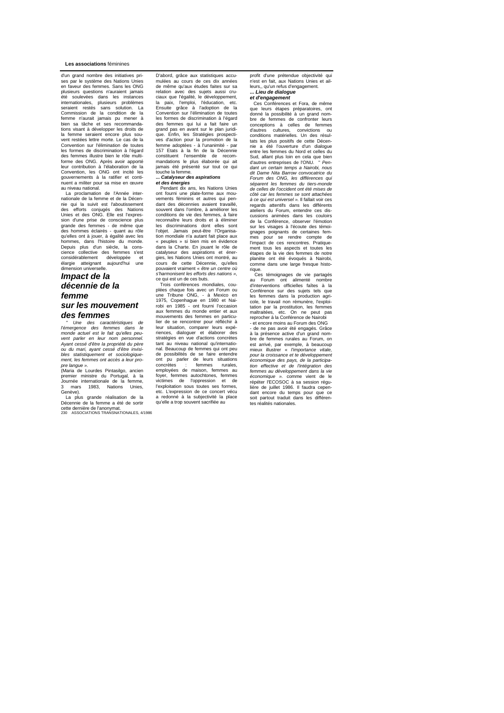#### **Les associations** féminines

 d'un grand nombre des initiatives pri-ses par le système des Nations Unies en faveur des femmes. Sans les ONG plusieurs questions n'auraient jamais été soulevées dans les instances internationales, plusieurs problèmes seraient restés sans solution. La Commission de la condition de la femme n'aurait jamais pu mener à bien sa tâche et ses recommandations visant à développer les droits de la femme seraient encore plus sou-vent restées lettre morte. Le cas de la Convention sur l'élimination de toutes les formes de discrimination à l'égard des femmes illustre bien le rôle multiforme des ONG. Après avoir apporté leur contribution à l'élaboration de la Convention, les ONG ont incité les gouvernements à la ratifier et conti-nuent a militer pour sa mise en œuvre au niveau national. La proclamation de l'Année inter-

nationale de la femme et de la Décen-nie qui la suivit est l'aboutissement des efforts conjugés des Nations Unies et des ONG. Elle est l'expression d'une prise de conscience plus grande des femmes - de même que des hommes éclairés - quant au rôle qu'elles ont à jouer, à égalité avec les hommes, dans l'histoire du monde. Depuis plus d'un siècle, la cons-cience collective des femmes s'est considérablement développée et élargie atteignant aujourd'hui une dimension universelle.

### *Impact de la décennie de la femme*

### *sur les mouvement des femmes*

*" Une des caractéristiques de l'émergence des femmes dans le monde actuel est le fait qu'elles peuvent parler en leur nom personnel. Ayant cessé d'être la propriété du père ou du mari, ayant cessé d'être invisi-bles statistiquement et sociologiquement, les femmes ont accès a leur propre langue ».*

(Maria de Lourdes Pintasilgo, ancien premier ministre du Portugal, à la Journée internationale de la femme, mars 1983, Nations Unies Genève).

La plus grande réalisation de la Décennie de la femme a été de sortir

cette dernière de l'anonymat. 230 ASSOCIATIONS TRANSNATIONALES, 4/1986

D'abord, grâce aux statistiques accu-mulées au cours de ces dix années de même qu'aux études faites sur sa relation avec des sujets aussi cruciaux que l'égalité, le développement, la paix, l'emploi, l'éducation, etc. Ensuite grâce à l'adoption de la Convention sur l'élimination de toutes les formes de discrimination à l'égard des femmes qui lui a fait faire un grand pas en avant sur le plan juridique. Enfin, les Stratégies prospecti-ves d'action pour la promotion de la femme adoptées - à l'unanimité - par 157 Etats à la fin de la Décennie constituent l'ensemble de recommandations le plus élaborée qui ait jamais été présenté sur tout ce qui touche la femme.

#### **...** *Catalyseur des aspirations*

*et des énergies* Pendant dix ans, les Nations Unies ont fourni une plate-forme aux mouvements féminins et autres qui pen-dant des décennies avaient travaillé, souvent dans l'ombre, à améliorer les conditions de vie des femmes, à faire reconnaître leurs droits et à éliminer les discriminations dont elles sont l'objet. Jamais peut-être l'Organisation mondiale n'a autant fait place aux « peuples » si bien mis en évidence we peuples we stroke this enterpreted<br>dans la Charte. En jouant le rôle de<br>catalyseur des aspirations et énercatalyseur des aspirations et éner-gies, les Nations Unies ont montré, au cours de cette Décennie, qu'elles pouvaient vraiment « *être un centre où s'harmonisent les efforts des nations »,* 

ce qui est un de ces buts.<br>Trois conférences mondiales, cou-<br>plées chaque fois avec un Forum ou<br>une Tribune ONG, - à Mexico en<br>1975, Copenhague en 1980 et Nai-<br>robi en 1985 - ont fourni l'occasion<br>aux femmes du monde entie lier de se rencontrer pour réfléchir à leur situation, comparer leurs expé-riences, dialoguer et élaborer des stratégies en vue d'actions concrètes tant au niveau national qu'internatio-nal. Beaucoup de femmes qui ont peu de possibilités de se faire entendre ont pu parler de leurs situations<br>concrètes temmes rurales concrètes : femmes rurales, employées de maison, femmes au foyer, femmes autochtones, femmes victimes de l'oppression et de l'exploitation sous toutes ses formes, etc. L'expression de ce concert vécu a redonné à la subjectivité la place qu'elle a trop souvent sacrifiée au

profit d'une prétendue objectivité qui n'est en fait, aux Nations Unies et ailleurs,, qu'un refus d'engagement. **...** *Lieu de dialogue* 

### *et d'engagement*

Ces Conférences et Fora, de même que leurs étapes préparatoires, ont donné la possibilité à un grand nombre de femmes de confronter leurs conceptions à celles de femmes d'autres cultures, convictions ou conditions matérielles. Un des résultats les plus positifs de cette Décennie a été l'ouverture d'un dialogue entre les femmes du Nord et celles du Sud, allant plus loin en cela que bien d'autres entreprises de l'ONU. " *Pendant un certain temps a Nairobi, nous dit Dame Nita Barrow convocatrice du Forum des ONG, les différences qui séparent les femmes du tiers-monde de celles de l'occident ont été mises de côté car les femmes se sont attachées à ce qui est universel ».* Il fallait voir ces regards attentifs dans les différents ateliers du Forum, entendre ces discussions animées dans les couloirs de la Conférence, observer l'émotion sur les visages à l'écoute des témoignages poignants de certaines fem-mes pour se rendre compte de l'impact de ces rencontres. Pratique-ment tous les aspects et toutes les étapes de la vie des femmes de notre planète ont été évoqués à Nairobi, comme dans une large fresque historique.

Ces témoignages de vie partagés au Forum ont alimenté nombre d'interventions officielles faîtes à la Conférence sur des sujets tels que les femmes dans la production agri-cole, le travail non rémunère, l'exploi-tation par la prostitution, les femmes maltraitées, etc. On ne peut pas reprocher à la Conférence de Nairobi - et encore moins au Forum des ONG - de ne pas avoir été engagés. Grâce

à la présence active d'un grand nombre de femmes rurales au Forum, on est arrivé, par exemple, à beaucoup mieux illustrer « *l'importance vitale, pour la croissance et te développement économique des pays, de la participa-tion effective et de l'intégration des femmes au développement dans la vie*  économique ». comme vient de le répéter l'ECOSOC à sa session régu-<br>lière de juillet 1986. Il faudra cepen-<br>dant encore du temps pour que ce<br>soit partout traduit dans les différentes réalités nationales.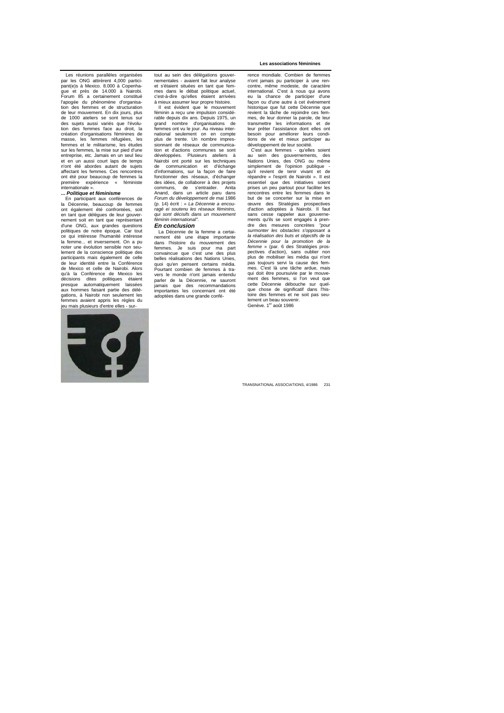Les réunions parallèles organisées par les ONG attirèrent 4,000 participant(e)s à Mexico. 8.000 à Copenha-gue et près de 14.000 à Nairobi. Forum 85 a certainement constitué l'apogée du phénomène d'organisa-tion des femmes et de structuration de leur mouvement. En dix jours, plus<br>de 1000 ateliers, se sont tenus sur de 1000 ateliers se sont tenus sur des sujets aussi variés que l'évolu-tion des femmes face au droit, la création d'organisations féminines de masse, les femmes réfugiées, les femmes et le militarisme, les études sur les femmes, la mise sur pied d'une entreprise, etc. Jamais en un seul lieu et en un aussi court laps de temps n'ont été abordes autant de sujets affectant les femmes. Ces rencontres ont été pour beaucoup de femmes la<br>première expérience « féministe première expérience « féministe internationale ».

#### **...** *Politique et féminisme*

En participant aux conférences de la Décennie, beaucoup de femmes ont également été confrontées, soit en tant que délègues de leur gouvernement soit en tant que représentant d'une ONG, aux grandes questions politiques de notre époque. Car tout ce qui intéresse l'humanité intéresse la femme... et inversement. On a pu noter une évolution sensible non seulement de la conscience politique des participants mais également de celle<br>de leur identité entre la Conférence<br>de Mexico et celle de Nairobi. Alors<br>qu'à la Conférence de Mexico les décisions dites politiques étaient presque automatiquement laissées aux hommes faisant partie des délégations, à Nairobi non seulement les femmes avaient appris les règles du jeu mais plusieurs d'entre elles - sur-



tout au sein des délégations gouvernementales - avaient fait leur analyse et s'étaient situées en tant que femmes dans le débat politique actuel c'est-à-dire qu'elles étaient arrivées à mieux assumer leur propre histoire. Il est évident que le mouvement

féminin a reçu une impulsion considérable depuis dix ans. Depuis 1975, un grand nombre d'organisations de femmes ont vu le jour. Au niveau international seulement on en compte plus de trente. Un nombre impressionnant de réseaux de communica-tion et d'actions communes se sont développées. Plusieurs ateliers à Nairobi ont porté sur les techniques<br>de communication et d'échange<br>d'informations, sur la façon de faire fonctionner des réseaux, d'échanger des idées, de collaborer à des projets communs, de s'entraider. Anita Anand, dans un article paru dans *Forum du développement de* mai 1986 (p. 14) écrit : *» La Décennie a encou-ragé ei soutenu les réseaux féminins, qui sont décisifs dans un mouvement féminin international".*

*En conclusion* La Décennie de la femme a certai-nement été une étape importante dans l'histoire du mouvement des femmes. Je suis pour ma part convaincue que c'est une des plus belles réalisations des Nations Unies, quoi qu'en pensent certains média. Pourtant combien de femmes à travers le monde n'ont jamais entendu parler de la Décennie, ne sauront<br>jamais que des recommandations<br>importantes les concernant ont été adoptées dans une grande conférence mondiale. Combien de femmes n'ont jamais pu participer à une rencontre, même modeste, de caractère international. C'est à nous qui avons eu la chance de participer d'une façon ou d'une autre à cet événement historique que fut cette Décennie que revient la tâche de rejoindre ces femmes, de leur donner la parole, de leur transmettre les informations et de leur prêter l'assistance dont elles ont besoin pour améliorer leurs condi-tions de vie et mieux participer au développement de leur société. C'est aux femmes - qu'elles soient

au sein des gouvernements, des Nations Unies, des ONG ou même simplement de l'opinion publique - qu'il revient de tenir vivant et de répandre « l'esprit de Nairobi ». Il est essentiel que des initiatives soient prises un peu partout pour faciliter les rencontres entre les femmes dans le but de se concerter sur la mise en œuvre des Stratégies prospectives d'action adoptées à Nairobi. Il faut sans cesse rappeler aux gouvernements qu'ils se sont engagés à pren-dre des mesures concrètes *"pour surmonter les obstacles s'opposant* a *la réalisation des buts et objectifs de ta Décennie pour la promotion de la femme* » (par. 6 des Stratégies pros-pectives d'action), sans oublier non plus de mobiliser les média qui n'ont pas toujours servi la cause des femmes. C'est là une tâche ardue, mais qui doit être poursuivie par le mouvement des femmes, si l'on veut que cette Décennie débouche sur quelque chose de significatif dans l'his-toire des femmes et ne soit pas seu-lement un beau souvenir. Genève. 1er août 1986

TRANSNATIONAL ASSOCIATIONS, 4/1986 231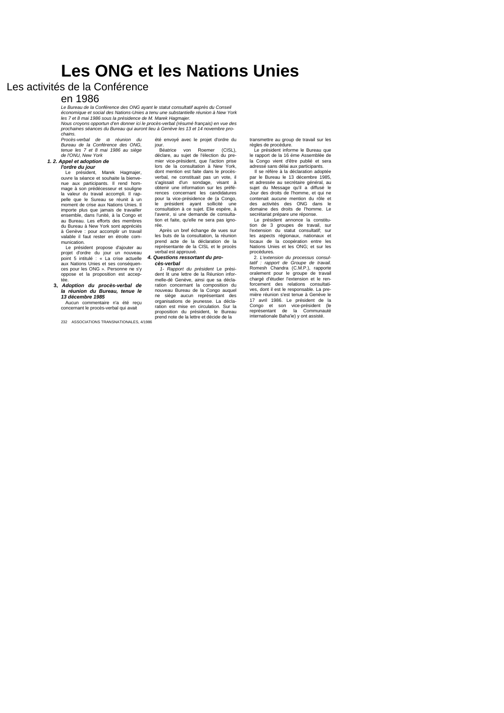# **Les ONG et les Nations Unies**

### Les activités de la Conférence

### en 1986

*Le Bureau de la Conférence des ONG ayant le statut consultatif auprès du Conseil économique et social des Nations-Unies a tenu une substantielle réunion à New York les 7 et 8 mai 1986 sous la présidence de M. Marek Hagmajer. Nous croyons opportun d'en donner ici le procès-verbal (résumé français) en vue des* 

*prochaines séances du Bureau qui auront lieu à Genève les 13 et 14 novembre prochains. Procès-verbal de IB réunion du* 

*Bureau de la Conférence des ONG, tenue les 7 et 8 mai 1986 au siège de l'ONU, New York*

### *1. 2. Appel et adoption de*

*l'ordre du jour* Le président, Marek Hagmajer, ouvre la séance et souhaite la bienve-nue aux participants. Il rend hommage à son prédécesseur et souligne la valeur du travail accompli. Il rap-

pelle que le Sureau se réunit à un moment de crise aux Nations Unies. Il importe plus que jamais de travailler ensemble, dans l'unité, à la Congo et au Bureau. Les efforts des membres du Bureau à New York sont appréciés à Genève : pour accomplir un travail valable il faut rester en étroite communication.

Le président propose d'ajouter au projet d'ordre du jour un nouveau point 5 intitulé : « La crise actuelle aux Nations Unies et ses conséquen-ces pour les ONG ». Personne ne s'y oppose et la proposition est accep-

tée. **3,** *Adoption du procès-verbal de la réunion du Bureau, tenue le 13 décembre 1985* Aucun commentaire n'a été reçu

concernant le procès-verbal qui avait

232 ASSOCIATIONS TRANSNATIONALES, 4/1986

été envoyé avec le projet d'ordre du

jour. Béatrice von Roemer (CISL), déclare, au sujet de l'élection du pre-mier vice-prèsident, que l'action prise lors de la consultation à New York, dont mention est faite dans le procèsverbal, ne constituait pas un vote, il s'agissait d'un sondage, visant à obtenir une information sur les préférences concernant les candidatures pour la vice-présidence de (a Congo, le président ayant sollicité une consultation à ce sujet. Elie espére, à l'avenir, si une demande de consultation et faite, qu'elle ne sera pas ignorée.

Après un bref échange de vues sur les buts de la consultation, la réunion prend acte de la déclaration de la représentante de la CISL et le procès verbal est approuvé.

### *4. Questions ressortant du pro-*

*cès-verbal 1- Rapport du président* Le président lit une lettre de la Réunion informelle-dé Genève, ainsi que sa décla-ration concernant la composition du nouveau Bureau de la Congo auquel ne siège aucun représentant des organisations de jeunesse. La déclaration est mise en circulation. Sur la proposition du président, le Bureau prend note de la lettre et décide de la transmettre au group de travail sur les règles de procédure. Le président informe le Bureau que

le rapport de la 16 éme Assemblèe de la Congo vient d'être publié et sera adressé sans délai aux participants. Il se réfère à la déclaration adoptée

par le Bureau le 13 décembre 1985, et adressée au secrétaire général, au sujet du Message qu'il a diffusé le Jour des droits de l'homme, et qui ne contenait aucune mention du rôle et des activités des ONG dans le domaine des droits de l'homme. Le secrétariat prépare une réponse.

Le président annonce la constitu-tion de 3 groupes de travail, sur l'extension du statut consultatif; sur les aspects régionaux, nationaux et locaux de la coopération entre les Nations Unies et les ONG; et sur les

procédures. 2. *L'extension du processus consul-tatif : rapport de Groupe de travail.*  Romesh Chandra (C.M.P.), rapporte oralement pour le groupe de travail chargé d'étudier l'extension et le ren-forcement des relations consultatives, dont il est le responsable. La pre-mière réunion s'est tenue à Genève le 17 avril 1986. Le président de la Congo et son vice-président (le représentant de la Communauté internationale Baha'ie) y ont assisté.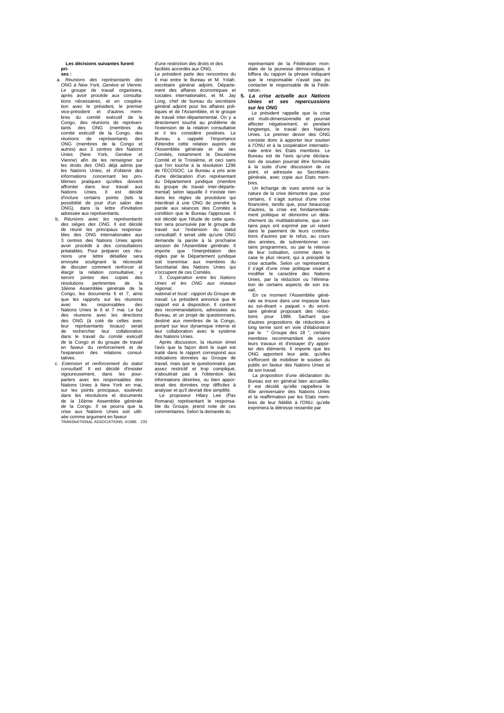**Les décisions suivantes furent prises :**

a. *Reunions des représentants des ONG à New York, Genève et Vienne. Le* groupe de travail organisera, après avoir procède aux consultations nécessaires, et en coopéra-tion avec le président, le premier vice-président et d'autres mem-bres du comité exécutif de la Congo, des réunions de représen-tants des ONG (membres du comité exécutif de la Congo, des réunions de représentants des ONG (membres de la Congo et autres) aux 3 centres des Nations Unies (New York, Genève et Vienne) afin de les renseigner sur les droits des ONG déjà admis par les Nations Unies, et d'obtenir des informations concernant les pro-blèmes pratiques qu'elles doivent affronter dans leur travail aux Nations Unies. Il est décidé d'inclure certains points (tels la possibilité de jouir d'un salon des ONG), dans la lettre d'invitation

- dressée aux représentants.<br>Réunions avec les représentants bes sièges des ONG. Il est décidé de réunir les principaux responsa-<br>bles des ONG. Il est décidé<br>bles des ONG internationales aux<br>3 centres des Nations Unies après<br>avoir procédé à des consultations préalables. Pour préparer ces réu-nions une lettre détaillée sera envoyée soulignant la nécessité de discuter comment renforcer et élargir la relation consultative; y seront jointes des copies des résolutions pertinentes de la 16ème Assemblée générale de la Congo, les documents 6 et 7, ainsi que les rapports sur les réunions avec les responsables des Nations Unies le 6 et 7 mai. Le but des réunions avec les directions des ONG (à coté de celles avec leur représentants locaux) serait de rechercher leur collaboration dans le travail du comité exécutif de la Congo et du groupe de travail en faveur du renforcement et de l'expansion des relations consulatives
- c. *Extension et renforcement du statut consultatif.* Il est décidé d'insister vigoureusement, dans les pour-parlers avec les responsables des Nations Unies à New York en mai, sur les points principaux, soulevés dans les résolutions et documents de la 16ème Assemblée générale de la Congo. Il se pourra que la crise aux Nations Unies soit utilisée comme argument en faveur TRANSNATIONAL ASSOCIATIONS, 4/1986 233

d'une restriction des droits et des dire restriction des droits et<br>acilités accordés aux ONG.

Le président parle des rencontres du 6 mai entre le Bureau et M. Yolah. secrétaire général adjoint, Départe-ment des affaires économiques et sociales internationales, et M. Jay Long, chef de bureau du secrétaire général adjoint pour les affaires politiques et de l'Assemblée, et le groupe de travail inter-dèpartemental. On y a directement touché au problème de l'extension de la relation consultative et il les considère positives. Le Bureau a rappelé l'importance d'étendre cette relation auprès de l'Assemblée générale et de ses Comités, notamment le Deuxième Comité et le Troisième, et ceci sans que l'on touche à la résolution 1296 de l'ECOSOC. Le Bureau a pris acte d'une déclaration d'un représentant du Département juridique (membre du groupe de travaii inter-départe-mental) selon laquelle il n'existe rien dans les règles de procédure qui interdirait à une ONG de prendre la parole aux séances des Comités à condition que le Bureau l'approuve. Il est décidé que l'étude de cette question sera poursuivie par le groupe de travail sur l'extension du statut consultatif; il serait utile qu'une ONG demande la parole à la prochaine session de l'Assemblée générale. Il importe que l'interprétation des règles par le Département juridique soit transmise aux membres du Secrétariat des Nations Unies qui s'occupent de ces Comités.

3. *Coopération entre les Nations Unies et les ONG aux niveaux régional,* 

*national et local : rapport du Groupe de travail.* Le président annonce que le rapport est à disposition. Il contient des recommandations, adressées au Bureau, et un projet de questionnaire, destiné aux membres de la Congo, portant sur leur dynamique interne et leur collaboration avec le système des Nations Unies. Après discussion, la réunion émet

l'avis que la façon dont le sujet est traité dans le rapport correspond aux indications données au Groupe de travail, mais que le questionnaire, pas assez restrictif et trop compliqué, n'aboutirait pas à l'obtention des informations désirées, ou bien apporterait des données trop difficiles à analyser et qu'il devrait être simplifié.

Le proposeur Hilary Lee (Pax Romana) représentant le responsable du Groupe, prend note de ces commentaires. Selon la demande du représentant de la Fédération monspresentant de la rederation moi<br>iale de la jeunesse démocratique, biffera du rapport la phrase indiquant<br>que le responsable n'avait pas pu que le responsable n'avait pas contacter le responsable de la Fédéation.

**5.** *La crise actuelle aux Nations Unies et ses repercussions sur les ONG*

Le président rappelle que la crise<br>est multi-dimensionnelle et pourrait<br>affecter négativement, et pendant<br>longtemps, le travail des Nations Unies. Le premier devoir des ONG consiste donc à apporter leur soutien à l'ONU et à la coopération internationale entre les Etats membres. Le Bureau est de l'avis qu'une déclara-tion de soutien pourrait être formulée à la suite d'une discussion de ce point, et adressée au Secrétaire générale, avec copie aux Etats mem-

bres. Un échange de vues animé sur la nature de la crise démontre que, pour certains, il s'agit surtout d'une crise financière, tandis que, pour beaucoup d'autres, la crise est fondamentale-ment politique et démontre un détachement du multilatéralisme, que cer-tains pays ont exprimé par un retard dans le paiement de leurs contribu-tions d'autres par le refus, au cours des années, de subventionner certains programmes, ou par la retenue de leur cotisation, comme dans le case le plus récent, qui a précipité la crise actuelle. Selon un représentant, il s'agit d'une crise politique visant à modifier le caractère des Nations Unies, par la réduction ou l'élimina-tion de certains aspects de son travail. En ce moment l'Assemblée géné-

rale se trouve dans une impasse face au soi-disant » paquet » du secré-taire général proposant des réduc-tions pour 1986. Sachant que d'autres propositions de réductions à long terme sont en voie d'élaboration par le " Groupe des 18 ", certains membres recommandant de suivre leurs travaux et d'essayer d'y appor-ter des éléments. Il importe que les ONG apportent leur aide, qu'elles s'efforcent de mobiliser le soutien du public en faveur des Nations Unies et

de son travail. La proposition d'une déclaration du Bureau est en général bien accueillie. Il est décidé qu'elle rappellera le 40e anniversaire des Nations Unies et la reaffirmation par les Etats membres de leur fidélité à l'ONU; qu'elle exprimera la détresse ressentie p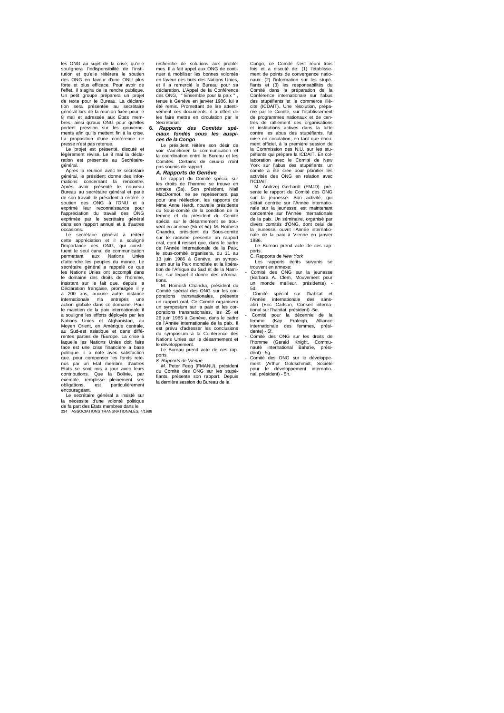les ONG au sujet de la crise; qu'elle soulignera l'indispensibilité de l'institution et qu'elle réitérera le soutien des ONG en faveur d'une ONU plus forte et plus efficace. Pour avoir de l'effet, il s'agira de la rendre publique. Un petit groupe préparera un projet de texte pour le Bureau. La déclara-<br>tion sera présentée au secrétaire tion sera présentée au secrétaire général lors de la reunion fixée pour le 8 mai et adressée aux Etats membres, ainsi qu'aux ONG pour qu'elles portent pression sur les gouverne-ments afin qu'ils mettent fin à la crise. La proposition d'une conférence de presse n'est pas retenue.

Le projet est présenté, discuté et légèrement révisé. Le 8 mai la déclaration est présentée au Secrétairegénéral.

Après la réunion avec le secrétaire général, le président donne des informations concernant la rencontre. Après avoir présenté le nouveau Bureau au secrétaire général et parlé de son travail, le président a réitéré le soutien des ONG à l'ONU et a exprimé leur reconnaissance pour l'appréciation du travail des ONG exprimée par le secrétaire général dans son rapport annuel et à d'autres occasions.

Le secrétaire général a réitéré<br>ette appréciation et il a souligné cette appréciation et il a souligné l'importance des ONG, qui constituent le seul canal de communication permettant aux Nations Unies d'atteindre les peuples du monde. Le secrétaire général a rappelé ce que les Nations Unies ont accompli dans le domaine des droits de l'homme, insistant sur le fait que. depuis la Déclaration française, promulgèe il y a 200 ans, aucune autre instance internationale n'a entrepris une action globale dans ce domaine. Pour le maintien de la paix internationale il a souligné les efforts déployés par les Nations Unies et Afghanistan, au Moyen Orient, en Amérique centrale, au Sud-est asiatique et dans diffé rentes parties de l'Europe. La crise à laquelle les Nations Unies doit faire face est une crise financière a base politique: il a noté avec satisfaction que. pour compenser les fonds rete-nus par un Etal membre, d'autres Etats se sont mis a jour avec leurs contributions. Que la Bolivie, par exemple, remplisse pleinement ses obligations, est particulièrement encourageant.

Le secrétaire général a insisté sur<br>la nécessite d'une volonté politique<br>de fa part des Etats membres dans le<br>234 ASSOCIATIONS TRANSNATIONALES, 4/1986

recherche de solutions aux problè-mes. Il a fait appel aux ONG de continuer à mobiliser les bonnes volontés en faveur des buts des Nations Unies, et il a remercié le Bureau pour sa déclaration. L'Appel de la Conférence des ONG, " Ensemble pour la paix " , tenue à Genève en janvier 1986, lui a été remis. Promettant de lire attentivement ces documents, il a offert de les faire mettre en circulation par le Secrétariat.

**6.** *Rapports des Comités spéciaux fondés sous les auspices de la Congo*

Le président réitère son désir de voir s'améliorer la communication et la coordination entre le Bureau et les Comités. Certains de ceux-ci n'ont pas soumis de rapport.

*A. Rapports de Genève*

Le rapport du Comité spécial sur les droits de l'homme se trouve en annexe (5a). Son président, Niall MacDormot, ne se représentera pas pour une réélection, les rapports de Mme Anne Herdt, nouvelle présidente du Sous-comité de la condition de la femme et du président du Comité spécial sur le désarmement se trouvent en annexe (5b et 5c). M. Romesh Chandra, président du Sous-comité<br>sur le racisme présente un rapport le racisme présente un rapport oral, dont il ressort que. dans le cadre de l'Année Internationale de la Paix, le sous-comité organisera, du 11 au 13 juin 1986 à Genève, un symposium sur la Paix mondiale et la libération de l'Afrique du Sud et de la Namibie, sur lequel il donne des informa-

tions. M. Romesh Chandra, président du Comité spécial des ONG sur les corporations transnationales, présente un rapport oral. Ce Comité organisera un symposium sur la paix et les corporations transnationales, les 25 et 26 juin 1986 à Genève, dans le cadre de l'Année internationale de la paix. Il est prévu d'adresser les conclusions du symposium à la Conférence des Nations Unies sur le désarmement et le développement.

Le Bureau prend acte de ces rapports.

*8. Rapports de Vienne M.* Peter Feeg (FMANU), président du Comité des ONG sur les stupéfiants, présente son rapport. Depuis la dernière session du Bureau de la

Congo, ce Comité s'est réuni trois fois et a discuté de: (1) l'établissement de points de convergence nationaux: (2) l'information sur les stupéfiants et (3) les responsabilités du Comité dans la préparation de la Conférence internationale sur l'abus des stupéfiants et le commerce illé-cite (ICDAIT). Une résolution, préparée par le Comité, sur l'établissement de programmes nationaux et de centres de ralliement des organisations et institutions actives dans la lutte contre les abus des stupéfiants, fut mise en circulation, en tant que document officiel, à la première session de la Commission des N.U. sur les stu-péfiants qui prépare la ICDAIT. En collaboration avec le Comité de New York sur l'abus des stupéfiants, un comité a été crée pour planifier les activités des ONG en relation avec l'ICDAIT.

M. Andrzej Gerhardt (FMJD). pré-sente le rapport du Comité des ONG sur la jeunesse. Son activité, gui s'était centrée sur l'Année internationale sur la jeunesse, est maintenant concentrée sur l'Année internationale de la paix. Un séminaire, organisé par divers comités d'ONG, dont celui de la jeunesse, ouvrit l'Année internatiode la paix à Vienne en janvier nale<br>1986.

Le Bureau prend acte de ces rapports. C. Rapports de *New York*

Les rapports écrits suivants se trouvent en annexe:

- Comité des ONG sur la jeunesse (Barbara A. Clem, Mouvement pour un monde meilleur, présidente) - 5d.

- Comité spécial sur l'habitat et l'Année internationale des sans-abri (Eric Carlson, Conseil international sur l'habitat, président) -5e.

- Comité pour la décennie de la femme (Kay Fraleigh, Alliance internationale des femmes, prési-

dente) - 5f. - Comité des ONG sur les droits de l'homme (Gerald Knight, Commu-nauté international Baha'ie, président) - 5g.

- Comité des ONG sur le développement (Arthur Goldschmidt, Société pour le développement international, président) - 5h.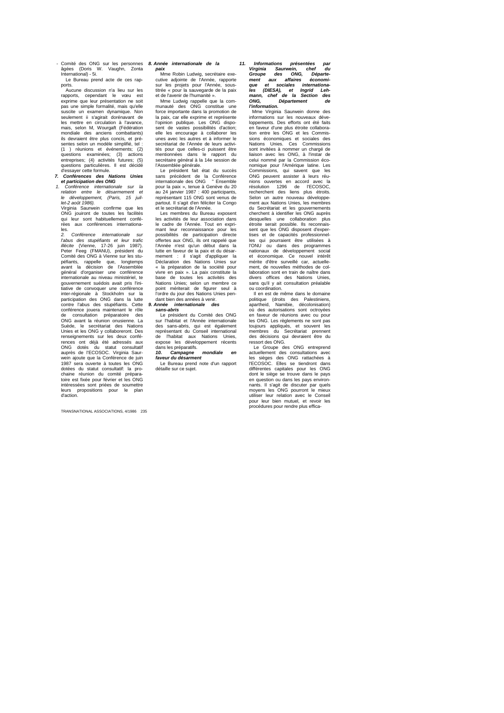- Comité des ONG sur les personnes âgées (Doris W. Vaughn, Zonta International) - 5i. Le Bureau prend acte de ces rap-

ports. Aucune discussion n'a lieu sur les rapports, cependant le vœu est exprime que leur présentation ne soit pas une simple formalité, mais qu'elle suscite un examen dynamique. Non seulement ii s'agirait dorénavant de les mettre en circulation à l'avance, mais, selon M, Wourgaft (Fédération mondiale des anciens combattants) ils devraient être plus concis, et présentes selon un modèle simplifié, tel<br>
(1) réunions et événements; (2 (1 ) réunions et événements; (2) questions examinées; (3) actions entreprises; (4) activités futures; (5)

questions particulières. Il est décidé d'essayer cette formule. *7. Conférences des Nations Unies et participation des ONG*

*1. Conférence internationale sur la relation entre le désarmement et le développement, (Paris, 15 juil-let-2 août 1986).*

Virginia Saurwein confirme que les ONG jouiront de toutes les facilités qui leur sont habituellement conférées aux conférences internationales.

*2. Conférence internationale sur l'abus des stupéfiants et leur trafic illécite (*Vienne, 17-26 juin 1987).<br>Peter Feeg (FMANU), président du<br>Comité des ONG à Vienne sur les stupéfiants, rappelle que, longtemps avant la décision de l'Assemblée général d'organiser une conférence internationale au niveau ministériel, te gouvernement suédois avait pris l'initiative de convoquer une conférence<br>inter-régionale à Stockholm sur la inter-régionale à Stockholm sur la participation des ONG dans la lutte contre l'abus des stupéfiants. Cette conférence jouera maintenant le rôle<br>de consultation préparatoire des de consultation préparatoire des ONG avant la réunion onusienne. La Suède, le secrétariat des Nations<br>Unies et les ONG y collaboreront. Des<br>renseignements sur les deux confé-<br>rences ont déjà été adressés aux<br>ONG dotés du statut consultatif<br>auprès de l'ECOSOC. Virginia Saurwein ajoute que la Conférence de juin 1987 sera ouverte à toutes les ONG dotées du statut consultatif: la prochaine réunion du comité prépara-<br>toire est fixée pour février et les ONG toire est fixée pour février et les ONG intéressées sont priées de soumettre leurs propositions pour le plan d'action.

TRANSNATIONAL ASSOCIATIONS, 4/1986 235

*8. Année internationale de la paix*

> Mme Robin Ludwig, secrétaire exe-cutive adjointe de l'Année, rapporte sur les projets pour l'Année, sous-titrée « pour la sauvegarde de la paix et de l'avenir de l'humanité ».

Mme Ludwig rappelle que la com-munauté des ONG constitue une force importante dans la promotion de la paix, car elle exprime et représente l'opinion publique. Les ONG dispo-sent de vastes possibilités d'action; elle les encourage à collaborer les unes avec les autres et à informer le secrétariat de l'Année de leurs activités pour que celles-ci puissent être mentionnées dans le rapport du secrétaire général à la 14e session de l'Assemblée générale.

Le président fait état du succès sans précèdent de la Conférence internationale des ONG " Ensemble pour la paix », tenue à Genève du 20 au 24 janvier 1987 : 400 participants, représentant 115 ONG sont venus de partout. Il s'agit d'en féliciter la Congo et le secrétariat de l'Année.

Les membres du Bureau exposent les activités de leur association dans le cadre de l'Année. Tout en exprimant leur reconnaissance pour les possibilités de participation directe offertes aux ONG, ils ont rappelé que l'Année n'est qu'un début dans la lutte en faveur de la paix et du désarmement : il s'agit d'appliquer la Déclaration des Nations Unies sur « la préparation de la société pour vivre en paix ». La paix constitute la base de toutes les activités des Nations Unies; selon un membre ce point mériterait de figurer seul à l'ordre du jour des Nations Unies pen-dant bien des années à venir. *9. Année internationale des* 

**sans-abris**<br>
Le président du Comité des ONG Le président du Comité des ONG sur l'habitat et l'Année internationale des sans-abris, qui est également représentant du Conseil international de l'habitat aux Nations Unies, expose les développement récents<br>expose les développement récents dans les préparatifs.<br>10 Campagne

*10. Campagne mondiale en faveur du désarment*

Le Bureau prend note d'un rapport détaille sur ce sujet.

*11. Informations présentées par Virginia Saurwein, chef du Groupe des ONG, Départe-ment aux affaires économique et sociales internationa-les (DIESA), et Ingrid Leh-mann, chef de la Section des ONG, Département de l'information.*

Mme Wirginia Saurwein donne des informations sur les nouveaux développements. Des efforts ont été faits en faveur d'une plus étroite collabora-tion entre les ONG et les Commissions économiques et sociales des Nations Unies. Ces Commissions sont invitées à nommer un chargé de liaison avec les ONG, à l'instar de celui nommé par la Commission économique pour l'Amérique latine. Les Commissions, qui savent que les ONG peuvent assister à leurs réu-nions ouvertes en accord avec la résolution 1296 de l'ECOSOC, recherchent des liens plus étroits. Selon un autre nouveau développement aux Nations Unies, les membres du Secrétariat et les gouvernements cherchent à identifier les ONG auprès desquelles une collaboration plus étroite serait possible. Ils reconnais-sent que les ONG disposent d'expertises et de capacités professionnel-les qui pourraient être utilisées à l'ONU ou dans des programmes nationaux de développement social et économique. Ce nouvel intérêt mérite d'être surveillé car, actuelle-ment, de nouvelles méthodes de collaboration sont en train de naître dans divers offices des Nations Unies, sans qu'il y ait consultation préalable ou coordination.

Il en est de même dans le domaine politique (droits des Palestiniens, apartheid, Namibie, décolonisation) où des autorisations sont octroyées en faveur de réunions avec ou pour les ONG. Les règlements ne sont pas<br>toujours appliqués, et souvent les toujours appliqués, et souvent membres du Secrétariat prennent des décisions qui devraient être du ressort des ONG.

Le Groupe des ONG entreprend actuellement des consultations avec les sièges des ONG rattachées à l'ECOSOC. Elles se tiendront dans différentes capitales pour les ONG dont le siège se trouve dans le pays en question ou dans les pays environnants. Il s'agit de discuter par quels moyens les ONG pourront le mieux utiliser leur relation avec le Conseil pour leur bien mutuel, et revoir les procédures pour rendre plus effica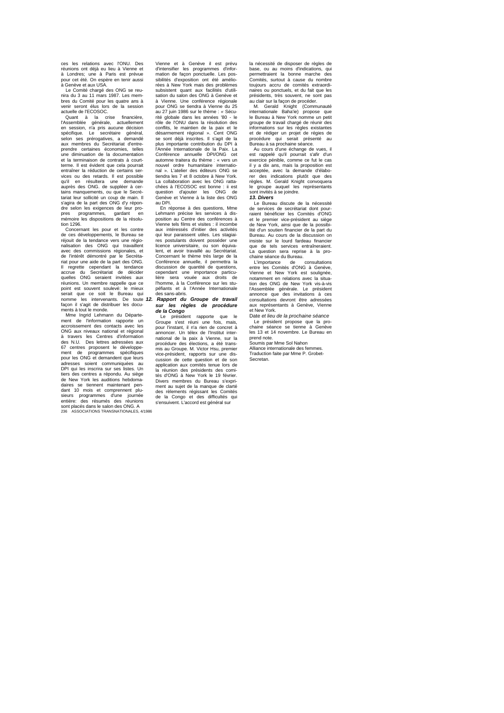ces les relations avec l'ONU. Des réunions ont déjà eu lieu à Vienne et à Londres; une à Paris est prévue pour cet été. On espère en tenir aussi

à Genève et aux USA. Le Comité chargé des ONG se reu-nira du 3 au 11 mars 1987. Les membres du Comité pour les quatre ans à venir seront élus lors de la session actuelle de l'ECOSOC. Quant à la crise financière,

l'Assemblée générale, actuellement<br>en session, n'a pris aucune décision<br>spécifique. Le secrétaire général, selon ses prérogatives, a demandé aux membres du Secrétariat d'entreprendre certaines économies, telles une diminuation de la documentation et la terminaison de contrats à courtterme. Il est évident que cela pourrait entraîner la réduction de certains ser-vices ou des retards. Il est possible qu'il en résultera une demande auprès des ONG. de suppléer à cer-tains manquements, ou que le Secrétariat leur sollicité un coup de main. Il s'agira de la part des ONG d'y répondre selon les exigences de leur pro-pres programmes, gardant en mémoire les dispositions de la résolution 1296.

Concernant les pour et les contre de ces développements, le Bureau se réjouit de la tendance vers une régio-nalisation des ONG qui travaillent avec des commissions régionales, et de l'intérêt démontré par le Secrétariat de l'intérêt démontré par le Secréta<br>riat pour une aide de la part des ONG. Il regrette cependant la tendance accrue du Secrétariat de décider quelles ONG seraient invitées aux réunions. Un membre rappelle que ce point est souvent soulevé: le mieux serait que ce soit le Bureau qui nomme les intervenants. De toute façon il s'agit de distribuer les documents à tout le monde.

Mme Ingrid Lehmann du Départe-ment de l'information rapporte un accroissement des contacts avec les ONG aux niveaux national et régional à travers les Centres d'information des N.U. Des lettres adressées aux 67 centres proposent le développement de programmes spécifiques pour les ONG et demandent que leurs adresses soient communiquées au DPI qui les inscrira sur ses listes. Un tiers des centres a répondu. Au siège de New York les auditions hebdomadaires se tiennent maintenant pen-dant 10 mois et comprennent plusieurs programmes d'une journée entière: des résumés des réunions sont placés dans le salon des ONG. A 236 ASSOCIATIONS TRANSNATIONALES, 4/1986

Vienne et à Genève il est prévu d'intensifier les programmes d'information de façon ponctuelle. Les possibilités d'exposition ont été améliorées à New York mais des problèmes subsistent quant aux facilités d'utili-sation du salon des ONG à Genève et à Vienne. Une conférence régionale pour ONG se tiendra à Vienne du 25 au 27 juin 1986 sur le thème : *«* Sécu-rité globale dans les années '80 - le rôle de l'ONU dans la résolution des conflits, le maintien de la paix et le désarmement régional ». Cent ONG se sont déjà inscrites. Il s'agit de la plus importante contribution du DPI à l'Année Internationale de la Paix. La Conférence annuelle DPI/ONG cet automne traitera du thème : « vers un nouvel ordre humanitaire international ». L'atelier des éditeurs ONG se tiendra les 7 et 8 octobre à New York. La collaboration avec les ONG rattachées à l'ECOSOC est bonne : ii est question d'ajouter les ONG de Genève et Vienne à la liste des ONG au DPI.

En réponse à des questions, Mme Lehmann précise les services à dis-position au Centre des conférences à Vienne tels films et visites : il incombe aux intéressés d'initier des activités qui leur paraissent utiles. Les stagiai-res postulants doivent posséder une licence universitaire, ou son équivalent, et avoir travaillé au Secrétariat. Concernant le thème très large de la Conférence annuelle, il permettra la discussion de quantité de questions, cependant une importance particu-lière sera vouée aux droits de l'homme, à la Conférence sur les stupéfiants et à l'Année Internationale des sans-abris.

#### *12. Rapport du Groupe de travail sur les règles de procédure de la Congo*

Le président rapporte que le Groupe s'est réuni une fois, mais, pour l'instant, il n'a rien de concret à annoncer. Un télex de l'Institut inter-national de la paix à Vienne, sur la procédure des élections, a été trans-mis au Groupe. M. Victor Hsu, premier vice-président, rapports sur une dis-cussion de cette question et de son application aux comités tenue lors de la réunion des présidents des comi-tés d'ONG à New York le 19 février. Divers membres du Bureau s'expriment au sujet de la manque de clarté des rèlements régissant les Comités de la Congo et des difficultés qui s'ensuivent. L'accord est général sur

la nécessité de disposer de règles de base, ou au moins d'indications, qui permettraient la bonne marche des Comités, surtout à cause du nombre toujours accru de comités extraordi-naires ou ponctuels, et du fait que les présidents, très souvent, ne sont pas

au clair sur la façon de procéder. M. Gerald Knight (Communauté internationale Baha'ie) propose que le Bureau à New York nomme un petit groupe de travail chargé de réunir des informations sur les règles existantes et de rédiger un projet de régies de procédure qui serait présenté au Bureau à sa prochaine séance.

Au cours d'une échange de vues, il est rappelé qu'il pourrait s'afir d'un exercice pénible, comme ce fut le cas il y a dix ans, mais la proposition est acceptée, avec la demande d'élabo-rer des indications plutôt que des règles. M. Gerald Knight convoquera le groupe auquel les représentants sont invités à se joindre.

*13. Divers*

Le Bureau discute de la nécessité de services de secrétariat dont pour-raient bénéficier les Comités d'ONG et le premier vice-président au siège de New York, ainsi que de la possibi-lité d'un soutien financier de la part du Bureau. Au cours de la discussion on insiste sur le lourd fardeau financier que de tels services entraîneraient. La question sera reprise à la pro-chaine séance du Bureau.

L'importance de consultations<br>entre les Comités d'ONG à Genève. entre les Comités d'ONG à Genève,<br>Vienne et New York est soluignée,<br>notamment en relations avec la situa-<br>tion des ONG de New York vis-à-vis<br>l'Assemblée générale. Le président<br>annonce que des invitations à ces<br>consulations et New York.

Date *et lieu de la prochaine séance* Le président propose que la pro-chaine séance se tienne à Genève les 13 et 14 novembre. Le Bureau en prend note. Soumis par Mme Sol Nahon

Alliance internationale des femmes. Traduction faite par Mme P. Grobet-Secretan.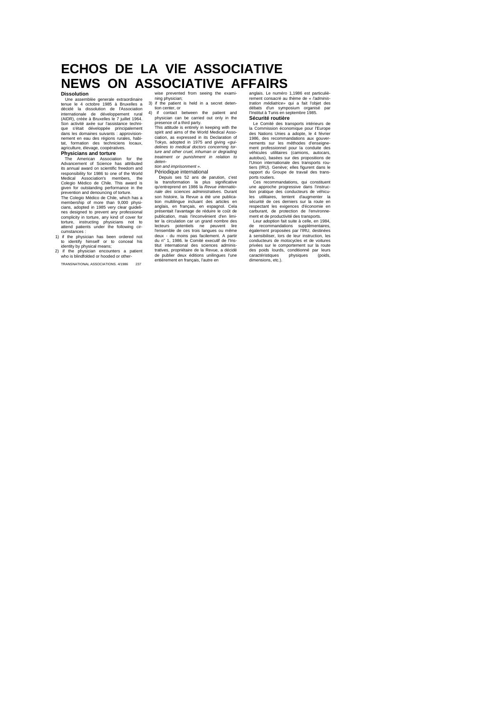# **ECHOS DE LA VlE ASSOCIATIVE NEWS ON ASSOCIATIVE AFFAIRS**

**Dissolution**<br>
Une assemblèe generale extraordinaire<br>
Une assemblée generale extraordinaire<br>
tenue le 4 octobre 1985 à Bruxelles a<br>
décidé la dissolution de l'Association<br>
internationale de développement rural<br>
Son activit

**Physicians and torture**<br>The American Association for the<br>Advancement of Science has attributed<br>as annual award on scientific freedom and<br>responsibility for 1986 to one of the World<br>Medical Association's members, the<br>Coleg

membership of more than 9,000 physi-cians, adopted in 1985 very clear guidelines designed to prevent any professional complicity in torture, any kind of cover for torture, instructing physicians not to attend patients under the following cir-

cumstances : 1) if the physician has been ordered not to identify himself or to conceal his identity by physical means; 2) if the physician encounters a patient who is blindfolded or hooded or other-

TRANSNATIONAL ASSOCIATIONS. 4/1986 237

wise prevented from seeing the exami-ning physician;

3) if the patient is held in a secret deten-tion center, or 4) if contact between the patient and

physician can be carried out only in the<br>presence of a third party.<br>This attitude is entirely in keeping with the<br>spirit and aims of the World Medical Asso-<br>ciation, as expressed in its Declaration of<br>Tokyo, adopted in 197 *deten-tion and imprisonment* ».

Périodique international<br>clique international per periodique internation, c'est<br>la transformation la plus significative<br>qu'entreprend en 1986 la Revue internatio-<br>cande des sciences administratives. Durant<br>son histoire, la tratives, propriétaire de la Revue, a décidé de publier deux éditions unilingues l'une entièrement en français, l'autre en

anglais. Le numéro 1,1986 est particuliè-rement consacré au thème de « *l'administration médiatrice»* qui a fait l'objet des débats d'un symposium organisé par l'Institut à Tunis en septembre 1985.

Sécurité routière<br>Le Comité des transports intérieurs de<br>la Commission économique pour l'Europe<br>des Nations Unies a adopte, le 4 février<br>1986, des recommandations aux gouver-<br>nements sur les méthodes d'enseignement professionnel pour la conduite des véhicules utilitaires (camions, autocars, autobus), basées sur des propositions de l'Union internationale des transports rou-tiers (IRU). Genève; elles figurent dans le

rapport du Groupe de travail des trans-<br>ports routiers.<br>Ces recommandations, qui constituent<br>une approche progressive dans l'instruc-<br>tion pratique des conducteurs de véhicu-<br>les utilitaires, tentent d'augmenter la<br>récurit

conducteurs de motocycles et de voitures privées sur le comportement sur la route des poids lourds, conditionné par leurs caractéristiques physiques (poids, caracteristiques<br>dimensions, etc.).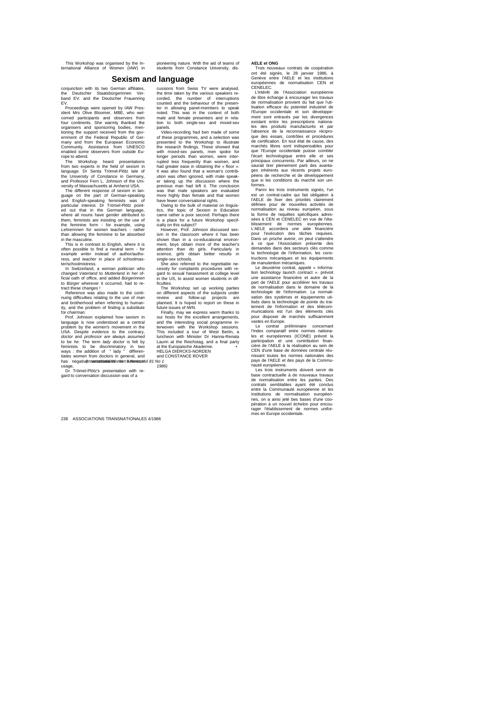This Workshop was organised by the In-ternational Alliance of Women (IAW) in

conjunction with its two German affiliates, the Deutscher Staatsbürgerinnen Ver-band EV. and the Deutscher Frauenring EV.

Proceedings were opened by IAW Pres-ident Mrs Olive Bloomer, MBE, who welcomed participants and observers from<br>four cominents. She warmly thanked the<br>organisers and sponsoring bodies, men-<br>itioning the support received from the government of the Federal Republic of Ger-<br>mampy and from the Europ

and English-speaking feminists was of<br>particular interest. Dr Trömel-Plötz point-<br>ed out that in the German language,<br>where all nouns have gender attributed to<br>them, feminists are insisting on the use of<br>the feminine form

than allowing the feminine to be absorbed<br>in the massuline.<br>This is in contrast to English, where it is<br>often possible to find a neutral term - for<br>example writer instead of author/autho-<br>ress, and teacher in place of scho

act these changes !<br>Reference was also made to the continuing difficulties relating to the use of *man*  and brotherhood when referring to humanity, and the problem of finding a substitute for *chairman.*

Prof. Johnson explained how sexism in language is now understood as a central problem by the women's movement in the USA. Despite evidence to the contrary, and conclusional conductor and professor are always assumed to be *he*. The term lady doctor is felt by emission to be discimilinatory in two<br>ways : the addition of  $\cdot$  lady  $\cdot$  dif *(International Women's News Vol 81 No 1* 

cussions from Swiss TV were analysed, the time taken by the various speakers re-corded, the number of interruptions counted and the behaviour of the presenter in allowing panel-members to speak noted. This was in the context of both male and female presenters and in relation to both single-sex and mixed-sex panels.

Video-recording had bem made of some<br>of these programmes, and a selection was<br>presented to the Workshop to illustrate<br>the research findings. These showed that<br>with mixed-sex panels, men spoke for<br>topper periods than women, er taking up the discussion where the previous man had left it. The conclusion was that male speakers are evaluated more highly than female and that women have fewer conversational rights.

Owing to the bulk of material on linguistics, the topic of Sexism in Education came rather a poor second. Perhaps there is a place for a future Workshop specifically on this subject?<br>However Prof. Johnson discussed sex-

However, Prof. Johnson discussed sex-<br>ism in the classroom where it has been<br>shown than in a co-educational environ-<br>ment, boys obtain more of the teacher's<br>attention than do girls. Particularly in<br>science, glirls obtain b

sex schools.<br>also referred to the regrettable necessity for complaints procedures with re-gard to sexual harassment at college level in the US, to assist women students in dif-

ficulties. The Workshop set up working parties on different aspects of the subjects under review and follow-up projects are planned. It is hoped to report on these in future issues of IWN.

Finally, may we express warm thanks to our hosts for the excellent arrangements, and the interesting social programme in-<br>terwoven with the Workshop sessions.<br>This included a tour of West Berlin, a luncheon with Minister Dr Hanna-Renata Laurin at the Reichstag, and a final party at the Europaische Akademie. • HELGA DIERCKS-NORDEN and CONSTANCE ROVER

*1986)*

**AELE et ONG**<br> **Trois nouveaux contrats de coopération**<br>
ont été signés, le 28 janvier 1986, à<br>
Genève entre l'AELE et les institutions<br>
européennes de normalisation CEN et<br>
CENELEC.<br>
L'intérêt de l'Association européenne

de libre échange à encourager les travaux de normalisation provient du fait que l'uti-lisation efficace du potentiel industriel de l'Europe occidentale et son développe-ment sont entravés par les divergences existant entre les prescriptions nationa-les des produits manufacturés et par l'absence de la reconnaissance récipro-que des essais, contrôles et procédures de certification. En tout état de cause, des marchés libres sont indispensables pour que l'Europe occidentale puisse combler l'écart technologique entre elle et ses<br>principaux concurrents. Par ailleurs, on ne<br>saurait tirer pleinement parti des avanta-<br>ges inhérents aux récents projets euro-<br>péens de recherche et de développement<br>que si les condi

formes.<br>Parmi les trois instruments signés, l'un<br>est un contrat-cadre qui fait obligation à<br>l'AELE de fixer des priorités clairement<br>définies pour de nouvelles activités de<br>normalisation au niveau européen, sous<br>la forme d blissement de normes européennes. L'AELE accordera une aide financière pour l'exécution des tâches requises. Dans un proche avenir, on peut s'attendre à ce que l'Association présente des demandes dans des secteurs clés comme la technologie de l'information, les cons-

tructions mécaniques et les équipements<br>de manutention mécaniques.<br>Le deuxième contrat, appelé « Informa-<br>tion technology launch contrat », prévoit<br>part de l'AELE pour accélérer les travaux<br>de to malisation dans le domaine

Le contrat préliminaire concernant l'Index comparatif entre normes nationales et européennes (ICONE) prévoit la participation et une contribution financière de l'AELE à la réalisation au sein de CEN d'une base de données centrale réu-nissant toutes les normes nationales des pays de l'AELE et des pays de la Commu-nauté européenne.

Les trois instruments doivent servir de<br>base contractuelle à de nouveaux travaux<br>de normalisation entre les parties. Des<br>contrats semblables ayant été conclus<br>entre la Communauté européenne et les<br>institutions de normalisa rager l'établissement de normes unifor-mes en Europe occidentale.

238 ASSOCIATIONS TRANSNATIONALES 4/1986

pioneering nature. With the aid of teams of students from Constance University, dis-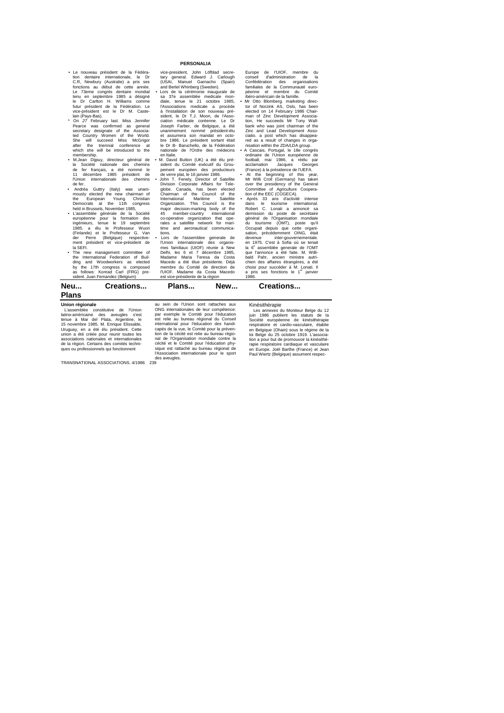- Le nouveau président de la Fédération dentaire internationale, le Dr C.R, Newbury (Australie) a pris ses
- fonctions au début de cette année.<br>Le 73eme congrès dentaire mondial<br>tenu en septembre 1985 a désigné<br>le Dr Carlton H. Williams comme<br>tions-président de la Fédération. Le<br>vice-président est le Dr M. Caste-<br>liam (Pays-Bas).
- M.Jean Dijpuy, directeur général de la Société nationale des chemins de fer français, a été nommé le 11 décembre 1985 président de l'Union internationale des chemins
- de fer. Andréa Guttry (Italy) was unani-mously elected the new chairman of the European Young Christian Democrats at the 11th congress
- held in Brussels, November 1985,<br>
 L'assemblée générale de la Société<br>
européenne pour la formation des<br>
ingénieurs, tenue le 19 septembre<br>
1985. a élu le Professeur G. Van<br>
(Finlande) et le Professeur G. Van<br>
der Perre (
- The new management committee of the International Federation of Buil-ding and Woodworkers as elected by the 17th congress is composed as follows: Konrad Carl (FRG) pre-sident. Juan Femandez (Belgium)

#### **PERSONALIA**

vice-president, John Löfblad secre-tary general. Edward J. Carlough (USAI, Manuel Garnacho (Spain) and Berell Whinberg (Sweden).<br>
a Lors de la cérémonie inaugurale de<br>
sa 37e assemblée medicale mondiale, tenue le 21 octobre 1985,<br>
féliso, tantou de son nouveau pré-<br>
diction de son nouveau pré-<br>
sident, le Dr TJJ, Moon,

en Italie.<br>M. David Button (UK) a été élu président du Comité exécutif du Grou-pement européen des producteurs de verre plat, le 16 janvier 1986.

• John T. Fenely, Director of Satellite<br>globe. Canada, has been elected Chairman of the Council of the Council<br>chieranational Martime Satellite<br>Organization. This Council is the<br>glorical major decision-marking body of the<br>

mes familiaux (UIOF) réunie à New Delhi, les 6 et 7 décembre 1985, Madame Maria Teresa da Costa Macedo a été élue présidente. Déjà membre du Comité de direction de l'UIOF. Madame da Costa Macedo est vice-présidente de la région Europe de I'UIOF, membre du conseil d'administration de la Confédération des organisations familiales de la Communauté européenne et membre du Comité ibéro-américain de la famille.

• Mr Otto Blomberg, marketing direc-<br>telected on 14 February 1986 Chair-<br>man of Zinc Development Associa-<br>tion, He succeeds Mr Tony Wall-<br>bank who was joint chairman of the<br>lank who was joint chairman of the<br>clinic and Lea

football, mai 1986, a réélu par acclamation Jacques Georges (France) à la présidence de l'UEFA. • At the beginning of this year, Mr Willi Croll (Germany) has taken over the presidency of the General Committee of Agriculture Coopera-

tion of the EEC (COGECA).<br>
• Après 33 ans d'activité intense<br>
dans le tourisme international.<br>
Robert C. Lonati a annoncé sa<br>
dermission du poste de secrétaire<br>
général de l'Organistation mondiale<br>
du tourisme (OMT), poste 1986. Pour succeder a M. Lonati. Il a pris ses fonctions le 1<sup>er</sup> janvier 1986.

**Neu... Creations... Plans... New... Creations...** 

# **Plans**

**Union régionale** L'assemblée constitutive de l'Union<br>latino-américaine des aveugles s'est latino-américaine des aveugles s'est<br>tenue à Mar del Plata, Argentine, le<br>15 novembre 1985. M. Enrique Elissalde,<br>Uruguay, en a été élu président. Cette<br>union a été créée pour reunir toutes les<br>associations nationales et i de la région. Certains des comités techni-ques ou professionnels qui fonctionnent

TRANSNATIONAL ASSOCIATIONS. 4/1986 239

au sein de l'Union sont rattaches aux ONG internationales de leur compétence: par exemple le Comité pour l'éducation est relie au bureau régional du Conseil international pour l'éducation des handi-capés de la vue, le Comité pour la prévention de la cécité est relie au bureau régional de l'Organisation mondiale contre la cécité et le Comité pour l'éducation physique est rattaché au bureau régional de l'Association internationale pour le sport des aveugles. Kinésithérapie<br>Les annexes du Moniteur Belge du 12<br>Liga annexes du Moniteur Belge du 12<br>Société européenne de kinésithérapie<br>respiratoire et cardio-vasculaire, étable<br>en Belgique (Ohain) sous le régime de la<br>loi Belge du 2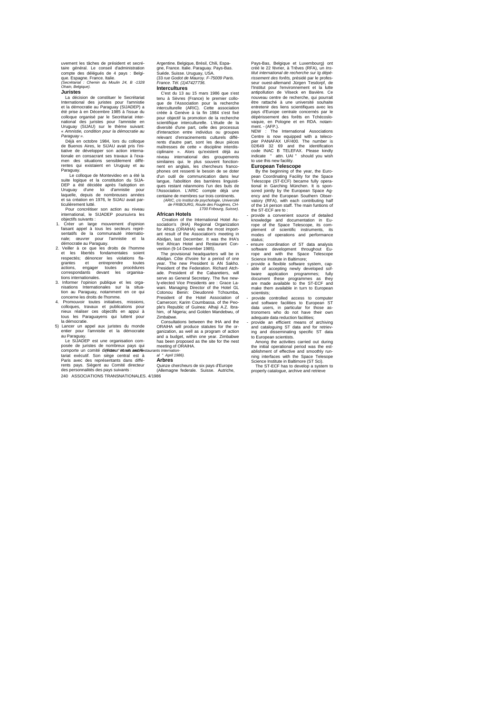uvement les tâches de président et secrétaire général. Le conseil d'administration compte des délégués de 4 pays : Belgi-que. Espagne. France. Italie. *(Secrétariat : Chemin du Moulin 24, B* -*1328 Ohain, Belgique).*

**Juristes**

La décision de constituer le Secrétariat International des juristes pour l'amnistie et la démocratie au Paraguay (SIJADEP) a été prise à en Décembre 1985 à l'issue du colloque organisé par le Secrétariat inter-national des juristes pour l'amnistie en Uruguay (SIJAU) sur le thème suivant: « *Amnistie, condition pour la démocratie au Paraguay ».*

Déjà en octobre 1984, lors du colloque de Buenos Aires, le SIJAU avait pris l'ini-tiative de développer son action interna-tionale en consacrant ses travaux à l'examen des situations sensiblement diffé-rentes qui existaient en Uruguay et au

Paraguay.<br>Le colloque de Montevideo en a été la<br>suite logique et la constitution du SIJA-<br>DEP a été décidée après l'adoption en<br>Uruguay d'une loi d'amnistie pour<br>laquelle, depuis de nombreuses années<br>et sa création en 1976

ticulièrement lutté. Pour concrétiser son action au niveau international, le SIJADEP poursuivra les

- objectifs suivants : 1. Créer un large mouvement d'opinion faisant appel à tous les secteurs représentatifs de la communauté internatio-nale; œuvrer pour l'amnistie et la démocratie au Paraguay.
- 2. Veiller à ce que les droits de l'homme et les libertés fondamentales soient respectés; dénoncer les violations fla-
- 
- grantes et entreprendre toutes<br>correspondants devant les correspondants devant les organisations internationales.<br>3. Informer l'opinion publique et les organisations internationales sur la situa-<br>tion au Paraguay, notammen
- 5) Lancer un appel aux juristes du monde entier pour l'amnistie et la démocratie au Paraguay. Le SIJADEP est une organisation com-

posée de juristes de nombreux pays qui comporte un comité dir*(Edte*ur" brotens anad réestaurants Internation-<br>tariat exécutif. Son siège central est à al "April 198 Paris avec des représentants dans diffé-rents pays. Siègent au Comité directeur des personnalités des pays suivants : 240 ASSOCIATIONS TRANSNATIONALES. 4/1986

Argentine. Belgique, Brésil, Chili, Espagne, France. Italie. Paraguay. Pays-Bas.<br>Suéde. Suisse. Uruguay, USA.<br>(33 *rue Godot de Mauroy. F-75009 Paris.<br><i>France. Tél. (1)47427736.* 

#### **Intercultures**

C'est du 13 au 15 mars 1986 que s'est tenu à Sèvres (France) le premier colloque de l'Association pour la recherche interculturelle (ARIC). Cette association créée à Genève à ta fin 1984 s'est fixé pour objectif la pronotion de la recherche<br>scientifique interculturelle. L'étude de la<br>diversité d'une part, celle des processus<br>d'interaction entre individus ou groupes<br>relevant d'enracinements culturels diffé-<br>rents d'au

*(ARIC, c/o Institut de psychologie, Université de FRIBOURG, Route des Fougères, CH-1700 Fribourg, Suisse).*

### **African Hotels**

Creation of the International Hotel As-sociation's (IHA) Regional Organization for Africa (ORAIHA) was the most import-ant result of the Association's meeting in Abidjan, last December. It was the IHA's first African Hotel and Restaurant Con-

vention (9-14 December 1985), The provisional headquarters will be in<br>Abidjan. Côte d'Ivoire for a period of one<br>pear. The new President is AN Sakho.<br>President of the Federation. Richard Atch-<br>ade. President of the Cabaret ple's Republic of Guinea: Alhaji A.Z. Ibra-him, of Nigeria; and Golden Mandebwu, of

Zimbabwe. Consultations between the IHA and the ORAIHA will produce statutes for the or-ganization, as well as a program of action and a budget, within one year. Zimbabwe has been proposed as the site for the nest meeting of ORAIHA.

*al " April 1986).*

#### **Arbres**

Quinze chercheurs de six pays d'Europe Guinze chercheurs de six

Pays-Bas, Belgique et Luxembourg) ont créé le 22 février, à Trêves (RFA), un *Ins-titut international de recherche sur Ig dépérissement des forêts,* présidé par le profes-<br>seur ouest-allemand Jürgen Tesdorpf, de<br>l'Institut pour l'environnement et la lute<br>antipolitution de Vilseck en Bavière. Ce<br>nouveau centre de recherche, qui pourrait<br>étre ratt pays d'Europe centrale concernés par le dépérissement des forêts en Tchécoslo-vaquie, en Pologne et en RDA. notam-

ment. - (AFP.). NEW : The International Associations Centre is now equipped with a teleco-pier PANAFAX UF/400. The number is 02/649 32 69 and the identification code INAC B TELEFAX. Please kindly indicate " attn. UAI " should you wish<br>to use this new facility

to use this new facility.<br> **European Telescope**<br>
By the beginning of the year, the Euro-<br>
Pay the beginning of the year, the Space<br>
Telescope (ST-ECF) became fully opera-<br>
Telescope (ST-ECF) became fully opera-<br>
sored join ency and the European Southern Obser-vatory (RFA), with each contributing half of the 14 person staff. The main funtions of

the ST-ECF are to : - provide a convenient source of detailed knowledge and documentation in Europe of the Space Telescope, its com-plement of scientific instruments, its modes of operations and performance status;<br>ensure coordination of ST data analysis

- ensure coordination of ST data analysis<br>software development throughout Europe and with the Space Telescope<br>Science Institute in Baltimore;<br>provide a flexible software system, cap-<br>able of accepting newly developed softw scientists;

- provide controlled access to computer and software facilities to European ST data users, in particular for those as-tronomers who do not have their own

adequate data reduction facilities;<br>provide an efficient means of archiving

- provide an efficient means of archiving<br>and cataloguing ST data and for retrieving and disseminating specific ST data<br>Morogram scientists.<br>Among the activities carried out during<br>the initial operational priord was the es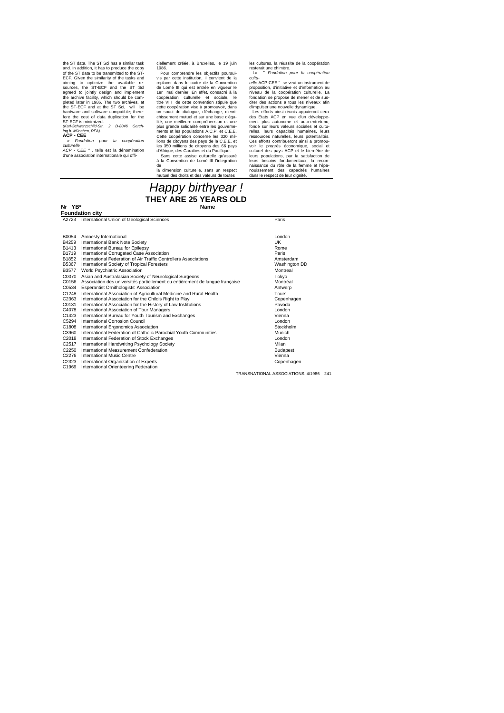the ST data. The ST Schias a similar task<br>and. in addition, it has to produce the copy<br>of the ST data to be transmitted to the ST-<br>ECF. Given the similarity of the tasks and<br>animg to optimize the available re-<br>sources, th

*culturelle ACP - CEE " ,* telle est la dénomination d'une association internationale qui offi-

ciellement créée, à Bruxelles, le 19 juin<br>1986

1986.<br>Pour comprendre les objectifs poursui-<br>vis par cette institution, il convient de la<br>de Lomé III qui est entrée en vigueur le<br>de Lomé III qui est entrée en vigueur le<br>der mai dernier. En effet, consacré à la<br>coopérati chissement mutuel et sur une base d'éga-lité, une meilleure compréhension et une plus grande solidarité entre les gouvernements et les populations A.C.P. et C.E.E. Cette coopération concerne les 320 millions de citoyens des pays de la C.E.E. et les 350 millions de citoyens des 66 pays d'Afrique, des Caraibes et du Pacifique. Sans cette assise culturelle qu'assuré

à la Convention de Lomé III l'integration de la dimension culturelle, sans un respect mension canadelle, sans an respected des droits et des valeurs de toutes

les cultures, la réussite de la coopération resterait une chimère. La " *Fondation pour la coopération* 

cultu-<br>cultu-<br>celle ACP-CEE " se veut un instrument de<br>proposition, d'initiative et d'information au<br>niveau de la coopération culturelle. La<br>fondation se propose de mener et de sus-<br>citer des actions a tous les niveaux afi

relles, leurs capacités humaines, leurs ressources naturelles, leurs potentialités. Ces efforts contribueront ainsi a promouvoir le progrès économique, social et culturel des pays ACP et le bien-être de leurs populations, par la satisfaction de leurs besoins fondamentaux, la recon-naissance du rôle de la femme et l'épa-nouissement des capacités humaines dans le respect de leur dignité.

# *Happy birthyear !* **THEY ARE 25 YEARS OLD**

#### Nr YB\*

**Foundation city A2723** International Union of Geological Sciences **Paris** Paris Paris B0054 Amnesty International<br>B4259 International Bank Note Society<br>B1413 International Bureau for Epilepsy B4259 International Bank Note Society<br>B4259 International Bank Note Society<br>B1413 International Bureau for Epilepsy B1413 International Bureau for Epilepsy<br>B1719 International Corrugated Case Association<br>B1852 International Federation of Air Traffic Controllers Associations<br>B5367 International Society of Tropical Foresters<br>B5367 Interna **B3577 World Psychiatric Association Montreal** C0070 Asian and Australasian Society of Neurological Surgeons Tokyo C0156 Association des universités partiellement ou entièrement de langue française Montréal<br>C0534 Esperantist Omithologists' Association<br>Antwerp C0534 Esperantist Ornithologists' Association C1248 International Association of Agricultural Medicine and Rural Health<br>C2363 International Association for the Child's Right to Play<br>C0131 International Association for the History of Law Institutions C4078 International Association of Tour Managers<br>C1423 International Bureau for Youth Tourism and Exchanges<br>C5294 International Corrosion Council International Bureau for Youth Tourism and Exchanges International Corrosion Council London Council London Council London Council London C<sub>1808</sub> C<sub>3960</sub> International Ergonomics Association International Federation of Catholic Parochial Youth Communities Stockholm Munich C2018 International Federation of Stock Exchanges<br>
C2517 International Handwriting Psychology Society<br>
C2250 International Measurement Confederation<br>
Budape C2517 International Handwriting Psychology Society Milan<br>C2250 International Measurement Confederation Budapest C2276 International Music Centre Composition.<br>C2276 International Music Centre C2323 C1969 International Orienteering Federation International Organization of Experts Copenhagen

TRANSNATIONAL ASSOCIATIONS, 4/1986 241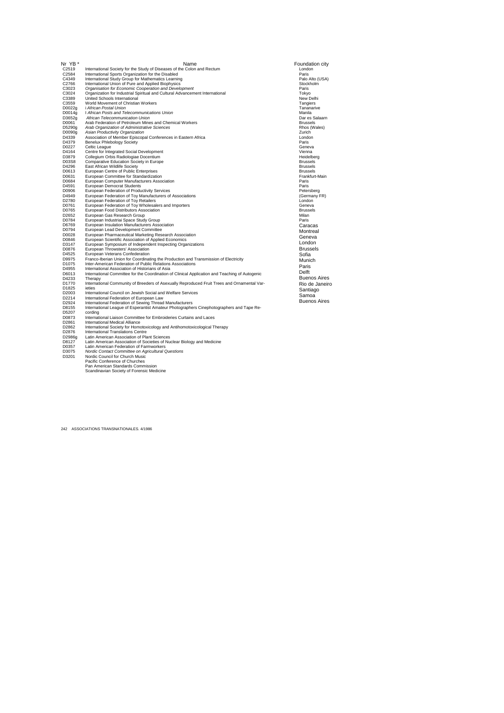| Nr YB*          | Name                                                                                                                                              | Foundation city                   |
|-----------------|---------------------------------------------------------------------------------------------------------------------------------------------------|-----------------------------------|
| C2519           | International Society for the Study of Diseases of the Colon and Rectum                                                                           | London                            |
| C2584           | International Sports Organization for the Disabled                                                                                                | Paris                             |
| C4349           | International Study Group for Mathematics Learning                                                                                                | Palo Alto (USA)                   |
| C2766           | International Union of Pure and Applied Biophysics                                                                                                | Stockholm                         |
| C3023           | Organisation for Economic Cooperation and Development                                                                                             | Paris                             |
| C3024           | Organization for Industrial Spiritual and Cultural Advancement International                                                                      | Tokyo                             |
| C3389           | United Schools International                                                                                                                      | New Delhi                         |
| C3559           | World Movement of Christian Workers                                                                                                               | Tangiers                          |
| D0022a          | i African Postal Union                                                                                                                            | Tananarive                        |
| D0014g          | I African Posts and Telecommunications Union                                                                                                      | Manila                            |
| D3652g          | African Telecommunication Union<br>Arab Federation of Petroleum Mines and Chemical Workers                                                        | Dar es Salaarn<br><b>Brussels</b> |
| D0061<br>D5290g | Arab Organization of Administrative Sciences                                                                                                      | Rhos (Wales)                      |
| D0090g          | Asian Productivity Organization                                                                                                                   | Zurich                            |
| D4339           | Association of Member Episcopal Conferences in Eastern Africa                                                                                     | London                            |
| D4379           | <b>Benelux Phlebology Society</b>                                                                                                                 | Paris                             |
| D0227           | Celtic League                                                                                                                                     | Geneva                            |
| D4164           | Centre for Integrated Social Development                                                                                                          | Vienna                            |
| D3879           | Collegium Orbis Radiologiae Docentium                                                                                                             | Heidelberg                        |
| D03S8           | Comparative Education Society in Europe                                                                                                           | <b>Brussels</b>                   |
| D4296           | East African Wildlife Society                                                                                                                     | <b>Brussels</b>                   |
| D0613           | European Centre of Public Enterprises                                                                                                             | <b>Brussels</b>                   |
| D0631           | European Committee for Standardization                                                                                                            | Frankfurt-Main                    |
| D0684           | European Computer Manufacturers Association                                                                                                       | Paris                             |
| D4591           | European Democrat Students                                                                                                                        | Paris                             |
| D0906           | European Federation of Productivity Services                                                                                                      | Petersberg                        |
| D4949           | European Federation of Toy Manufacturers of Associations                                                                                          | (Germany FR)                      |
| D2780<br>D0761  | European Federation of Toy Retailers                                                                                                              | London<br>Geneva                  |
| D0765           | European Federation of Toy Wholesalers and Importers<br>European Food Distributors Association                                                    | <b>Brussels</b>                   |
| D2652           | European Gas Research Group                                                                                                                       | Milan                             |
| D0784           | European Industriai Space Study Group                                                                                                             | Paris                             |
| D6769           | European Insulation Manufacturers Association                                                                                                     | Caracas                           |
| D0794           | European Lead Development Committee                                                                                                               | Montreal                          |
| D0028           | European Pharmaceutical Marketing Research Association                                                                                            | Geneva                            |
| D0846           | European Scientific Association of Applied Economics                                                                                              |                                   |
| D3147           | European Symposium of Independent Inspecting Organizations                                                                                        | London                            |
| D0876           | European Throwsters' Association                                                                                                                  | <b>Brussels</b>                   |
| D4525           | European Veterans Confederation                                                                                                                   | Sofia                             |
| D9975           | Franco-Iberian Union for Coordinating the Production and Transmission of Electricity                                                              | Munich                            |
| D1075           | Inter-American Federation of Public Relations Associations                                                                                        | Paris                             |
| D4955<br>D6013  | International Association of Historians of Asia<br>International Committee for the Coordination of Clinical Application and Teaching of Autogenic | Delft                             |
| D4233           | Therapy                                                                                                                                           | <b>Buenos Aires</b>               |
| D1770           | International Community of Breeders of Asexually Reproduced Fruit Trees and Ornamental Var-                                                       | Rio de Janeiro                    |
| D1825           | ieties                                                                                                                                            |                                   |
| D2003           | International Council on Jewish Social and Welfare Services                                                                                       | Santiago                          |
| D2214           | International Federation of European Law                                                                                                          | Samoa                             |
| D2924           | International Federation of Sewing Thread Manufacturers                                                                                           | <b>Buenos Aires</b>               |
| D8155           | International League of Esperantist Amateur Photographers Cinephotographers and Tape Re-                                                          |                                   |
| D5207           | cordina                                                                                                                                           |                                   |
| D0873           | International Liaison Committee for Embroideries Curtains and Laces                                                                               |                                   |
| D2861           | International Medical Alliance                                                                                                                    |                                   |
| D2862           | International Society for Homotoxicology and Antihomotoxicological Therapy                                                                        |                                   |
| D2876           | International Translations Centre                                                                                                                 |                                   |
| D2986g          | Latin American Association of Plant Sciences                                                                                                      |                                   |
| D8127<br>D0357  | Latin American Association of Societies of Nuclear Biology and Medicine<br>Latin American Federation of Farmworkers                               |                                   |
| D3075           | Nordic Contact Committee on Agricultural Questions                                                                                                |                                   |
| D3201           | Nordic Council for Church Music                                                                                                                   |                                   |
|                 | Pacific Conference of Churches                                                                                                                    |                                   |
|                 | Pan American Standards Commission                                                                                                                 |                                   |
|                 | Scandinavian Society of Forensic Medicine                                                                                                         |                                   |

242 ASSOCIATIONS TRANSNATIONALES. 4/1986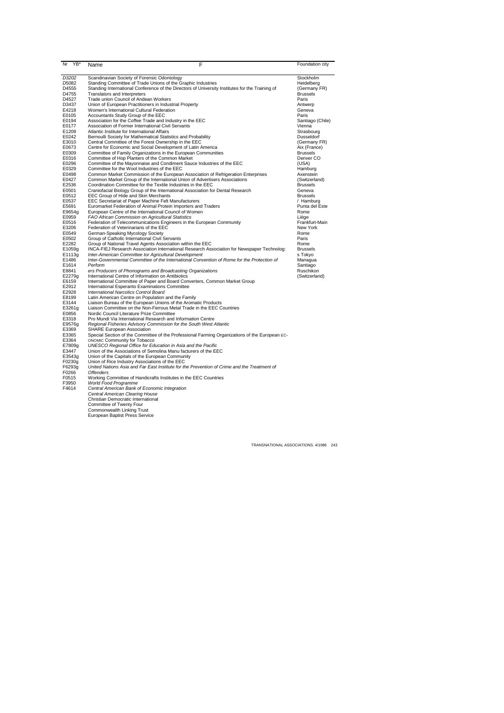| Nr<br>YB*         | Name                                               | F                                                                                               | Foundation city  |
|-------------------|----------------------------------------------------|-------------------------------------------------------------------------------------------------|------------------|
| D3202             | Scandinavian Society of Forensic Odontology        |                                                                                                 | Stockholm        |
| D <sub>5082</sub> |                                                    | Standing Committee of Trade Unions of the Graphic Industries                                    | Heidelberg       |
| D4555             |                                                    | Standing International Conference of the Directors of University Institutes for the Training of | (Germany FR)     |
| D4755             | Translators and Interpreters                       |                                                                                                 | <b>Brussels</b>  |
| D4527             | Trade union Council of Andean Workers              |                                                                                                 | Paris            |
| D3437             |                                                    | Union of European Practitioners in Industrial Property                                          | Antwerp          |
| E4218             | Women's International Cultural Federation          |                                                                                                 | Geneva           |
| E0105             | Accountants Study Group of the EEC                 |                                                                                                 | Paris            |
| E0194             |                                                    | Association for the Coffee Trade and Industry in the EEC                                        | Santiago (Chile) |
| E0177             | Association of Former International Civil Servants |                                                                                                 | Vienna           |
| E1209             | Atlantic Institute for International Affairs       |                                                                                                 | Strasbourg       |
| E0242             |                                                    | Bernoulli Society for Mathematical Statistics and Probability                                   | Dusseldorf       |
| E3010             |                                                    | Central Committee of the Forest Ownership in the EEC                                            | (Germany FR)     |
| E0673             |                                                    | Centre for Economic and Social Development of Latin America                                     | Aix (France)     |
| E0309             |                                                    | Committee of Family Organizations in the European Communities                                   | <b>Brussels</b>  |
| E0316             | Committee of Hop Planters of the Common Market     |                                                                                                 | Denver CO        |
| E0296             |                                                    | Committee of the Mayonnaise and Condiment Sauce Industries of the EEC                           | (USA)            |
| E0329             | Committee for the Wool Industries of the EEC       |                                                                                                 | Hamburg          |
| E0498             |                                                    | Common Market Commission of the European Association of Refrigeration Enterprises               | Axenstein        |
| E0427             |                                                    | Common Market Group of the International Union of Advertisers Associations                      | (Switzerland)    |
| E2536             |                                                    | Coordination Committee for the Textile Industries in the EEC                                    | <b>Brussels</b>  |
| E0501             |                                                    | Craniofacial Biology Group of the International Association for Dental Research                 | Geneva           |
| E0512             | EEC Group of Hide and Skin Merchants               |                                                                                                 | <b>Brussels</b>  |
| E0537             |                                                    | EEC Secretariat of Paper Machine Felt Manufacturers                                             | / Hamburg        |
| E5691             |                                                    | Euromarket Federation of Animal Protein Importers and Traders                                   | Punta del Este   |
| E9654g            |                                                    | European Centre of the International Council of Women                                           | Rome             |
| E0959             | FAO African Commission on Agricultural Statistics  |                                                                                                 | Liège            |
| E0516             |                                                    | Federation of Telecommunications Engineers in the European Community                            | Frankfurt-Main   |
| E3206             | Federation of Veterinarians of the EEC             |                                                                                                 | New York         |
| E0549             | German-Speaking Mycology Society                   |                                                                                                 | Rome             |
| E0502             | Group of Catholic International Civil Servants     |                                                                                                 | Paris            |
| E2282             |                                                    | Group of National Travel Agents Association within the EEC                                      | Rome             |
| E1059g            |                                                    | INCA-FIEJ Research Association International Research Association for Newspaper Technolog:      | <b>Brussels</b>  |
| E1113g            |                                                    | Inter-American Committee tor Agricultural Development                                           | s Tokvo          |
| E1486             |                                                    | Inter-Governmental Committee of the International Convention of Rome for the Protection of      | Managua          |
| E1614             | Perform                                            |                                                                                                 | Santiago         |
| E8841             |                                                    | ers Producers of Phonograms and Broadcasting Organizations                                      | Ruschikon        |
| E2279q            | International Centre of Information on Antibiotics |                                                                                                 | (Switzerland)    |
| E6159             |                                                    | International Committee of Paper and Board Converters, Common Market Group                      |                  |
| E2912             | International Esperanto Examinations Committee     |                                                                                                 |                  |
| E2928             | International Narcotics Control Board              |                                                                                                 |                  |
| E8199             | Latin American Centre on Population and the Family |                                                                                                 |                  |
| E3144             |                                                    | Liaison Bureau of the European Unions of the Aromatic Products                                  |                  |
| E3261g            |                                                    | Liaison Committee on the Non-Ferrous Metal Trade in the EEC Countries                           |                  |
| E0856             | Nordic Council Literature Prize Committee          |                                                                                                 |                  |
| E3318             |                                                    | Pro Mundi Via International Research and Information Centre                                     |                  |
| E9576g            |                                                    | Regional Fisheries Advisory Commission for the South West Atlantic                              |                  |
| E3369             | <b>SHARE European Association</b>                  |                                                                                                 |                  |
| E3365             |                                                    | Special Section of the Committee of the Professional Farming Organizations of the European EC-  |                  |
| E3364             | ONOMIC Community for Tobacco                       |                                                                                                 |                  |
| E7809q            |                                                    | UNESCO Regional Office for Education in Asia and the Pacific                                    |                  |
| E3447             |                                                    | Union of the Associations of Semolina Manu facturers of the EEC                                 |                  |
| E3543q            | Union of the Capitals of the European Community    |                                                                                                 |                  |
| F0230g            | Union of Rice Industry Associations of the EEC     |                                                                                                 |                  |
| F6293q            |                                                    | United Nations Asia and Far East Institute for the Prevention of Crime and the Treatment of     |                  |
| F0266             | <b>Offenders</b>                                   |                                                                                                 |                  |
| F0515             |                                                    | Working Committee of Handicrafts Institutes in the EEC Countries                                |                  |
| F3950             | World Food Programme                               |                                                                                                 |                  |
| F4614             | Central American Bank of Economic Integration      |                                                                                                 |                  |
|                   | Central American Clearing House                    |                                                                                                 |                  |
|                   | Christian Democratic International                 |                                                                                                 |                  |
|                   | Committee of Twenty Four                           |                                                                                                 |                  |

Committee of Twenty Four Commonwealth Linking Trust European Baptist Press Service

TRANSNATIONAL ASSOCIATIONS. 4/1986 243